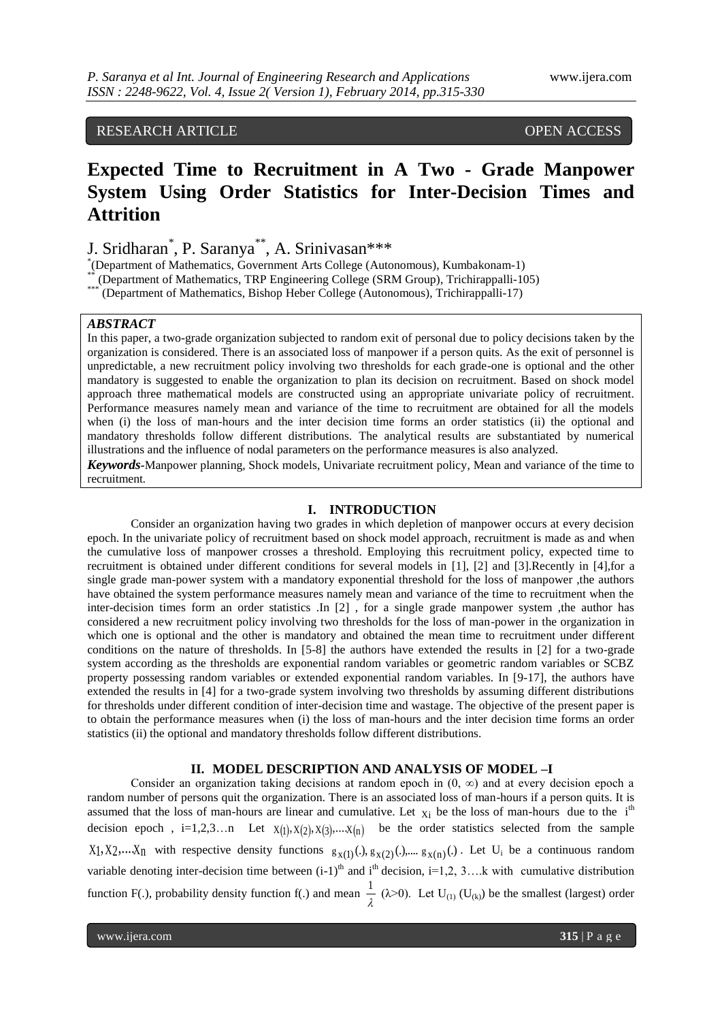## RESEARCH ARTICLE OPEN ACCESS

# **Expected Time to Recruitment in A Two - Grade Manpower System Using Order Statistics for Inter-Decision Times and Attrition**

J. Sridharan\* , P. Saranya\*\*, A. Srinivasan\*\*\*

\* (Department of Mathematics, Government Arts College (Autonomous), Kumbakonam-1)

\*\* (Department of Mathematics, TRP Engineering College (SRM Group), Trichirappalli-105)<br>\*\*\* (Department of Mathematics, Bishan Hober College (Autonomous), Trichirappalli-17)

(Department of Mathematics, Bishop Heber College (Autonomous), Trichirappalli-17)

### *ABSTRACT*

In this paper, a two-grade organization subjected to random exit of personal due to policy decisions taken by the organization is considered. There is an associated loss of manpower if a person quits. As the exit of personnel is unpredictable, a new recruitment policy involving two thresholds for each grade-one is optional and the other mandatory is suggested to enable the organization to plan its decision on recruitment. Based on shock model approach three mathematical models are constructed using an appropriate univariate policy of recruitment. Performance measures namely mean and variance of the time to recruitment are obtained for all the models when (i) the loss of man-hours and the inter decision time forms an order statistics (ii) the optional and mandatory thresholds follow different distributions. The analytical results are substantiated by numerical illustrations and the influence of nodal parameters on the performance measures is also analyzed.

*Keywords-*Manpower planning, Shock models, Univariate recruitment policy, Mean and variance of the time to recruitment*.*

### **I. INTRODUCTION**

Consider an organization having two grades in which depletion of manpower occurs at every decision epoch. In the univariate policy of recruitment based on shock model approach, recruitment is made as and when the cumulative loss of manpower crosses a threshold. Employing this recruitment policy, expected time to recruitment is obtained under different conditions for several models in [1], [2] and [3].Recently in [4],for a single grade man-power system with a mandatory exponential threshold for the loss of manpower ,the authors have obtained the system performance measures namely mean and variance of the time to recruitment when the inter-decision times form an order statistics .In [2] , for a single grade manpower system ,the author has considered a new recruitment policy involving two thresholds for the loss of man-power in the organization in which one is optional and the other is mandatory and obtained the mean time to recruitment under different conditions on the nature of thresholds. In [5-8] the authors have extended the results in [2] for a two-grade system according as the thresholds are exponential random variables or geometric random variables or SCBZ property possessing random variables or extended exponential random variables. In [9-17], the authors have extended the results in [4] for a two-grade system involving two thresholds by assuming different distributions for thresholds under different condition of inter-decision time and wastage. The objective of the present paper is to obtain the performance measures when (i) the loss of man-hours and the inter decision time forms an order statistics (ii) the optional and mandatory thresholds follow different distributions.

#### **II. MODEL DESCRIPTION AND ANALYSIS OF MODEL –I**

Consider an organization taking decisions at random epoch in  $(0, \infty)$  and at every decision epoch a random number of persons quit the organization. There is an associated loss of man-hours if a person quits. It is assumed that the loss of man-hours are linear and cumulative. Let  $x_i$  be the loss of man-hours due to the i<sup>th</sup> decision epoch,  $i=1,2,3...$  Let  $X(1), X(2), X(3), \ldots, X(n)$  be the order statistics selected from the sample  $X_1, X_2,...X_n$  with respective density functions  $g_{X(1)}(.)$ ,  $g_{X(2)}(.)$ ,  $g_{X(n)}(.)$ . Let  $U_i$  be a continuous random variable denoting inter-decision time between  $(i-1)^{th}$  and  $i^{th}$  decision,  $i=1,2, 3,...$  k with cumulative distribution function F(.), probability density function f(.) and mean  $\frac{1}{\lambda}$  $\frac{1}{\lambda}$  ( $\lambda$ >0). Let U<sub>(1)</sub> (U<sub>(k)</sub>) be the smallest (largest) order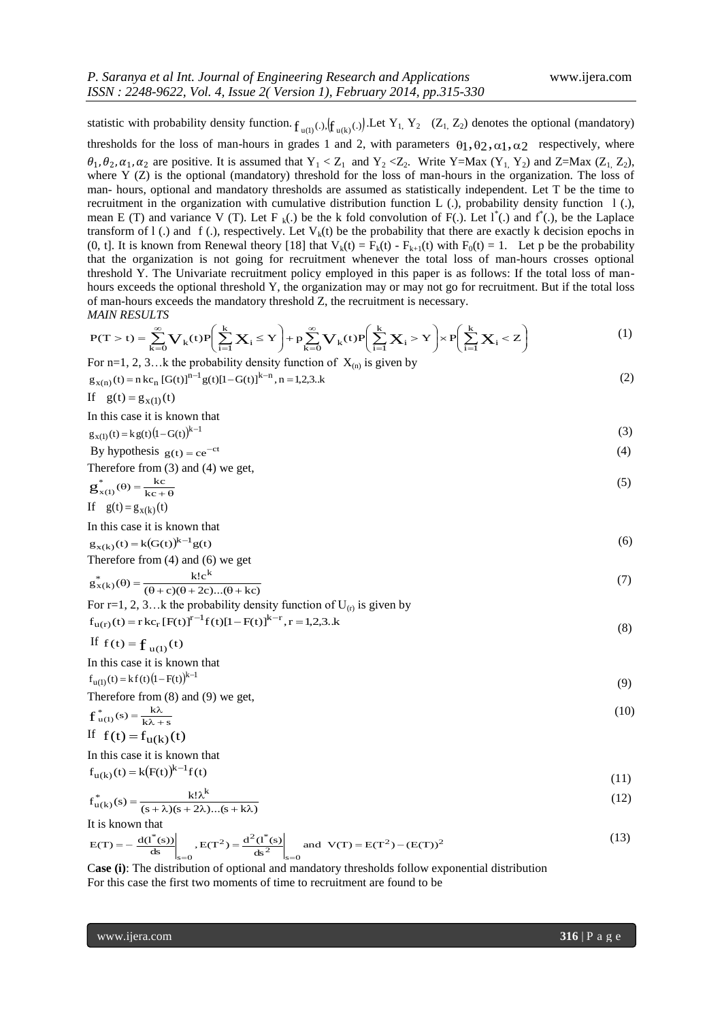$(3)$ 

statistic with probability density function.  $f_{u(l)}(.)$ ,  $(f_{u(k)}(.)$ . Let  $Y_1, Y_2$  ( $Z_1, Z_2$ ) denotes the optional (mandatory) thresholds for the loss of man-hours in grades 1 and 2, with parameters  $\theta_1, \theta_2, \alpha_1, \alpha_2$  respectively, where  $\theta_1$ ,  $\theta_2$ ,  $\alpha_1$ ,  $\alpha_2$  are positive. It is assumed that  $Y_1 < Z_1$  and  $Y_2 < Z_2$ . Write Y=Max  $(Y_1, Y_2)$  and Z=Max  $(Z_1, Z_2)$ , where Y (Z) is the optional (mandatory) threshold for the loss of man-hours in the organization. The loss of man- hours, optional and mandatory thresholds are assumed as statistically independent. Let T be the time to recruitment in the organization with cumulative distribution function L  $(.)$ , probability density function  $1(.)$ , mean E (T) and variance V (T). Let F<sub>k</sub>(.) be the k fold convolution of F(.). Let  $1^*$ (.) and  $f^*$ (.), be the Laplace transform of  $1$  (.) and f (.), respectively. Let  $V_k(t)$  be the probability that there are exactly k decision epochs in (0, t]. It is known from Renewal theory [18] that  $V_k(t) = F_k(t) - F_{k+1}(t)$  with  $F_0(t) = 1$ . Let p be the probability that the organization is not going for recruitment whenever the total loss of man-hours crosses optional threshold Y. The Univariate recruitment policy employed in this paper is as follows: If the total loss of manhours exceeds the optional threshold Y, the organization may or may not go for recruitment. But if the total loss of man-hours exceeds the mandatory threshold Z, the recruitment is necessary. *MAIN RESULTS* 

$$
P(T > t) = \sum_{k=0}^{\infty} \mathbf{V}_k(t) P\left(\sum_{i=1}^k \mathbf{X}_i \le Y\right) + p \sum_{k=0}^{\infty} \mathbf{V}_k(t) P\left(\sum_{i=1}^k \mathbf{X}_i > Y\right) \times P\left(\sum_{i=1}^k \mathbf{X}_i < Z\right) \tag{1}
$$

For n=1, 2, 3...k the probability density function of 
$$
X_{(n)}
$$
 is given by  $g_{x(n)}(t) = n k c_n [G(t)]^{n-1} g(t) [1 - G(t)]^{k-n}, n = 1, 2, 3..k$  (2)

If 
$$
g(t) = g_{x(1)}(t)
$$

In this case it is known that  

$$
g_{x(1)}(t) = kg(t)(1 - G(t))^{k-1}
$$
 (3)

By hypothesis 
$$
g(t) = ce^{-ct}
$$
 (4)  
Therefore from (3) and (4) we get,

$$
g_{x(1)}^{*}(\theta) = \frac{kc}{kc + \theta}
$$
 (5)

If 
$$
g(t) = g_{x(k)}(t)
$$

In this case it is known that

$$
g_{x(k)}(t) = k(G(t))^{k-1}g(t)
$$
  
Therefore from (4) and (6) we get

$$
g_{x(k)}^*(\theta) = \frac{k!c^k}{(\theta+c)(\theta+2c)...(\theta+kc)}
$$
(7)

For r=1, 2, 3...k the probability density function of 
$$
U_{(r)}
$$
 is given by  
\n
$$
f_{u(r)}(t) = r k c_r [F(t)]^{r-1} f(t)[1 - F(t)]^{k-r}, r = 1,2,3..k
$$
\n(8)

If 
$$
f(t) = f_{u(1)}(t)
$$

In this case it is known that

$$
f_{u(1)}(t) = kf(t)(1 - F(t))^{k-1}
$$
  
Therefore from (8) and (9) we get, (9)

$$
f_{u(1)}^*(s) = \frac{k\lambda}{k\lambda + s}
$$
  
\nIf  $f(t) = f_{u(k)}(t)$  (10)

In this case it is known that

$$
f_{u(k)}(t) = k(F(t))^{k-1} f(t)
$$
\n(11)

$$
f_{u(k)}^*(s) = \frac{k! \lambda^k}{(s + \lambda)(s + 2\lambda)...(s + k\lambda)}
$$
(12)

It is known that

$$
E(T) = -\frac{d(l^*(s))}{ds}\bigg|_{s=0}, E(T^2) = \frac{d^2(l^*(s))}{ds^2}\bigg|_{s=0} \text{ and } V(T) = E(T^2) - (E(T))^2 \tag{13}
$$

 C**ase (i)**: The distribution of optional and mandatory thresholds follow exponential distribution For this case the first two moments of time to recruitment are found to be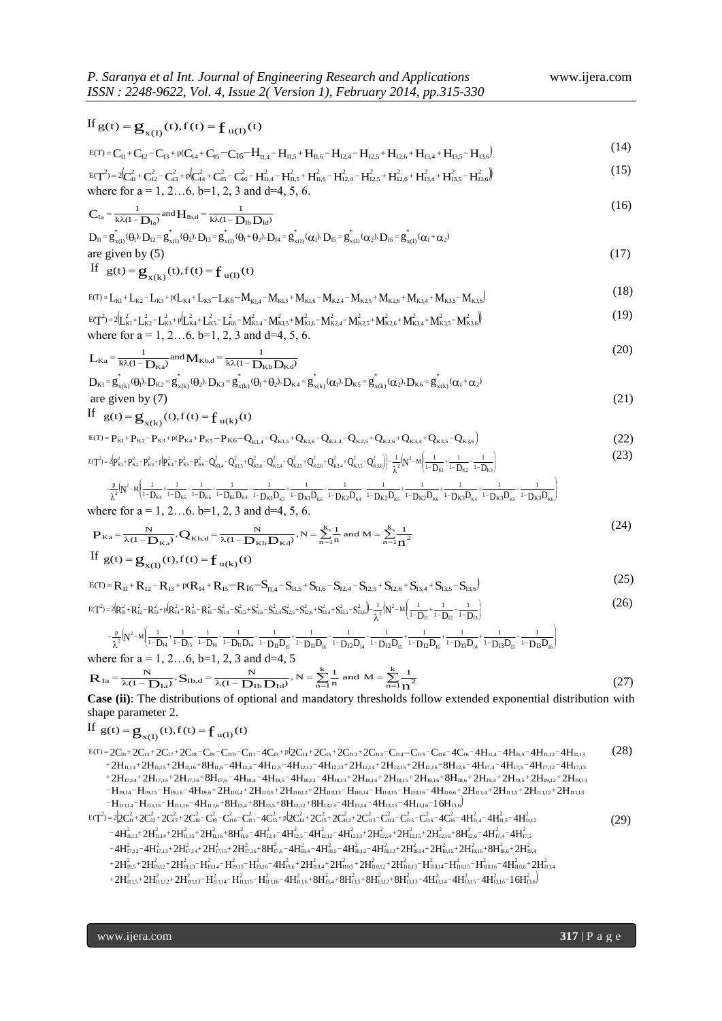If 
$$
g(t) = g_{x(1)}(t), f(t) = f_{u(1)}(t)
$$
  
\n
$$
E(T) = C_{11} + C_{12} - C_{13} + p(C_{14} + C_{15} - C_{16} - H_{11,4} - H_{11,5} + H_{11,6} - H_{12,4} - H_{12,5} + H_{12,6} + H_{13,4} + H_{13,5} - H_{13,6})
$$
\n
$$
E(T^{2}) = 2(C_{11}^{2} + C_{12}^{2} - C_{13}^{2} + p(C_{14}^{2} + C_{15}^{2} - C_{16}^{2} - H_{11,4}^{2} - H_{11,5}^{2} + H_{11,6}^{2} - H_{12,4}^{2} - H_{12,5}^{2} + H_{12,6}^{2} + H_{13,4}^{2} + H_{13,5}^{2} - H_{13,6}^{2})
$$
\nwhere for  $a = 1, 2...6, b = 1, 2, 3$  and  $d = 4, 5, 6$ .  
\n
$$
C_{1a} = \frac{1}{k\lambda(1 - D_{1a})} \text{and } H_{1b,d} = \frac{1}{k\lambda(1 - D_{1b} D_{1a})}
$$
\n
$$
D_{11} = g_{x(1)}^{*}(0)\lambda D_{12} = g_{x(1)}^{*}(0)\lambda D_{13} = g_{x(1)}^{*}(0)\lambda D_{14} = g_{x(1)}^{*}(0)\lambda D_{15} = g_{x(1)}^{*}(0)\lambda D_{16} = g_{x(1)}^{*}(0)\lambda D_{16} = g_{x(1)}^{*}(0)\lambda D_{17} = g_{x(1)}^{*}(0)\lambda D_{18} = g_{x(1)}^{*}(0)\lambda D_{19} = g_{x(1)}^{*}(0)\lambda D_{10} = g_{x(1)}^{*}(0)\lambda D_{11} = g_{x(1)}^{*}(0)\lambda D_{12} = g_{x(1)}^{*}(0)\lambda D_{13} = g_{x(1)}^{*}(0)\lambda D_{14} = g_{x(1)}^{*}(0)\lambda D_{15} = g_{x(1)}^{*}(0)\lambda D_{16} = g_{x(1)}^{*}(0)\lambda D_{17} = g_{x(1)}
$$

are given by (7)  
\nIf 
$$
g(t) = g_{x(k)}(t), f(t) = f_{u(k)}(t)
$$
 (21)

$$
E(T) = P_{K1} + P_{K2} - P_{K3} + p(P_{K4} + P_{K5} - P_{K6} - Q_{K1,4} - Q_{K1,5} + Q_{K1,6} - Q_{K2,4} - Q_{K2,5} + Q_{K2,6} + Q_{K3,4} + Q_{K3,5} - Q_{K3,6})
$$
\n
$$
(22)
$$

$$
{}_{E(T^2)=2}\left(p_{\kappa1}^2+p_{\kappa2}^2-p_{\kappa3}^2+p_{\kappa4}^2+p_{\kappa5}^2-p_{\kappa6}^2-Q_{\kappa1,4}^2-Q_{\kappa1,5}^2+Q_{\kappa1,6}^2-Q_{\kappa2,4}^2+Q_{\kappa2,6}^2+Q_{\kappa2,6}^2+Q_{\kappa3,4}^2+Q_{\kappa3,5}^2-Q_{\kappa3,6}^2\right)\right]-\frac{1}{\lambda^2}\left(N^2-M\left(\frac{1}{1-D_{\kappa1}}+\frac{1}{1-D_{\kappa2}}-\frac{1}{1-D_{\kappa3}}\right)\right),
$$
(23)

$$
-\frac{p}{\lambda^2}[N^2 - M] \left( \frac{1}{1-D_{K4}} + \frac{1}{1-D_{K5}} - \frac{1}{1-D_{K6}} - \frac{1}{1-D_{K1}D_{K4}} - \frac{1}{1-D_{K1}D_{K5}} + \frac{1}{1-D_{K1}D_{K6}} - \frac{1}{1-D_{K2}D_{K4}} - \frac{1}{1-D_{K2}D_{K5}} + \frac{1}{1-D_{K2}D_{K6}} + \frac{1}{1-D_{K3}D_{K4}} + \frac{1}{1-D_{K3}D_{K5}} - \frac{1}{1-D_{K3}D_{K6}} \right]
$$
\nwhere for  $a = 1, 2, \ldots, 6, b = 1, 2, 3, and d = 4, 5, 6.$ 

where for 
$$
a = 1, 2, \ldots, 0, 0-1, 2, 3
$$
 and  $d = 4, 3, 6$ .

\n
$$
\mathbf{P}_{\mathbf{K}a} = \frac{N}{\lambda(1 - \mathbf{D}_{\mathbf{K}a})}, \mathbf{Q}_{\mathbf{K}b,d} = \frac{N}{\lambda(1 - \mathbf{D}_{\mathbf{K}b}\mathbf{D}_{\mathbf{K}d})}, N = \sum_{n=1}^{k} \frac{1}{n} \text{ and } M = \sum_{n=1}^{k} \frac{1}{n^2}
$$
\n(24)

\n
$$
\text{If } g(t) = \mathbf{Q} \quad \text{(t).f (t) = f \quad g(t)}
$$

If 
$$
g(t) = g_{x(1)}(t), f(t) = f_{u(k)}(t)
$$

$$
E(T) = R_{11} + R_{12} - R_{13} + p(R_{14} + R_{15} - R_{16} - S_{11,4} - S_{11,5} + S_{11,6} - S_{12,4} - S_{12,5} + S_{12,6} + S_{13,4} + S_{13,5} - S_{13,6})
$$
\n(25)

$$
E(T^{2}) = 2\left(R_{11}^{2} + R_{12}^{2} - R_{13}^{2} + p(R_{14}^{2} + R_{15}^{2} - R_{16}^{2} - S_{11,4}^{2} - S_{11,5}^{2} + S_{11,6}^{2} - S_{12,4}^{2}S_{12,5}^{2} + S_{12,6}^{2} + S_{13,4}^{2} + S_{13,5}^{2} - S_{13,6}^{2}\right) - \frac{1}{\lambda^{2}}\left(N^{2} - M\left(\frac{1}{1 - D_{11}} + \frac{1}{1 - D_{12}} - \frac{1}{1 - D_{13}}\right)\right)
$$
(26)

$$
-\frac{p}{\lambda^2} [N^2 - M] \frac{1}{1 - D_{14}} + \frac{1}{1 - D_{15}} - \frac{1}{1 - D_{16}} - \frac{1}{1 - D_{11}D_{14}} - \frac{1}{1 - D_{11}D_{15}} + \frac{1}{1 - D_{11}D_{16}} - \frac{1}{1 - D_{12}D_{14}} - \frac{1}{1 - D_{12}D_{15}} + \frac{1}{1 - D_{12}D_{16}} + \frac{1}{1 - D_{13}D_{14}} + \frac{1}{1 - D_{13}D_{15}} - \frac{1}{1 - D_{13}D_{16}}]
$$
\nwhere for  $a = 1, 2, \ldots, 6, b = 1, 2, 3, and  $d = 4, 5$$ 

$$
\mathbf{R}_{\text{Ia}} = \frac{N}{\lambda(1 - \mathbf{D}_{\text{Ia}})}, \mathbf{S}_{\text{Ib,d}} = \frac{N}{\lambda(1 - \mathbf{D}_{\text{Ib}} \mathbf{D}_{\text{Id}})}, N = \sum_{n=1}^{k} \frac{1}{n} \text{ and } M = \sum_{n=1}^{k} \frac{1}{n^2}
$$
(27)

**Case (ii)**: The distributions of optional and mandatory thresholds follow extended exponential distribution with shape parameter 2.

If 
$$
g(t) = g_{x(1)}(t), f(t) = f_{u(1)}(t)
$$

- Snape parameter 2.<br>
If  $g(t) = g_{x(1)}(t)$ ,  $f(t) = f_{u(1)}(t)$ <br>  $g(t) = 2C_{u} + 2C_{u} + 2C_{u} + 2C_{u} C_{u0} C_{u1} 4C_{u} + v2C_{u} + 2C_{u} + 2C_{u2} + 2C_{u3} C_{u4} C_{u5} C_{u6} 4C_{u6} 4H_{u4} 4H_{u5} 4H_{u12} 4H_{u13}$ <br>  $+ 2H_{u14} + 2H_{u14} +$  $\begin{split} \mathbf{H}_{\text{H}_{14}} & = \mathbf{H}_{\text{H}_{14}} + 2\mathbf{H}_{\text{H}_{15}} + 2\mathbf{H}_{\text{H}_{16}} + 8\mathbf{H}_{\text{H}_{16}} - 4\mathbf{H}_{\text{H}_{16}} - 4\mathbf{H}_{\text{H}_{16}} - 4\mathbf{H}_{\text{H}_{16}} - 4\mathbf{H}_{\text{H}_{16}} - 4\mathbf{H}_{\text{H}_{16}} - 4\mathbf{H}_{\text{H}_{16}} - 4\mathbf{H}_{\text{H}_{16}} - 4\mathbf{H}_{\text{H}_{2$  $H_{19,14}$ –  $H_{19,15}$ –  $H_{19,16}$ – 4 $H_{19,6}$ + 2 $H_{10,4}$ + 2 $H_{10,12}$ + 2 $H_{10,13}$ –  $H_{110,14}$ –  $H_{10,15}$ –  $H_{110,16}$ – 4 $H_{110,6}$ + 2 $H_{11,4}$ + 2 $H_{11,12}$ + 2 $H_{11,12}$ + 2 $H_{11,13}$  $2H_{17,14} + 2H_{17,15} + 2H_{17,16} + 8H_{17,6} - 4H_{18,4} - 4H_{18,5} - 4H_{18,12} + 2H_{18,14} + 2H_{18,15} + 2H_{18,16} + 8H_{18,6} + 2H_{19,4} + 2H_{19,5} + 2H_{19,12} + 2H_{19,14} + 2H_{19,15} + 2H_{19,16} + 2H_{19,17} + 2H_{19,18} + 2H_{19,19} + 2H_{19,$ t) =  $\mathbf{g}_{\mathbf{x}(1)}(t)$ , f (t) =  $\mathbf{f}_{\mathbf{u}(1)}(t)$ <br>2C<sub>ll</sub> + 2C<sub>l2</sub> + 2C<sub>l7</sub> + 2C<sub>l8</sub> - C<sub>l9</sub> - C<sub>l0</sub> - C<sub>l11</sub> - 4C<sub>l3</sub> + p(2C<sub>l4</sub> + 2C<sub>l5</sub> + 2C<sub>l12</sub> + 2C<sub>l13</sub> - C<sub>l14</sub> - C<sub>l15</sub> - Q<sub>L6</sub> - 4C<sub>l6</sub> - 4H<sub>11,4</sub> - 4H<sub>11,5</sub> - 4  $H_{II,14}$  + 2H $_{II,15}$  + 2H $_{II,16}$  + 8H $_{II,6}$  – 4H $_{12,4}$  – 4H $_{12,5}$  – 4H $_{12,13}$  + 2H $_{12,14}$  + 2H $_{12,15}$  + 2H $_{12,16}$  + 8H $_{12,17}$ <br>  $H_{II,14}$  + 2H $_{I7,15}$  + 2H $_{I7,16}$  + 8H $_{I7,6}$  – 4H $_{18,4}$  – 4H $_{18,5}$ 21,14 22 1,15 - 22 1,16 - 23 1,16 - 24 1,16 - 24 1,16 - 24 1,16 - 24 1,16 - 24 1,16 - 24 1,16 - 24 1,16 - 24 1<br>1,14 + 2 2 1,15 + 2 1,1,16 + 8 1,1,6 - 4 1,12,4 - 4 1,12,5 - 4 1,12,1 - 4 1,12,1 + 2 1,12,1 + 2 1,12,1 + 2 1,<br>1  $\frac{1}{1}$  2  $\rm C_{12}$  +  $\rm 2C_{17}$  +  $\rm 2C_{18}$  –  $\rm C_{19}$  –  $\rm C_{10}$  –  $\rm C_{11}$  –  $\rm 4C_{13}$  +  $p^6$   $\rm 2C_{14}$  +  $\rm 2C_{15}$  +  $\rm 2C_{112}$  +  $\rm 2C_{113}$  –  $\rm C_{116}$  –  $\rm C_{116}$  –  $\rm 4H_{11,4}$  –  $\rm 4H_{11,5}$  $-H_{11,1,4}-H_{11,1,5}-H_{11,1,6}-4H_{11,6}+8H_{13,4}+8H_{13,5}+8H_{13,12}+8H_{13,13}-4H_{13,14}-4H_{13,15}-4H_{13,16}-16H_{13,6}$ +2H1214+2H1215+2H1216+8H126-4H126-4H126-4H1212-4H1212+2H1214+2H1215+2H1214+2H126+2H126+2H126+2H1212+ +2Hu14+2Hu15+2Hu16+8Hu4-4H124-4H125-4H1212-4H1213+2H1214+2H1215+2H1216+8H124-4H124-4H125-4H1212- $=2C_{11}+2C_{12}+2C_{17}+2C_{18}-C_{19}-C_{110}-C_{111}-4C_{13}+p\left(2C_{14}+2C_{15}+2C_{112}+2C_{13}-C_{114}-C_{115}-C_{116}-4C_{16}-4H_{11,4}-4H_{11,5}-4H_{11,12}-4H_{11,2}-4H_{11,3}-4H_{11,4}-4H_{11,4}-4H_{11,3}-4H_{11,4}-4H_{11,4}-4H_{11,3}-4H_{11,4}-4H_{11,4}-4H_{11,3$ (28) 2  $2H_1$ <sup>2</sup><br> $\frac{1}{11,12}$  $E(T^2) = 2[2C_{11}^2 + 2C_{12}^2 + 2C_{13}^2 - C_{19}^2 - C_{10}^2 - C_{111}^2 - 4C_{13}^2 + p[2C_{14}^2 + 2C_{15}^2 + 2C_{112}^2 + 2C_{113}^2 - C_{114}^2 - C_{115}^2 - C_{116}^2 - 4C_{16}^2 - 4H_{11,4}^2 - 4H_{11,5}^2 - C_{11}^2 - C_{11}^2 - C_{11}^2]$  $-4$ <br>  $-4$ <br>  $-6$ <br>  $-16$ <br>  $-16$ <br>  $-16$ , 1<br>- III<br>II 3<br>II5<br>I<sup>2</sup>  $0,15$ <br>  $13,15$ <br>  $14$ <br>  $114$  $\begin{bmatrix} -1 \\ -4 \\ \frac{2}{13} \end{bmatrix}$ ,<br>- Н<br>112<br>112<br>11<sup>2</sup>  $21 + 8$ <br> $21 + 11$  $\rm \frac{I_{110}}{I_{10}}$
- $\begin{aligned} &4H_{11,13}^{14} + H_{11,15}^{14} + H_{11,15}^{14} + H_{11,15}^{14} + H_{11,15}^{14} + H_{11,15}^{14} + H_{11,15}^{14} + H_{11,15}^{14} + H_{11,15}^{14} + H_{11,15}^{14} + H_{11,15}^{14} + H_{11,15}^{14} + H_{11,15}^{14} + H_{11,15}^{14} + H_{11,15}^{14} + H_{11,15}^{14} + H_{11,$  $2H_{19,5}^2 + 2H_{19,12}^2 + 2H_{19,13}^2 - H_{19,16}^2 - H_{19,16}^2 - 4H_{19,6}^2 + 2H_{10,6}^2 + 2H_{10,6}^2 + 2H_{10,13}^2 - H_{10,13}^2 - H_{10,14}^2 - H_{10,15}^2 - H_{10,16}^2 - 4H_{10,6}^2 + 2H_{11}^2$  $\begin{aligned} &4H_{17,12}^2-4H_{17,13}^2+2H_{17,14}^2+2H_{17,15}^2+2H_{17,16}^2+8H_{17,6}^2-4H_{18,4}^2-4H_{18,5}^2-4H_{18,13}^2+2H_{18,14}^2+2H_{18,15}^2+2H_{18,16}^2+8H_{18,6}^2+2H_{19,15}^2\\ &2H_{19,5}^2+2H_{19,13}^2-H_{19,15}^2-H_{19,16}^2-H_{19,16$  $-4H_{11,13}^2 + 2H_{11,14}^2 + 2H_{11,16}^2 + 8H_{11,6}^2 - 4H_{12,4}^2 - 4H_{12,5}^2 - 4H_{12,12}^2 - 4H_{12,13}^2 + 2H_{12,14}^2 + 2H_{12,15}^2 + 2H_{12,16}^2 + 8H_{12,6}^2 - 4H_{17,5}^2$ 2<br>II 1,4  $+2H_{19,5}^2+2H_{19,12}^2+2H_{19,13}^2-H_{19,14}^2-H_{19,15}^2-H_{19,6}^2+2H_{19,6}^2+2H_{10,4}^2+2H_{10,12}^2+2H_{10,13}^2-H_{10,14}^2-H_{10,15}^2-H_{10,15}^2-H_{10,16}^2-4H_{10,6}^2+2H_{10,7}^2$  $I_{II,15}^2 + 2H_{II,15}^2 + 2H_{II,16}^2 + 8H_{II,6}^2 - 4H_{12,4}^2 - 4H_{12,5}^2 - 4H_{12,12}^2 - 4H_{12,13}^2 + 2H_{12,15}^2 + 2H_{12,16}^2 + 8H_{12,6}^2 - 4H_{17,4}^2 - 4H_{17,4}^2$ <br>  $I_{II,15}^2 + 2H_{II,14}^2 + 2H_{II,15}^2 + 2H_{III,16}^2 + 8H_{II,6}^2 - 4H$  ${}^{2}_{18,16}$  +  $8H^{2}_{18,6}$  +  $2H^{2}_{19,4}$  $\int_{2,6}^{2}$ <br>  $\frac{2}{18,16}$ <br>  $\frac{1}{18}$ 2  ${4C_{16}^2}$ <br>  ${2,16}$ <br>  ${18,15}$ 2  $\sum_{2,15}^{1} C$ <br> $\frac{2}{18,14}$ 2  $\sum_{114}^{2}$ <br> $\frac{1}{18,13}$ <br> $\sum_{18,13}$ 2  $2C$ <br>  $\frac{1}{18,12}$ <br>  $\frac{2}{18,12}$  $^{2}_{17,16}$ + $8H^{2}_{17,6}$ – $4H^{2}_{18,4}$ – $4H^{2}_{18,5}$  $\frac{C_{\text{II}}^2}{6.6}$  = 4<br> $\frac{2}{17,16}$ 2  $\int_{0.16}^{9}$  - C<br>  $\frac{2}{17,15}$ 2  $2C_{18}^2$ <br> $^{1}_{1,15}$  +<br> $^{2}_{17,14}$ 2 + 2C<br>  $\frac{2}{17,14}$ <br>  $\frac{2}{17,13}$ 2  $\frac{1}{2}$ <br>  $\frac{2}{11,13}$ <br>  $\frac{2}{17,12}$ <br>  $\frac{2}{2}$  $I_{14} = H_{11,15} - H_{11,16} - 4H_{11,6} + 8H_{13,4} + 8H_{13,5} + 8H_{13,12} + 8H_{13,13} - 4H_{13,14} - 4H_{13,15} - 4H_{13,16} - 16H_{14} - 2H_{14} - 2H_{15} - 2H_{15} - 2H_{16} - 2H_{17} - 2H_{18} - 2H_{19} - 2H_{19} - 2H_{19} - 2H_{19} - 2H_{19} - 2H_{19} - 2H_{19$  $-4H_{1212}^2 - 4H_{1212}^2 + 2H_{1214}^2 + 2H_{1215}^2 + 2H_{1215}^2 + 8H_{125}^2 - 4H_{1235}^2 - 4H_{1235}^2 - 4H_{1212}^2 + 2H_{1214}^2 + 2H_{1214}^2 + 2H_{1215}^2 + 2H_{1225}^2 + 2H_{1235}^2$ (29)
	- $+2H_{11,5}^2+2H_{11,12}^2+2H_{11,13}^2-H_{11,14}^2-H_{11,15}^2-H_{11,16}^2+4H_{11,6}^2+8H_{13,4}^2+8H_{13,5}^2+8H_{13,12}^2+8H_{13,13}^2-4H_{13,14}^2-4H_{13,15}^2-4H_{13,16}^2-16H_{13,6}^2$

l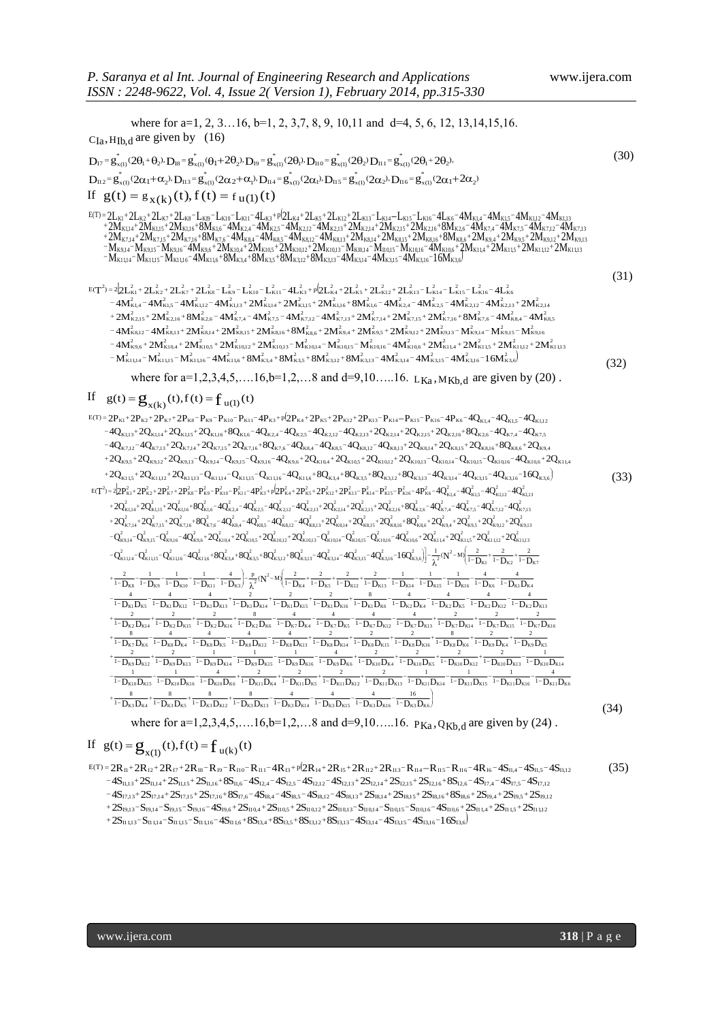where for a=1, 2, 3...16, b=1, 2, 3,7, 8, 9, 10,11 and d=4, 5, 6, 12, 13,14,15,16.  $C_{Ia}$ , H<sub>Ib,d</sub> are given by (16)  $D_{17} = g_{x(1)}^* (2\theta_1 + \theta_2) \cdot D_{18} = g_{x(1)}^* (\theta_1 + 2\theta_2) \cdot D_{19} = g_{x(1)}^* (2\theta_1) \cdot D_{110} = g_{x(1)}^* (2\theta_2) D_{111} = g_{x(1)}^* (2\theta_1 + 2\theta_2) \cdot D_{112} = g_{x(1)}^* (2\alpha_1 + \alpha_2) \cdot D_{113} = g_{x(1)}^* (2\alpha_2 + \alpha_1) \cdot D_{114} = g_{x(1)}^* (2\alpha_1) \cdot D_{115}$  $D_{112} = g_{x(1)}^*(2\alpha_1 + \alpha_2) \cdot D_{113} = g_{x(1)}^*(2\alpha_2 + \alpha_1) \cdot D_{114} = g_{x(1)}^*(2\alpha_1) \cdot D_{115} = g_{x(1)}^*(2\alpha_2) \cdot D_{116} = g_{x(1)}^*(2\alpha_1 + 2\alpha_2)$  $\int_{x(1)}^{x}(2\theta_1 + 2\theta_2)$  $1_2$ )  $D_{II1} = g_{x(1)}^*$ \*  $b_1$ ),  $D_{II}$ <sub>0</sub> =  $g_{x(1)}^*$  $\mathbf{g}_{\mathbf{x}(1)}^* = \mathbf{g}_{\mathbf{x}(1)}^* (2\theta_1 + \theta_2) \cdot \mathbf{D}_{18} = \mathbf{g}_{\mathbf{x}(1)}^* (\theta_1 + 2\theta_2) \cdot \mathbf{D}_{19} = \mathbf{g}_{\mathbf{x}(1)}^* (2\theta_1) \cdot \mathbf{D}_{110} = \mathbf{g}_{\mathbf{x}(1)}^* (2\theta_2) \cdot \mathbf{D}_{111} = \mathbf{g}_{\mathbf{x}(1)}^* (2\theta_1 + 2\theta_2)$  (30) If  $g(t) = g_{X(k)}(t), f(t) = f_{U(1)}(t)$  $K_{11,14} - M_{K1,1,15} - M_{K1,1,16} - 4M_{K1,16} + 8M_{K3,4} + 8M_{K3,5} + 8M_{K3,12} + 8M_{K3,13} - 4M_{K3,14} - 4M_{K3,15} - 4M_{K3,16} - 16M_{K3,16} - 4M_{K3,16} - 4M_{K3,16} - 4M_{K3,16} - 4M_{K3,16} - 4M_{K3,16} - 4M_{K3,16} - 4M_{K3,16} - 4M_{K3,16} - 4M$ 12  $\begin{array}{l} \mathsf{g}_{\mathsf{x}(1)} @_{\mathsf{2}\mathsf{1}} + \mathsf{2}\mathsf{1}_{\mathsf{2}} \mathsf{1}_{\mathsf{2}} \mathsf{1}_{\mathsf{3}} \mathsf{1}_{\mathsf{3}} \mathsf{1}_{\mathsf{4}} \mathsf{1}_{\mathsf{4}} \mathsf{1}_{\mathsf{5}} \mathsf{1}_{\mathsf{4}} \mathsf{1}_{\mathsf{5}} \mathsf{1}_{\mathsf{5}} \mathsf{1}_{\mathsf{6}} \mathsf{1}_{\mathsf{6}} \mathsf{1}_{\mathsf{7}} \mathsf{1}_{\mathsf{8}} \mathsf{1}_{\mathsf{7}} \$  $2\mathrm{M}_{\mathrm{K7,14}}$ + 2M $_{\mathrm{K7,15}}$ + 2M $_{\mathrm{K7,6}}$ + 3M $_{\mathrm{K8,4}}$  – 4M $_{\mathrm{K8,4}}$  – 4M $_{\mathrm{K8,5}}$  – 4M $_{\mathrm{K8,12}}$  – 4M $_{\mathrm{K8,13}}$ + 2M $_{\mathrm{K8,14}}$  + 2M $_{\mathrm{K8,15}}$ + 2M $_{\mathrm{K8,16}}$  +  $8\mathrm{M}_{\mathrm{K8,6}}$  +  $2\mathrm{M}_{\mathrm{K9,4}}$  +  $2$  $2\mathrm{M}_{\mathrm{K1,14}}$ +2M $_{\mathrm{K1,15}}$ +2M $_{\mathrm{K1,16}}$ +8M $_{\mathrm{K1,6}}$  -4M $_{\mathrm{K2,4}}$  -4M $_{\mathrm{K2,4}}$  -4M $_{\mathrm{K2,12}}$  -4M $_{\mathrm{K2,13}}$ +2M $_{\mathrm{K2,14}}$ +2M $_{\mathrm{K2,16}}$ +2M $_{\mathrm{K2,16}}$ +8M $_{\mathrm{K2,6}}$  -4M $_{\mathrm{K7,4}}$  -4M $_{\mathrm{K7,5}}$  -4M $_{\mathrm{$  $2L_{K1}+2L_{K2}+2L_{K3}+2L_{K8}-L_{K9}-L_{K10}-L_{K11}-4L_{K3}+p/2L_{K4}+2L_{K5}+2L_{K12}+2L_{K13}-L_{K15}-L_{K16}-4L_{K6}-4M_{K1,4}-4M_{K1,5}-4M_{K1,15}-4M_{K1,15}+2M_{K1,15}+2M_{K1,15}+2M_{K1,15}+2M_{K1,15}+2M_{K1,15}+2M_{K1,15}+2M_{K1,15}+2M_{K1,15}+2M_{K1$ K1<sup>+</sup>2LK2<sup>+</sup>2LK3<sup>+</sup>2LK8<sup>−L</sup>KB<sup>−</sup>LK10<sup>−</sup>LK11<sup>−4</sup>LK3<sup>+p(</sup>2LK4<sup>+</sup>2LK5<sup>+</sup>2LK12<sup>+</sup>2LK13<sup>−</sup>LK14<sup>−</sup>LK15<sup>−</sup>LK16<sup>−4</sup>LK6<sup>−4</sup>MK14<sup>−4</sup>MK14<sup>−4</sup>MK112<sup>−4</sup>MK113<br>Ak14<sup>+2</sup>MK115<sup>+</sup>2MK116<sup>+</sup>8MK16<sup>−4</sup>MK24<sup>−4</sup>MK25−<sup>4</sup>MK212−4MK213<sup>+</sup>2MK214<sup>+</sup>2MK  $\mathcal{P} = \mathbb{E}_{\mathbf{X}}(\mathbf{k}) \mathbf{U} \mathbf{U}, \mathbf{H} \mathbf{U} \mathbf{U} = \mathbf{I} \mathbf{u}(\mathbf{I}) \mathbf{U} \mathbf{U}$ <br>+2L<sub>K2</sub>+2L<sub>K7</sub>+2L<sub>K8</sub>-L<sub>KB</sub>-L<sub>KB</sub>-CL<sub>K10</sub>-L<sub>K11</sub>-4L<sub>K3</sub>+p(2L<sub>K4</sub>+2L<sub>K5</sub>+2L<sub>K12</sub>+2L<sub>K13</sub>-L<sub>K14</sub>-L<sub>K15</sub>-L<sub>K16</sub>-4L<sub>K6</sub>-4M<sub>K1.4</sub>-4M<sub>K1.4</sub>  $K_{1}+2L_{K2}+2L_{K7}+2L_{K8}-L_{K16}-L_{K10}-L_{K11}-4L_{K3}+p/2L_{K4}+2L_{K5}+2L_{K12}+2L_{K13}-L_{K14}-L_{K15}-L_{K16}-4L_{K6}-4M_{K1.4}-4M_{K1.5}-4M_{K1.12}-4M_{K1.13}+2M_{K1.14}+2M_{K1.15}+2M_{K1.15}+8M_{K1.6}-4M_{K2.4}-4M_{K2.5}-4M_{K2.15}-4M_{K2.13}+2M_{K2.1$  $\begin{array}{l} \displaystyle D_{112} = g_{x(1)}(2\alpha_1+\alpha_2) \cdot D_{113} = g_{x(1)}(2\alpha_2+\alpha_1) \cdot D_{114} = g_{x(1)}(2\alpha_1) \cdot D_{115} = g_{x(1)}(2\alpha_2) \cdot D_{116} = g_{x(1)}(2\alpha_1+\alpha_2) \ \end{array}$ <br>
If  $\displaystyle g(t) = g_{x(k)}(t) \text{, } f(t) = f_{u(1)}(t)$ <br>  $\displaystyle E^{(T)} = 2L_{K1} + 2L_{K2} + 2L_{K2} + 2L_{K3}$  $-W_{\rm K0M}$  – M  $_{\rm K0M}$  – M  $_{\rm K0M}$  – 2M  $_{\rm K0M}$  + 2M  $_{\rm K10M}$  + 2M  $_{\rm K10M}$  + 2M  $_{\rm K10M}$  – M  $_{\rm K0M}$  – M  $_{\rm K10M}$  – M  $_{\rm K10M}$  –  $4$ M  $_{\rm K10M}$  + 2M  $_{\rm K1M}$  + 2M  $_{\rm K1M}$  + 2M  $_{\rm K1M}$  + 2M  $_{\rm K1M$ +2Mrs11+2Mrs15+2Mrs16+8Mrsc=4Mrs1=4Mrs6=4Mrs13=4Mrs11+2Mrs11+2Mrs15+2Mrs16+8Mrs6+2Mrs6+2Mrs6+2Mrs15+ =2L<sub>K1</sub>+2L<sub>K2</sub>+2L<sub>K7</sub>+2L<sub>K8</sub>=L<sub>KB</sub>=L<sub>K10</sub>=L<sub>K11</sub>-4L<sub>K3</sub>+p(2L<sub>K4</sub>+2L<sub>K1</sub>+2L<sub>K12</sub>+2L<sub>K13</sub>=L<sub>K14</sub>=L<sub>K16</sub>=4L<sub>K6</sub>=4M<sub>K14</sub>=4M<sub>K14</sub>=4M<sub>K15</sub>=4M<sub>K114</sub>=AM<sub>K114</sub>=AM<sub>K114</sub>=AM<sub>K114</sub>=AM<sub>K114</sub>=AM<sub>K114</sub>=AM<sub>K114</sub>=AM<sub>K114</sub>=AM<sub>K114</sub>=AM<sub>K114</sub> (31)  $T^2 = 2 \left[ 2L_{K1}^2 + 2L_{K2}^2 + 2L_{K7}^2 + 2L_{K8}^2 - L_{K9}^2 - L_{K10}^2 - L_{K11}^2 - 4L_{K3}^2 + 9 \left( 2L_{K4}^2 + 2L_{K5}^2 + 2L_{K12}^2 + 2L_{K13}^2 - L_{K14}^2 - L_{K15}^2 - L_{K16}^2 - 4L_{K16}^2 - 4L_{K14}^2 - 4M_{K1,13}^2 + 2M_{K1,13}^2 + 2M_{K1,14}^2 +$  $\begin{aligned} &22L_{K1}^2+2L_{K2}^2+2L_{K3}^2+2L_{K3}^2-L_{K0}^2-L_{K10}^2-L_{K11}^2+4L_{K3}^2+p2L_{K4}^2+2L_{K12}^2+2L_{K12}^2+2L_{K13}^2-L_{K14}^2-L_{K15}^2-L_{K16}^2-4L_{K6}^2\\ &4M_{K14,4}^2-4M_{K14,2}^2-4M_{K14,13}^2+2M_{K14,14}^2+2M_{K14,16}^2+8M_{K1,16}$  $4M_{\rm K9,6}^2$  +  $2M_{\rm K10,4}^2$  +  $2M_{\rm K10,15}^2$  +  $2M_{\rm K10,13}^2$  –  $M_{\rm K10,14}^2$  –  $M_{\rm K10,15}^2$  –  $M_{\rm K10,16}^2$  –  $4M_{\rm K10,6}^2$  +  $2M_{\rm K11,4}^2$  +  $2M_{\rm K11,5}^2$  +  $2M_{\rm K11,12}^2$  +  $2M_{\rm K1}^2$  $4M_{\kappa_{8,12}}^2$  –  $4M_{\kappa_{8,13}}^2$  +  $2M_{\kappa_{8,14}}^2$  +  $2M_{\kappa_{8,15}}^2$  +  $2M_{\kappa_{8,16}}^2$  +  $8M_{\kappa_{8,6}}^2$  +  $2M_{\kappa_{9,4}}^2$  +  $2M_{\kappa_{9,12}}^2$  +  $2M_{\kappa_{9,13}}^2$  –  $M_{\kappa_{9,14}}^2$  –  $M_{\kappa_{9,14}}^2$  –  $M_{\kappa_{9,15}}^2$   $+2M_{R2,15}^2 + 2M_{R2,16}^2 + 8M_{R2,6}^2 - 4M_{K7,4}^2 - 4M_{R7,5}^2 - 4M_{R7,13}^2 - 4M_{R7,14}^2 + 2M_{R7,14}^2 + 2M_{R7,16}^2 + 2M_{R7,6}^2 - 4M_{R8,5}^2 - 4M_{R8,6}^2$  $4M_{\rm K1,4}^2 - 4M_{\rm K1,5}^2 - 4M_{\rm K1,12}^2 - 4M_{\rm K1,13}^2 + 2M_{\rm K1,14}^2 + 2M_{\rm K1,15}^2 + 2M_{\rm K1,16}^2 + 8M_{\rm K2,4}^2 - 4M_{\rm K2,4}^2 - 4M_{\rm K2,12}^2 - 4M_{\rm K2,13}^2 + 2M_{\rm K2,14}^2$  $-M_{K11,14}^2 - M_{K11,15}^2 - M_{K11,16}^2 - 4 M_{K11,6}^2 + 8 M_{K3,4}^2 + 8 M_{K3,5}^2 + 8 M_{K3,12}^2 + 8 M_{K3,13}^2 - 4 M_{K3,14}^2 - 4 M_{K3,15}^2 - 4 M_{K3,16}^2 - 16 M_{K3,6}^2$  $\mathcal{A}_{R3,12}^2 - 2\mathcal{M}_{R3,13}^2 + 2\mathcal{M}_{R3,14}^2 + 2\mathcal{M}_{R3,15}^2 + 2\mathcal{M}_{R3,16}^2 + 8\mathcal{M}_{R3,6}^2 + 2\mathcal{M}_{R3,4}^2 + 2\mathcal{M}_{R3,5}^2 + 2\mathcal{M}_{R3,12}^2 + 2\mathcal{M}_{R3,13}^2 + 2\mathcal{M}_{R3,13}^2 + 2\mathcal{M}_{R3,13}^2 + 2\mathcal{M}_{R3,13}^2 + 2\math$ 2 '<br>3,5<br>'K1 1,1 3 2  $K_{8,4}^2 -$ <br>  $K_{8,4}^2 -$ <br>  $K_{1,1,12}^2$ 2  $\frac{2}{K7,6}$ <br>  $\frac{1}{14}$  - 1<br>  $\frac{2}{K11,5}$ <br>  $-1.6$ 2  $\frac{2}{16}$ <br>
K7,16<br>
E9,13<br>
A11,4<br>  $\frac{2}{16}$  – 41 2 +<br>
2<br>
K7,15<br>  $x9,12$ <br>  $x10,6$ <br>  $-41$ 2  $\int_{K7,14}^{2}$ <br>  $\int_{K9,5}^{2}$ <br>  $\frac{2}{K10,16}$ <br>  $=-11$ 2  $k_{K7,13}^2 +$ <br> $k_{K9,4}^2 +$ <br> $k_{K10,15}^2 +$ 2  $\frac{1}{7,12}$  -  $\frac{1}{1}$ <br>  $\frac{1}{1}$   $\frac{2}{1}$   $\frac{2}{10,14}$ <br>  $\frac{1}{1}$   $\frac{1}{1}$   $\frac{2}{1}$ 2  $7.5 - 4$ <br>  $K8.16 + 2$ <br>  $K10.13 + 8$ 2  $\frac{2}{K7,4}$  –<br> $\left[\frac{2}{K8,15}\right]$ <br> $\frac{2}{K10,12}$ <br> $\left[-\frac{2}{K10,12}\right]$ 2  $\int_{R2,6}^{2}$ <br>  $\int_{R8,14}^{2}$ <br>  $\frac{2}{16,10,5}$ 2  $\mathbf{I}_{K2,16}^2$ <br> $\mathbf{I}_{K8,13}^2$ <br> $\mathbf{I}_{K10,4}^2$  $-4 M_{k\vartheta,6}^2 + 2 M_{k\vartheta,6}^2 + 2 M_{k\vartheta,6}^2 + 2 M_{k\vartheta,12}^2 + 2 M_{k\vartheta,13}^2 - M_{k\vartheta,14}^2 - M_{k\vartheta,15}^2 - M_{k\vartheta,16}^2 - 4 M_{k\vartheta,6}^2 + 2 M_{k\vartheta,14}^2 + 2 M_{k\vartheta,15}^2 + 2 M_{k\vartheta,12}^2 + M_{k\vartheta,14}^2$  $M_{K2,1}^2$ <br>4 $M_{H2,16}^2$ <br> $(6)$ <br> $(6)$ 2  $\frac{2}{15}$ <br>
K2,13<br>  $\cdot M_{K3}^2$ <br>
K9,15<br>  $\cdot M^2$ 2  $\mathbf{L}_{\mathbf{K1}}^{2}$ <br>  $\mathbf{M}_{\mathbf{K7}}^{2}$ <br>  $\mathbf{M}_{\mathbf{K7}}^{2}$ <br>  $\mathbf{M}_{\mathbf{A}^{2}}^{2}$ 2 4 L<br>  $5 - 4$ <br>  $\int_{R^2}^{2}$ <br>  $\int_{R^2}^{2}$ <br>  $\int_{R^2}^{2}$ 2  $\mathbf{L}_{\mathbf{K}13}^{2}$ <br>  $\mathbf{I}_{\mathbf{K}7,15}^{2}$ <br>  $\mathbf{K}9,12$  ${}^{2}_{K8,16}$  +  $8M^{2}_{K8,6}$  +  $2M^{2}_{K9,4}$  +  $2M^{2}_{K9,5}$  $R = \frac{1}{14} + \frac{2}{14}$ <br>  $R = \frac{2}{14}$ <br>  $R = \frac{2}{14}$ 2  $\frac{1}{13} + \frac{2}{2}$ <br>  $\frac{2}{13} + \frac{2}{2}$ <br>  $\frac{2}{15}$ <br>  $\frac{2}{15}$ 2  $5.12 - 4$ <br> $12 - 4$ <br> $K2.6 - 2$ <br> $K3.14$ <br> $K3.14$ 2  $2.1,5$ <br>  $2.1,5$ <br>  $2.16$ <br>  $2.18,13$ <br>  $2.13$ 2 K1<br>  $2$ <br>
K1,4<br>  $2$ <br>
K2,15<br>  $2$ <br>
K8,12<br>  $2$  $\frac{2}{16}$ K2,14  $-4M_{K1,4}^2 - 4M_{K1,5}^2 - 4M_{K1,12}^2 - 4M_{K1,13}^2 + 2M_{K1,14}^2 + 2M_{K1,15}^2 + 2M_{K1,16}^2 + 8M_{K1,6}^2 - 4M_{K2,4}^2 - 4M_{K2,5}^2 - 4M_{K2,12}^2 - 4M_{K2,13}^2 + 4M_{K2,14}^2 - 4M_{K2,14}^2 - 4M_{K2,14}^2 - 4M_{K2,14}^2 - 4M_{K2,14}^2 - 4M_{$ 2L<sup>2</sup><sub>ks</sub> - L<sup>2</sup><sub>k9</sub> - L<sup>2</sup><sub>k10</sub> - L<sup>2</sup><sub>k11</sub> - 4L<sup>2</sup><sub>ks</sub> + p<sup>6</sup>2L<sup>2</sup><sub>k4</sub> + 2L<sup>2</sup><sub>ks</sub> + 2L<sup>2</sup><sub>k12</sub> + 2L<sup>2</sup><sub>k13</sub> - L<sup>2</sup><sub>k14</sub> - L<sup>2</sup><sub>k15</sub> - L<sup>2</sup><sub>k16</sub> - 4L<sup>2</sup><sub>k6</sub><br>
k<sub>112</sub> - 4M<sup>2</sup><sub>k113</sub> + 2M<sup>2</sup><sub>k114</sub> + 2M<sup>2</sup><sub>k115</sub> + 2M<sup>2</sup><sub>k15</sub>  $\frac{2}{\text{K16}} - 4L_{\text{K6}}^2$  $2 \times 16$ <br> $-4$ 2  $\begin{bmatrix} 2 \\ 4.5 \end{bmatrix}$ <br>K15  $E(T^2) = 22E_{K1}^2 + 2E_{K2}^2 + 2E_{K3}^2 + 2E_{K8}^2 - E_{K9}^2 - E_{K10}^2 - E_{K11}^2 - 4E_{K3}^2 + p(2E_{K4}^2 + 2E_{K5}^2 + 2E_{K12}^2 + 2E_{K13}^2 - E_{K14}^2 - E_{K15}^2 - E_{K16}^2 - E_{K17}^2)$  $-4M_{\nu_{212}}^2 - 4M_{\nu_{212}}^2 + 2M_{\nu_{214}}^2 + 2M_{\nu_{216}}^2 + 2M_{\nu_{216}}^2 + 8M_{\nu_{216}}^2 + 2M_{\nu_{214}}^2 + 2M_{\nu_{212}}^2 + 2M_{\nu_{212}}^2 + 2M_{\nu_{212}}^2 - M_{\nu_{214}}^2 - M_{\nu_{214}}^2 = 0$  (32) where for a=1,2,3,4,5,....16,b=1,2,...8 and d=9,10.....16.  $L_{Ka}$ ,  $M_{Kb,d}$  are given by (20). If  $g(t) = g_{x(k)}(t), f(t) = f_{u(1)}(t)$  $\begin{aligned} &-2\mathbf{P}_{K1}+2\mathbf{P}_{K2}+2\mathbf{P}_{K3}+2\mathbf{P}_{K40}-\mathbf{P}_{K10}-\mathbf{P}_{K11}-4\mathbf{P}_{K3}+p(2\mathbf{P}_{K4}+2\mathbf{P}_{K5}+2\mathbf{P}_{K12}+2\mathbf{P}_{K13}-\mathbf{P}_{K14}-\mathbf{P}_{K15}-\mathbf{P}_{K16}-4\mathbf{Q}_{K1,4}-4\mathbf{Q}_{K1,5}-4\mathbf{Q}_{K1,12}\\ &-4\mathbf{Q}_{K1,13}+2\mathbf{$  $+2Q_{\kappa1,1,5}+2Q_{\kappa1,1,2}+2Q_{\kappa1,1,3}-Q_{\kappa1,1,4}-Q_{\kappa1,1,5}-Q_{\kappa1,1,6}+4Q_{\kappa1,6}+8Q_{\kappa3,4}+8Q_{\kappa3,5}+8Q_{\kappa3,12}+8Q_{\kappa3,13}-4Q_{\kappa3,14}-4Q_{\kappa3,15}-4Q_{\kappa3,16}-16Q_{\kappa3,6}$  $2Q_{\kappa_{9,5}} + 2Q_{\kappa_{9,12}} + 2Q_{\kappa_{9,14}} - Q_{\kappa_{9,15}} - Q_{\kappa_{9,16}} - 4Q_{\kappa_{9,6}} + 2Q_{\kappa_{10,4}} + 2Q_{\kappa_{10,5}} + 2Q_{\kappa_{10,12}} - Q_{\kappa_{10,14}} - Q_{\kappa_{10,15}} - Q_{\kappa_{10,16}} - 4Q_{\kappa_{10,6}} + 2Q_{\kappa_{10,16}} - 4Q_{\kappa_{10,16}} - 2Q_{\kappa_{10,16}} - 2$  $-4Q_{\kappa712}-4Q_{\kappa713}+2Q_{\kappa714}+2Q_{\kappa715}+2Q_{\kappa716}+8Q_{\kappa76}-4Q_{\kappa84}-4Q_{\kappa85}-4Q_{\kappa812}-4Q_{\kappa814}+2Q_{\kappa814}+2Q_{\kappa816}+2Q_{\kappa86}+2Q_{\kappa86}$  $-4Q_{\kappa_{113}}+2Q_{\kappa_{114}}+2Q_{\kappa_{115}}+2Q_{\kappa_{116}}+8Q_{\kappa_{16}}-4Q_{\kappa_{24}}-4Q_{\kappa_{24}}-4Q_{\kappa_{217}}-4Q_{\kappa_{218}}+2Q_{\kappa_{214}}+2Q_{\kappa_{215}}+2Q_{\kappa_{216}}+8Q_{\kappa_{26}}-4Q_{\kappa_{24}}-4Q_{\kappa_{24}}$  $\begin{aligned} &g(t)=\mathbf{g}_{\mathbf{x}(k)}(t),f(t)=\mathbf{\dot{I}}_{\mathbf{u}(1)}(t)\\ &{}^{2P_{K^1}+2P_{K^2}+2P_{K^3}+2P_{K^5}-P_{K^{10}}-P_{K^{11}}-4P_{K^3}+p_{2P_{K^4}+2P_{K^5}+2P_{K^{12}}+2P_{K^{13}}-P_{K^{14}}-P_{K^{15}}-P_{K^{16}}-4P_{K^6}-4Q_{K^{1,4}}-4Q_{K^{1,5}}-4Q_{K^{1,12}}-4Q_{K^{1,14}}+2Q_{K$  $K_{1,13}$  + 2 K<sub>9</sub>, 2 K<sub>9</sub>, 2 K<sub>6</sub>, 2 K<sub>6</sub>, 2 K<sub>6</sub>, 2 K<sub>6</sub>, 2 K<sub>6</sub>, 2 K<sub>6</sub>, 2 K<sub>6</sub>, 2 K<sub>6</sub>, 2 K<sub>6</sub>, 2 K<sub>6</sub>, 2 K<sub>6</sub>, 2 K<sub>6</sub>, 2 K<sub>6</sub>, 2 K<sub>6</sub>, 2 K<sub>6</sub>, 2 K<sub>6</sub>, 2 K<sub>6</sub>, 2 K<sub>6</sub>, 2 K<sub>6</sub>, 2 K<sub>6</sub>, 2 K<sub>6</sub>, 2 K<sub>6</sub>, 2 K<sub>6</sub>, 2 K<sub>6</sub>, 2  $\mathcal{L}_{11} = \mathbf{g}_{\mathbf{x}(k)}(t), f(t) = \mathbf{f}_{\mathbf{u}(1)}(t)$ <br>  $\mathbf{g}_{\mathbf{x}(k)}(t) = \mathbf{f}_{\mathbf{u}(1)}(t)$ <br>  $\mathbf{g}_{\mathbf{x}(k)}(t) = \mathbf{f}_{\mathbf{x}(k)}(t) - \mathbf{F}_{\mathbf{x}(k)}(t) - \mathbf{F}_{\mathbf{x}(k)}(t) - \mathbf{F}_{\mathbf{x}(k)}(t) - \mathbf{F}_{\mathbf{x}(k)}(t) - \mathbf{F}_{\mathbf{x}(k)}(t) - \mathbf{F}_{\mathbf{x}(k$ WHELE 101 a 1,2,3,4,3,...10,0 1,2,....0 and a 3,10.....10. L<sub>Ka</sub>, M<sub>Kb,d</sub> are given by (2d<br>
If  $g(t) = g_{x(k)}(t)$ ,  $f(t) = f_{u(1)}(t)$ <br>  $g(t) = 2P_{K1} + 2P_{K2} + 2P_{K3} + P_{K9} - P_{K10} - P_{K11} - 4P_{K3} + p(2P_{K4} + 2P_{K5} + 2P_{K12} + 2P_{K13} - P$  (33)  $E(T^2) = 2[2P_{K1}^2 + 2P_{K2}^2 + 2P_{K3}^2 - P_{K9}^2 - P_{K10}^2 - P_{K10}^2 - P_{K10}^2 + 2P_{K3}^2 + 2P_{K12}^2 + 2P_{K13}^2 - P_{K14}^2 - P_{K15}^2 - P_{K16}^2 - 4P_{K6}^2 - 4Q_{K14}^2 - 4Q_{K15}^2 - 4Q_{K112}^2 - 4Q_{K113}^2 + 2Q_{K116}^2 + 2Q_{K116}^2 + 2Q_{K16}$  $+\frac{8}{1-D_{K3}D_{K4}}+\frac{8}{1-D_{K3}D_{K5}}+\frac{8}{1-D_{K3}D_{K12}}+\frac{8}{1-D_{K3}D_{K13}}-\frac{4}{1-D_{K3}D_{K14}}-\frac{4}{1-D_{K3}D_{K15}}-\frac{4}{1-D_{K3}D_{K16}}-\frac{16}{1-D_{K3}D_{K6}}$ λ  $-\frac{1}{1-D_{K10}D_{K15}} - \frac{1}{1-D_{K10}D_{K16}} - \frac{1}{1-D_{K10}D_{K6}} + \frac{1}{1-D_{K11}D_{K4}} + \frac{1}{1-D_{K11}D_{K5}} + \frac{1}{1-D_{K11}D_{K12}} + \frac{1}{1-D_{K11}D_{K13}} - \frac{1}{1-D_{K11}D_{K14}} - \frac{1}{1-D_{K11}D_{K15}} - \frac{1}{1-D_{K11}D_{K16}} - \frac{1}{1-D_{K11}D_{K16}}$  $+\frac{1}{1-P_{R9}D_{R12}} + \frac{1}{1-P_{R9}D_{R13}} + \frac{1}{1-P_{R9}D_{R14}} - \frac{1}{1-P_{R9}D_{R15}} - \frac{1}{1-P_{R9}D_{R16}} + \frac{1}{1-P_{R9}D_{R6}} + \frac{1}{1-P_{R10}D_{R4}} + \frac{1}{1-P_{R10}D_{R5}} + \frac{1}{1-P_{R10}D_{R12}} + \frac{1}{1-P_{R10}D_{R13}} + \frac{1}{1-P_{R10}D_{R13}} - \frac{1}{1-P_{R10}D_{R13}}$  $+\frac{1}{1-1} \frac{1}{\sqrt{2N}} \frac{1}{\sqrt{2N}} \frac{1}{\sqrt{2N}} \frac{1}{\sqrt{2N}} \frac{1}{\sqrt{2N}} \frac{1}{\sqrt{2N}} \frac{1}{\sqrt{2N}} \frac{1}{\sqrt{2N}} \frac{1}{\sqrt{2N}} \frac{1}{\sqrt{2N}} \frac{1}{\sqrt{2N}} \frac{1}{\sqrt{2N}} \frac{1}{\sqrt{2N}} \frac{1}{\sqrt{2N}} \frac{1}{\sqrt{2N}} \frac{1}{\sqrt{2N}} \frac{1}{\sqrt{2N}} \frac{1}{\sqrt{2N}} \frac{1}{\sqrt{2N}} \frac$  $+\frac{2}{1-D_{K2}D_{K14}}+\frac{1-D_{K2}D_{K15}}{1-D_{K3}D_{K4}}+\frac{4}{1-D_{K2}D_{K15}}+\frac{4}{1-D_{K2}D_{K15}}+\frac{4}{1-D_{K2}D_{K15}}+\frac{4}{1-D_{K3}D_{K15}}+\frac{4}{1-D_{K3}D_{K15}}+\frac{4}{1-D_{K3}D_{K15}}+\frac{4}{1-D_{K3}D_{K15}}+\frac{4}{1-D_{K3}D_{K15}}+\frac{4}{1-D_{K3}D_{K15}}+\frac{4}{1-D_{K3}D_{K15}}+\frac{4}{1$  $-\frac{4}{1-D_{K1}D_{K2}}-\frac{4}{1-D_{K1}D_{K12}}-\frac{4}{1-D_{K1}D_{K13}}+\frac{2}{1-D_{K1}D_{K14}}+\frac{2}{1-D_{K1}D_{K15}}+\frac{2}{1-D_{K1}D_{K16}}+\frac{8}{1-D_{K2}D_{K6}}-\frac{4}{1-D_{K2}D_{K4}}-\frac{4}{1-D_{K2}D_{K2}}-\frac{4}{1-D_{K2}D_{K12}}-\frac{4}{1-D_{K2}D_{K12}}-\frac{4}{1-D_{K2}D_{K12}}-\frac{4}{1-D_{K2}D_{K12}}-\frac{$  $\frac{\frac{2}{1-D_{K4}} + \frac{2}{1-D_{K5}} + \frac{2}{1-D_{K12}} + \frac{2}{1-D_{K13}}}{1-D_{K14}} - \frac{1}{1-D_{K15}} - \frac{1}{1-D_{K16}} - \frac{1}{1-D_{K16}} - \frac{4}{1-D_{K6}} - \frac{1}{1-D_{K7}}$ ſ  $-\frac{p}{\lambda^2}(N^2-M)\frac{2}{1-D_{K4}}+\frac{1}{1-I}$ λ  $+\frac{2}{1-D_{K8}}-\frac{1}{1-D_{K9}}-\frac{1}{1-D_{K10}}-\frac{1}{1-D_{K11}}-\frac{1}{1-D_{K8}}-\frac{1}{\lambda^{2}}(N^{2}-M)\left[\frac{2}{1-D_{K4}}+\frac{2}{1-D_{K5}}+\frac{2}{1-D_{K12}}+\frac{2}{1-D_{K13}}-\frac{1}{1-D_{K14}}-\frac{1}{1-D_{K15}}-\frac{1}{1-D_{K16}}-\frac{1}{1-D_{K1}}-\frac{1}{1-D_{K1}}-\frac{1}{1-D_{K1}}-\frac{1}{1-D_{K1}}-\frac{1}{1-D_{K1}}-\frac{1}{1-D_{$  $\frac{2}{1-D_{K1}} + \frac{2}{1-D_{K2}} + \frac{2}{1-1}$ ſ  $-Q_{K1114}^2-Q_{K1115}^2-Q_{K1116}^2-4Q_{K116}^2+8Q_{K34}^2+8Q_{K35}^2+8Q_{K312}^2+8Q_{K313}^2-4Q_{K314}^2-4Q_{K315}^2-4Q_{K316}^2-16Q_{K36}^2\bigg)\bigg]-\frac{1}{\lambda^2}(N^2-M)\bigg[\frac{2}{1-D_{K1}}+\frac{2}{1-D_{K2}}+\frac{2}{1-D_{K2}}+\frac{2}{1-D_{K2}}+\frac{2}{1-D_{K2}}+\frac{2}{1-D_{K2}}+\frac{$  $-Q_{k_{2,14}}^2-Q_{k_{3,15}}^2-Q_{k_{4,6}}^2+2Q_{k_{10,4}}^2+2Q_{k_{10,5}}^2+2Q_{k_{10,2}}^2+2Q_{k_{10,13}}^2-Q_{k_{10,14}}^2-Q_{k_{10,15}}^2-Q_{k_{10,16}}^2+4Q_{k_{10,6}}^2+2Q_{k_{11,4}}^2+2Q_{k_{11,5}}^2+2Q_{k_{11,2}}^2+2Q_{k_{12,2}}^2+2Q_{k_{12,2}}^2+2Q_{k_{12,2}}^2+2Q_{k_{12$  $+2Q_{\kappa_{7}+s}^2 + 2Q_{\kappa_{7}+s}^2 + 2Q_{\kappa_{7}+s}^2 + 8Q_{\kappa_{7}+s}^2 - 4Q_{\kappa_{8}+s}^2 - 4Q_{\kappa_{8}+s}^2 + 2Q_{\kappa_{8}+s}^2 + 2Q_{\kappa_{8}+s}^2 + 2Q_{\kappa_{8}+s}^2 + 8Q_{\kappa_{8}+s}^2 + 2Q_{\kappa_{9}+s}^2 + 2Q_{\kappa_{9}+s}^2 + 2Q_{\kappa_{9}+s}^2 + 2Q_{\kappa_{9}+s$  $+2Q_{\rm K1,14}^2+2Q_{\rm K1,15}^2+2Q_{\rm K1,6}^2+8Q_{\rm K1,6}^2-4Q_{\rm K2,4}^2-4Q_{\rm K2,12}^2-4Q_{\rm K2,13}^2+2Q_{\rm K2,14}^2+2Q_{\rm K2,15}^2+2Q_{\rm K2,16}^2+8Q_{\rm K2,6}^2-4Q_{\rm K7,4}^2-4Q_{\rm K7,5}^2-4Q_{\rm K7,12}^2-4Q_{\rm K7,14}^2-4Q_{\rm K7,15}^2+2$ **EXELUS SETTLES**<br>
SETTLES SETTLES SETTLES SETTLES SETTLES SETTLES SETTLES SETTLES SETTLES SETTLES SETTLES SETTLES SETTLES SETTLES SETTLES SETTLES SETTLES SETTLES SETTLES SETTLES SETTLES SETTLES SETTLES SETTLES SETTLES SET  $rac{1}{k_{10}D_{K15}}$   $rac{1}{1-D_{K10}D_{K16}}$   $rac{1}{1-D_{K10}D_{K16}}$   $rac{1}{1-D_{K10}D_{K16}}$   $rac{1}{1-D_{K11}D_{K1}}$   $rac{1}{1-D_{K11}D_{K1}}$   $rac{1}{1-D_{K11}D_{K1}}$   $rac{1}{1-D_{K11}D_{K12}}$   $rac{1}{1-D_{K11}D_{K13}}$   $rac{1}{1-D_{K11}D_{K13}}$   $rac{1}{1-D_{K11}D_{K13}}$   $rac{1}{1$  $\frac{1}{K^2 D_{K3}}$   $\frac{1 - D_{K3}D_{K4}}{1 - D_{K9}D_{K13}}$   $\frac{1 - D_{K9}D_{K15}}{1 - D_{K9}D_{K15}}$   $\frac{1 - D_{K9}D_{K16}}{1 - D_{K9}D_{K16}}$   $\frac{1 - D_{K9}D_{K16}}{1 - D_{K9}D_{K16}}$   $\frac{1 - D_{K9}D_{K16}}{1 - D_{K9}D_{K16}}$   $\frac{1 - D_{K9}D_{K16}}{1 - D_{K9}D_{K16}}$   $\frac{1 - D_{$  $\frac{2}{(2 \times 10^{-15} \text{J})(10^{-15} \text{J})(10^{-15} \text{J})(10^{-15} \text{J})(10^{-15} \text{J})(10^{-15} \text{J})(10^{-15} \text{J})(10^{-15} \text{J})(10^{-15} \text{J})(10^{-15} \text{J})(10^{-15} \text{J})(10^{-15} \text{J})(10^{-15} \text{J})(10^{-15} \text{J})(10^{-15} \text{J})(10^{-15} \text{J})(10^{-15} \text{J})(10^{-15} \text{J})(10^{-15} \text{J})(1$  $K_{12}K_{12} + K_{13} + K_{14} + K_{15} + K_{16} + K_{17} + K_{18} + K_{19} + K_{10} + K_{10} + K_{11} + K_{10} + K_{11} + K_{10} + K_{11} + K_{10} + K_{11} + K_{10} + K_{11} + K_{10} + K_{11} + K_{10} + K_{11} + K_{10} + K_{11} + K_{10} + K_{11} + K_{10} + K_{11} + K_{10} + K_{11} + K_{10} + K_{11} + K_{11} + K_{10} + K_{11}$  $\frac{1}{\kappa_8}$   $-\frac{1}{1-D_{K9}}$   $-\frac{1}{1-D_{K10}}$   $-\frac{1}{1-D_{K11}}$   $-\frac{4}{1-D_{K4}}$   $-\frac{1}{1-D_{K4}}$   $+\frac{2}{1-D_{K5}}$   $+\frac{2}{1-D_{K12}}$   $+\frac{2}{1-D_{K13}}$   $-\frac{1}{1-D_{K14}}$   $-\frac{1}{1-D_{K15}}$   $-\frac{1}{1-D_{K16}}$   $-\frac{4}{1-D_{K1}}$   $-\frac{4}{1-D_{K1}D_{K14}}$   $+\frac{2}{1-D_{K1}$  $\frac{R_{R3,13}^2 - 4Q_{R3,14}^2 - 4Q_{R3,15}^2 - 4Q_{R3,16}^2 - 16Q_{R3,6}^2)}{R_{R4}^2 + 1 - D_{R5}^2} + \frac{2}{1 - D_{R12}} + \frac{2}{1 - D_{R13}} - \frac{1}{1 - D_{R14}} - \frac{1}{1 - D_{R15}} - \frac{1}{1 - D_{R16}} - \frac{4}{1 - D_{R6}} - \frac{4}{1 - D_{R1}} - \frac{2}{1 - D_{R1}} - \frac{2}{1 - D_{R1}} - \frac{2}{1 - D_{R1$ 2  $Q_{K11,5}^2 - Q_{K11,6}^2 - 4Q_{K11,6}^2 + 8Q_{K3,4}^2 + 8Q_{K3,5}^2$ <br>  $\frac{1}{1-\mathbf{D}_{K9}} - \frac{1}{1-\mathbf{D}_{K10}} - \frac{1}{1-\mathbf{D}_{K11}} - \frac{4}{1-\mathbf{D}_{K3}} - \frac{p}{\lambda^2}$  $K1$  W $K2$  W $K7$  $\left|-\frac{2}{5,25}\right|^{2}-16Q_{K3,6}^{2}\left|\frac{1}{2,2}(N^{2})\right|$  $2Q_{K8}^2$ <br> $\frac{10,16}{K3,16}$ 2  $2Q_{K3}^2$ <br>
K10,15<br>
K3,15 2  $2Q_{K8}^2$ <br>  $\frac{2}{K10,14}$ <br>  $\frac{2}{K3,14}$ 2  ${4Q}^2_{K8}$ <br> $Q^2_{K10,1}$ <br> $Q^2_{K3,13}$ 2  $4Q_{K8}^2$ <br>  $\frac{2}{K10,12}$ <br>  $\frac{2}{K3,12}$  $R_{K11,6}^{2}$  + 8 $Q_{K3,4}^{2}$  + 8 $Q_{K3,5}^{2}$  .  $8Q_{K}^{2}$ <br> $R_{0,6}^{+2}$ <br> $R_{K11,6}^{2}$ 2  $2Q_{K}^2$ <br>  $\frac{9,16}{K11,16}$ 2  $2Q_{K7,1}^{2}$ <br>  $(59,15)^{-1}$ <br>  $(11,15)^{-1}$ 2  $\begin{array}{l} \mathbf{2}(\mathbf{x}_{1,1,4}+\mathbf{2}\mathbf{Q}_{\kappa,1,5}+\mathbf{2}\mathbf{Q}_{\kappa,1,6}+\mathbf{8}\mathbf{Q}_{\kappa,7,6}+\mathbf{4}\mathbf{Q}_{\kappa,8,4}+\mathbf{2}\mathbf{Q}_{\kappa,8,1,2}^2-\mathbf{4}\mathbf{Q}_{\kappa,8,1,4}^2+\mathbf{2}\mathbf{Q}_{\kappa,8,1,4}^2+\mathbf{2}\mathbf{Q}_{\kappa,8,1,5}^2+\mathbf{2}\mathbf{Q}_{\kappa,8,6}^2+\mathbf{2}\math$  $Q_{k1,i4}^2 + 2Q_{k1,i5}^2 + 2Q_{k1,i6}^2 + 8Q_{k1,6}^2 - 4Q_{k2,4}^2 - 4Q_{k2,5}^2 - 4Q_{k2,13}^2 + 2Q_{k2,14}^2 + 2Q_{k2,16}^2 + 8Q_{k2,6}^2 - 4Q_{k7,4}^2 - 4Q_{k7,15}^2 - 4Q_{k7,15}^2 - 4Q_{k8,15}^2 + 2Q_{k9,15}^2 + 2Q_{k9,15}^2 + 2Q_{k9,15}^2 + 2Q_{k9,15$  ${}^2_{1,14}$ +2 $Q^2_{1,15}$ +2 $Q^2_{1,16}$ +8 $Q^2_{1,6}$ -4 $Q^2_{1,8,4}$ -4 $Q^2_{1,8,5}$ -4 $Q^2_{1,8,12}$ +2 $Q^2_{1,8,13}$ +2 $Q^2_{1,8,14}$ +2 $Q^2_{1,8,15}$ +2 $Q^2_{1,8,16}$ +8 $Q^2_{1,8,6}$ +2 $Q^2_{1,8,4}$ +2 $Q^2_{1,8,5}$ +2 $Q^2_{1,8,12}$ +2 $Q^2_{1,8,1$  $K_{R14} + 2Q_{K1142} + 2Q_{K1143} - Q_{K1144} - Q_{K1145} - Q_{K1146} + 8Q_{K34} + 8Q_{K34} + 8Q_{K342} + 8Q_{K343} - 4Q_{K344} - 4Q_{K345} - 4Q_{K345} - 16Q_{K345} - 4Q_{K345} - 4Q_{K345} - 4Q_{K345} - 4Q_{K345} - 4Q_{K345} - 4Q_{K345} - 4Q_{K345} - 4Q_{K345} - 4Q_{K$  $R_{K10,16}$ <sup>-4Q</sup><sub>K10</sub><br>
4Q<sub>K3,16</sub>-160<br>  $R_{K1,12}^2$ -4Q<sup>2</sup><sub>K1,13</sub><br>
4O<sup>2</sup>  $R_{\rm K16}^{12}$ <br> $R_{\rm K16}^{2}$ 0,12<br>K3,1<br> $^{2}_{K15}$ <br> $\gamma^{2}$ 2Q<br> $x_1 + 8$ <br> $x_2$ <br> $x_1 + 4$  $R_{10,2}$ <br> $R_{13}^2$ <br> $R_{13}^2$  $(4)^{4}$ <br>  $(4)^{2}$ <br>  $(6)^{2}$ <br>  $(6)^{2}$  $\sum_{K11}^{9,15}$ <br> $\sum_{K11}^{2}$  $-C$ <sub>3.14</sub> –<br> $\frac{2}{\kappa}$ <sub>K10</sub> –  $\frac{1}{\sqrt{\frac{1}{1} - \prod_{\substack{16 \ k3}}}$  $\frac{1}{1-\left|\mathbf{p}_{v10}\right|\mathbf{p}_{v1c}}-\frac{1}{1-\left|\mathbf{p}_{v10}\right|\mathbf{p}_{v1c}}-\frac{4}{1-\left|\mathbf{p}_{v10}\right|\mathbf{p}_{v2}}+\frac{2}{1-\left|\mathbf{p}_{v11}\right|\mathbf{p}_{v2}}+\frac{2}{1-\left|\mathbf{p}_{v11}\right|\mathbf{p}_{v1c}}+\frac{2}{1-\left|\mathbf{p}_{v11}\right|\mathbf{p}_{v1c}}-\frac{1}{1-\left|\mathbf{p}_{v11}\right|\mathbf{p}_{v1c}}-\frac{1}{1-\left|\mathbf{p}_{v11}\right$ 1 2 2 2 2 4 1 1 1 2 2  $\frac{2}{1-P_{\nu2}P_{\nu11}}+\frac{2}{1-P_{\nu2}P_{\nu12}}+\frac{2}{1-P_{\nu2}P_{\nu12}}+\frac{8}{1-P_{\nu2}P_{\nu2}}-\frac{4}{1-P_{\nu2}P_{\nu2}}-\frac{4}{1-P_{\nu2}P_{\nu2}}-\frac{4}{1-P_{\nu2}P_{\nu12}}-\frac{4}{1-P_{\nu2}P_{\nu12}}+\frac{2}{1-P_{\nu2}P_{\nu12}}+\frac{2}{1-P_{\nu2}P_{\nu12}}+\frac{2}{1-P_{\nu2}P_{\nu12}}+\frac{2}{1-P_{\nu2}P_{$  $\frac{2}{1-P_{0.0}}-\frac{1}{1-P_{1.0}}-\frac{1}{1-P_{1.0}}-\frac{1}{1-P_{1.0}}-\frac{4}{1-P_{1.0}}-\frac{1}{2}(N^2-M)\left(\frac{2}{1-P_{1.0}}+\frac{2}{1-P_{1.0}}+\frac{2}{1-P_{1.0}}+\frac{2}{1-P_{1.0}}-\frac{1}{1-P_{1.0}}-\frac{1}{1-P_{1.0}}-\frac{1}{1-P_{1.0}}-\frac{4}{1-P_{1.0}}-\frac{4}{1-P_{1.0}}-\frac{4}{1-P_{1.0}}-\frac{4}{1-P_{1.0}}-\frac{4}{1-P_{1.0}}-\frac{$  (34) where for a=1,2,3,4,5,....16,b=1,2,...8 and d=9,10.....16.  $P_{Ka}$ , Q<sub>Kb,d</sub> are given by (24).

If 
$$
g(t) = g_{x(1)}(t), f(t) = f_{u(k)}(t)
$$

 $2R_{11} + 2R_{12} + 2R_{17} + 2R_{18} - R_{19} - R_{110} - R_{111} - 4R_{13} + 9(2R_{14} + 2R_{15} + 2R_{112} + 2R_{113} - R_{114} - R_{115} - R_{116} - 4R_{16} - 4S_{11,4} - 4S_{11,5} - 4S_{11}$ <br>  $4S_{11,13} + 2S_{17,14} + 2S_{17,15} + 2S_{17,16} + 8S_{17,6} - 4S_{12,4} - 4$ (t) =  $\mathbf{g}_{\mathbf{x}(1)}(t)$ , f (t) =  $\mathbf{f}_{\mathbf{u}(k)}(t)$ <br>  $2R_{\mathbf{n}}$ + 2 $R_{\mathbf{l}2}$ + 2 $R_{\mathbf{l}7}$ + 2 $R_{\mathbf{l}8}$  -  $R_{\mathbf{l}9}$  -  $R_{\mathbf{n}0}$  -  $R_{\mathbf{n}1}$  -  $4R_{\mathbf{l}3}$ +  $p(2R_{\mathbf{l}4}$ + 2 $R_{\mathbf{l}5}$ + 2 $R_{\mathbf{l}12}$ + 2 $R_{\mathbf{l}1$  $-4S_{11,13} + 2S_{11,14} + 2S_{11,15} + 2S_{11,16} + 8S_{11,6} - 4S_{12,4} - 4S_{12,5} - 4S_{12,12} - 4S_{12,13} + 2S_{12,14} + 2S_{12,15} + 2S_{12,16} + 8S_{12,6} - 4S_{17,4} - 4S_{17,5} - 4S_{17,6} - 4S_{17,6} - 4S_{17,6} - 4S_{17,6} - 4S_{17,7} - 4S_{17,8} -$ 19,13 + 28,11,1 + 28,11,1 + 28,11,1 + 28,11,1 + 28,11,2 + 48,21,2 + 48,21,2 + 28,21,1 + 20,21,1 + 20,21,1 + 20,21,1 + 28,11,1 + 28,11,1 + 28,11,1 + 28,11,1 + 28,11,1 + 28,11,1 + 28,11,1 + 28,11,1 + 28,11,1 + 28,11,1 + 28,1  $\begin{aligned} & \mathbf{B}_{\mathbf{X}(1)}(\mathbf{t}),\mathbf{f}(\mathbf{t})=\mathbf{f}_{\mathbf{u}(\mathbf{k})}(\mathbf{t})\\ & \mathbf{u}^2 + 2\mathbf{R}_{12} + 2\mathbf{R}_{13} + \mathbf{R}_{19} - \mathbf{R}_{10} - \mathbf{R}_{11} - 4\mathbf{R}_{13} + \mathfrak{p}'(2\mathbf{R}_{14} + 2\mathbf{R}_{15} + 2\mathbf{R}_{112} + 2\mathbf{R}_{113} - \mathbf{R}_{114} - \mathbf{R}_{115} - \math$ If  $g(t) = g_{x(1)}(t), f(t) = f_{u(k)}(t)$ <br>  $g(t) = 2R_{11} + 2R_{12} + 2R_{17} + 2R_{18} - R_{19} - R_{110} - R_{111} - 4R_{13} + p(2R_{14} + 2R_{15} + 2R_{112} + 2R_{113} - R_{114} - R_{115} - R_{116} - 4R_{114} - 4S_{11,5} - 4S_{11,12} - 4S_{11,14} + 2S_{11,14} + 2S_{11,14} + 2S_{1$ (35)

 $-4S_{{17,13}}+2S_{{17,14}}+2S_{{17,15}}+2S_{{17,16}}+8S_{{17,6}}-4S_{{18,4}}-4S_{{18,5}}-4S_{{18,12}}-4S_{{18,13}}+2S_{{18,14}}+2S_{{18,15}}+2S_{{18,16}}+8S_{{18,6}}+2S_{{19,4}}+2S_{{19,5}}+2S_{{18,6}}+2S_{{18,6}}+2S_{{18,6}}+2S_{{18,6}}+2S_{{18,6}}+2S_{{18,6}}+$ 11,13 - X1,14 - X1,15 - X1,16 - X81,16 - X81,4 - X813,4 - X813,1 - X813,13 - X813,14 - X13,15 - X812,16 - X912,<br>17,13 - X87,14 + 2S17,15 + 2S17,16 + 8S17,6 - 4S18,4 - 4S18,5 - 4S18,12 - 4S18,13 + 2S18,14 + 2S18,15 + 2S18,1

 $2S_{19,13}-S_{19,14}-S_{19,15}-S_{19,16}-4S_{19,6}+2S_{110,4}+2S_{110,5}+2S_{110,12}+2S_{110,13}-S_{110,14}-S_{110,15}-S_{110,16}-4S_{111,6}+2S_{111,4}+2S_{111,5}+2S_{111,6}+2S_{111,6}+2S_{111,6}+2S_{111,6}+2S_{111,6}+2S_{111,6}+2S_{111,6}+2S_{111,6}+$  $+2S_{10,12}-S_{10,14}-S_{10,15}-S_{10,16}-4S_{10,6}+2S_{10,6}+2S_{110,15}+2S_{110,12}-S_{110,14}-S_{110,15}-S_{110,16}-4S_{110,6}+2S_{11,14}+2S_{11,15}+2S_{11,16}+2S_{11,16}+2S_{11,17}+2S_{11,18}+2S_{11,18}+2S_{11,18}+2S_{11,18}+2S_{11,18}+2S_{11,18}+$ 

 $+2S_{11,13}-S_{11,14}-S_{11,15}-S_{11,16}-4S_{11,16}+8S_{13,4}+8S_{13,5}+8S_{13,12}+8S_{13,13}-4S_{13,14}-4S_{13,15}-4S_{13,16}-16S_{13,6}$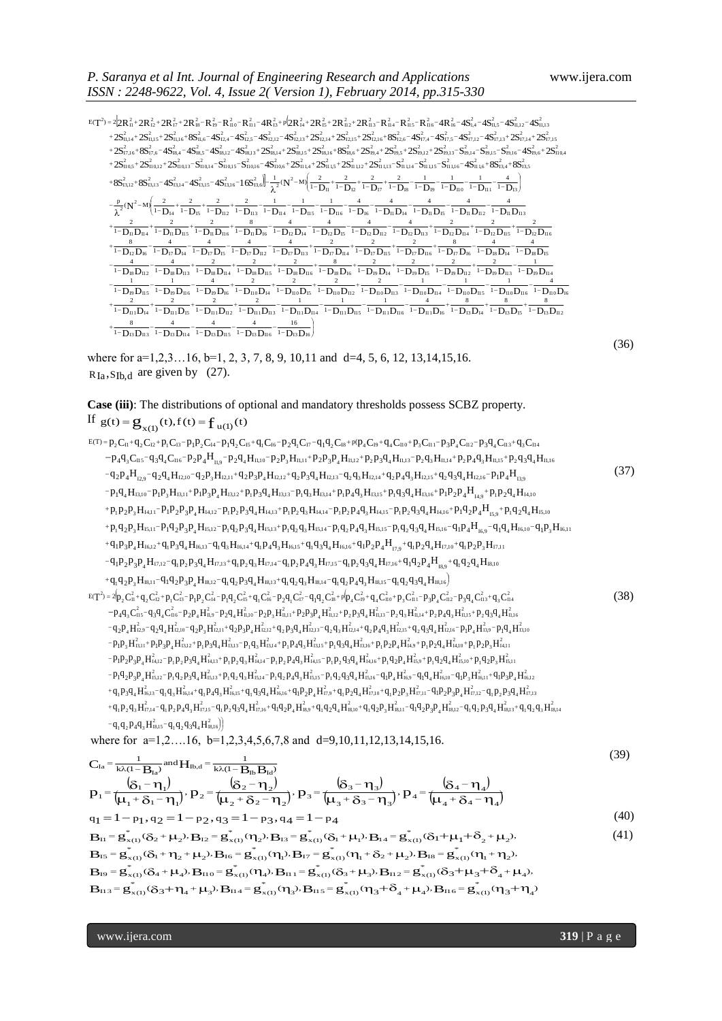$\left\|-\frac{1}{\lambda^2}(N^2-M)\right\|^2\frac{2}{1-D_{11}}+\frac{2}{1-D_{12}}+\frac{2}{1-D_{13}}+\frac{2}{1-D_{18}}-\frac{1}{1-D_{19}}-\frac{1}{1-D_{110}}-\frac{1}{1-D_{111}}-\frac{4}{1-D_{13}}\right\}$  $+ \frac{2}{1-D_{11}D_{14}} + \frac{2}{1-D_{11}D_{15}} + \frac{2}{1-D_{11}D_{15}} + \frac{2}{1-D_{11}D_{13}} + \frac{2}{1-D_{11}D_{13}} + \frac{2}{1-D_{11}D_{13}} + \frac{2}{1-D_{11}D_{15}} + \frac{2}{1-D_{11}D_{15}} + \frac{2}{1-D_{11}D_{15}} + \frac{2}{1-D_{11}D_{15}} + \frac{2}{1-D_{11}D_{15}} + \frac{2}{1-D_{11}D_{15}} + \frac{2}{1-D_{11}D_{15$ λ  $\frac{2}{D_{11}D_{14}} + \frac{2}{1-D_{11}D_{15}} + \frac{2}{1-D_{11}D_{112}} + \frac{2}{1-D_{11}D_{113}} - \frac{1}{1-D_{11}D_{114}} - \frac{1}{1-D_{11}D_{115}} - \frac{1}{1-D_{11}D_{116}} - \frac{4}{1-D_{11}D_{16}} + \frac{8}{1-D_{13}D_{14}} + \frac{8}{1-D_{13}D_{15}} + \frac{8}{1-D_{13}D_{15}} + \frac{8}{1-D_{13}D_{15}} + \frac{8}{1-D_{13}D$  $+\frac{1}{1-1}$  $+\frac{1}{1-1}$  $-\frac{1}{1-D_{19}D_{115}}-\frac{1}{1-D_{19}D_{116}}-\frac{1}{1-D_{19}D_{16}}+\frac{1}{1-D_{10}D_{14}}+\frac{1}{1-D_{10}D_{15}}+\frac{1}{1-D_{10}D_{112}}+\frac{1}{1-D_{10}D_{113}}-\frac{1}{1-D_{10}D_{114}}-\frac{1}{1-D_{10}D_{115}}-\frac{1}{1-D_{10}D_{116}}-\frac{1}{1-D_{10}D_{116}}-\frac{1}{1-D_{10}D_{116}}-\frac{1}{1-D_{10}D_{116}}-\frac$  $\frac{4}{10}$   $\frac{4}{10}$   $\frac{4}{10}$   $\frac{2}{10}$   $\frac{2}{10}$   $\frac{2}{10}$   $\frac{2}{10}$   $\frac{2}{10}$   $\frac{2}{10}$   $\frac{8}{10}$   $\frac{8}{10}$   $\frac{2}{10}$   $\frac{2}{10}$   $\frac{2}{10}$   $\frac{2}{10}$   $\frac{2}{10}$   $\frac{2}{10}$   $\frac{2}{10}$   $\frac{2}{10}$   $\frac{2}{10}$   $\frac{1}{1}$  $+\frac{1}{1-D_{12}D_{16}}-\frac{1}{1-D_{17}D_{14}}-\frac{1}{1-D_{17}D_{15}}-\frac{1}{1-D_{17}D_{112}}-\frac{1}{1-D_{17}D_{113}}+\frac{2}{1-D_{17}D_{114}}+\frac{2}{1-D_{17}D_{115}}+\frac{2}{1-D_{17}D_{116}}+\frac{1}{1-D_{17}D_{16}}-\frac{1}{1-D_{18}D_{14}}-\frac{1}{1-D_{18}D_{15}}-\frac{1}{1-D_{18}D_{15}}-\frac{1}{1-D_{18}D_{15}}-\frac{1}{1-D$  $+\frac{2}{1-D_{\rm B}D_{\rm B4}}+\frac{2}{1-D_{\rm B}D_{\rm BS}}+\frac{2}{1-D_{\rm B}D_{\rm B6}}+\frac{8}{1-D_{\rm B}D_{\rm B6}}-\frac{4}{1-D_{\rm B}D_{\rm B4}}-\frac{4}{1-D_{\rm B}D_{\rm bs}}-\frac{4}{1-D_{\rm B}D_{\rm bs}}-\frac{4}{1-D_{\rm B}D_{\rm bs}}+\frac{2}{1-D_{\rm B}D_{\rm B4}}+\frac{2}{1-D_{\rm B}D_{\rm bs}}+\frac{2}{1-D_{\rm B}D_{\rm bs}}+\frac{2}{1-D_{\rm B}D_{\rm bs$  $\frac{2}{1-D_{14}}+\frac{2}{1-D_{15}}+\frac{2}{1-D_{12}}+\frac{2}{1-D_{113}}-\frac{1}{1-D_{114}}-\frac{1}{1-D_{115}}-\frac{1}{1-D_{116}}-\frac{4}{1-D_{16}}-\frac{4}{1-D_{11}D_{14}}-\frac{4}{1-D_{11}D_{15}}-\frac{4}{1-D_{11}D_{12}}-\frac{4}{1-D_{11}D_{12}}-\frac{4}{1-D_{11}D_{13}}-\frac{4}{1-D_{11}D_{13}}-\frac{4}{1-D_{11}D_{12}}-\frac{4}{1-D_{11}D_{13}}$ ſ  $-\frac{1}{1-D_{14}}+\frac{1}{1-D_{15}}+\frac{1}{1-D_{113}}+\frac{1}{1-D_{113}}-\frac{1}{1-D_{114}}-\frac{1}{1-D_{115}}-\frac{1}{1-D_{116}}-\frac{1}{1-D_{11}}-\frac{1}{1-D_{11}}-\frac{1}{1-D_{11}}-\frac{1}{1-D_{11}}-\frac{1}{1-D_{11}}-\frac{1}{1-D_{11}}-\frac{1}{1-D_{11}}-\frac{1}{1-D_{11}}-\frac{1}{1-D_{11}}-\frac{1}{1-D_{11}}-\frac{1}{1-D_{11}}-\frac{1}{1-D_{11}}-\frac{1}{1$  $-\frac{P}{r}$  (N<sup>2</sup>-1 Ι  $\frac{2}{1-D_{11}}+\frac{2}{1-D_{12}}+\frac{2}{1-D_{17}}+\frac{2}{1-D_{18}}-\frac{1}{1-D_{19}}-\frac{1}{1-D_{10}}-\frac{1}{1-D_{11}}-\frac{1}{1-1}$ ſ  $+8S_{13,12}^2+8S_{13,13}^2-4S_{13,14}^2-4S_{13,15}^2-4S_{13,16}^2-16S_{13,6}^2-\frac{1}{\lambda^2}(N^2-M)\left(\frac{2}{1-D_{11}}+\frac{2}{1-D_{12}}+\frac{2}{1-D_{17}}+\frac{2}{1-D_{18}}-\frac{1}{1-D_{19}}-\frac{1}{1-D_{10}}-\frac{1}{1-D_{11}}-\frac{1}{1-D_{13}}\right)$  $+2S_{10,9}^2+2S_{10,0,12}^2+2S_{10,0,13}^2-S_{10,0,4}^2-S_{10,0,5}^2+S_{10,0,6}^2+S_{10,16}^2+S_{11,14}^2+S_{11,12}^2+2S_{11,13}^2-S_{11,14}^2-S_{11,15}^2-S_{11,16}^2+S_{11,16}^2+S_{13,4}^2+S_{13,5}^2+S_{12,6}^2+S_{12,6}^2+S_{12,6}^2+S_{12,6}^2+S_{12,6}^2+S_{1$  $+2\mathrm{S}_{17,16}^2+\mathrm{8S}_{17,6}^2-\mathrm{4S}_{18,4}^2-\mathrm{4S}_{18,5}^2-\mathrm{4S}_{18,13}^2+\mathrm{2S}_{18,13}^2+\mathrm{2S}_{18,14}^2+\mathrm{2S}_{18,16}^2+\mathrm{2S}_{18,16}^2+\mathrm{8S}_{18,6}^2+\mathrm{2S}_{19,4}^2+\mathrm{2S}_{19,5}^2+\mathrm{2S}_{19,13}^2-\mathrm{S}_{19,14}^2-\mathrm{S}_{19,15}^2-\mathrm{S}_{19,16}^2-\mathrm{8$  $+2S_{0,14}^2+2S_{1,15}^2+2S_{1,16}^2+S_{2,16}^2+S_{12,4}^2-S_{12,5}^2+S_{12,12}^2+S_{12,13}^2+S_{12,15}^2+S_{12,16}^2+S_{12,16}^2+S_{12,16}^2+S_{17,4}^2+S_{17,12}^2+S_{17,13}^2+S_{17,14}^2+S_{17,15}^2+S_{17,16}^2+S_{17,17}^2+S_{17,18}^2+S_{17,19}^2+S_{17,19}^2+S$  $T^2$  = 2 $2R_1^2$  +  $2R_2^2$  +  $2R_{17}^2$  +  $2R_{18}^2$  –  $R_{19}^2$  –  $R_{10}^2$  –  $R_{10}^2$  –  $R_{11}^2$  –  $4R_{15}^2$  +  $p_4^2R_{15}^2$  +  $2R_{18}^2$  +  $2R_{113}^2$  –  $R_{14}^2$  –  $R_{15}^2$  –  $R_{16}^2$  –  $4R_{16}^2$  –  $4R_{16}^2$  $\lambda^2$  $\mathbf{N}^2$  $225_{10,14}^{2}+2R_{12}^{2}+2R_{17}^{2}+2R_{18}^{2}-R_{10}^{2}-R_{110}^{2}-R_{111}^{2}+4R_{13}^{2}+p(2R_{14}^{2}+2R_{15}^{2}+2R_{112}^{2}+2R_{113}^{2}-R_{14}^{2}-R_{15}^{2}-R_{16}^{2}-4R_{16}^{2}-4S_{14}^{2}-4S_{14}^{2}-4S_{14}^{2}-4S_{14}^{2}-4S_{14}^{2}-4S_{14}^{2}-8_{14}^{2}-8_{$  $\frac{1}{1000}$ <br>  $\frac{1}{1000}$ <br>  $\frac{1}{1000}$ <br>  $\frac{2}{1000}$ <br>  $\frac{2}{1000}$ <br>  $\frac{2}{1000}$ <br>  $\frac{2}{1000}$ <br>  $\frac{2}{1000}$ <br>  $\frac{2}{1000}$ <br>  $\frac{2}{1000}$ <br>  $\frac{2}{1000}$ <br>  $\frac{2}{1000}$ <br>  $\frac{2}{1000}$ <br>  $\frac{2}{1000}$ <br>  $\frac{2}{1000}$ <br>  $\frac{2}{1000}$  $\frac{4}{15}$ <br>  $\frac{4}{15}$ <br>  $\frac{1}{15}$ <br>  $\frac{1}{15}$ <br>  $\frac{1}{15}$ <br>  $\frac{1}{15}$ <br>  $\frac{1}{15}$ <br>  $\frac{1}{15}$ <br>  $\frac{1}{15}$ <br>  $\frac{1}{15}$ <br>  $\frac{1}{15}$ <br>  $\frac{1}{15}$ <br>  $\frac{1}{15}$ <br>  $\frac{1}{15}$ <br>  $\frac{1}{15}$ <br>  $\frac{1}{15}$ <br>  $\frac{1}{15}$ <br>  $\frac{1}{15}$ <br>  $\frac{1$  $\frac{1}{18}$   $\frac{1}{18}$   $\frac{1}{18}$   $\frac{1}{18}$   $\frac{1}{18}$   $\frac{1}{18}$   $\frac{1}{18}$   $\frac{1}{18}$   $\frac{1}{18}$   $\frac{1}{18}$   $\frac{1}{18}$   $\frac{1}{18}$   $\frac{1}{18}$   $\frac{1}{18}$   $\frac{1}{18}$   $\frac{1}{18}$   $\frac{1}{18}$   $\frac{1}{18}$   $\frac{1}{18}$   $\frac{1}{18}$   $\frac{2}{10}$ <br>  $\frac{2}{10}$ <br>  $\frac{1}{10}$ <br>  $\frac{8}{10}$ <br>  $\frac{4}{10}$ <br>  $\frac{1}{10}$ <br>  $\frac{1}{10}$ <br>  $\frac{1}{10}$ <br>  $\frac{1}{10}$ <br>  $\frac{1}{10}$ <br>  $\frac{1}{10}$ <br>  $\frac{1}{10}$ <br>  $\frac{1}{10}$ <br>  $\frac{1}{10}$ <br>  $\frac{1}{10}$ <br>  $\frac{1}{10}$ <br>  $\frac{1}{10}$ <br>  $\frac{1}{10}$ <br>  $\frac{1$  $\begin{array}{l} \displaystyle N^2-M\Bigg(\frac{2}{1-D_{14}}+\frac{2}{1-D_{13}}+\frac{2}{1-D_{113}}+\frac{2}{1-D_{113}}-\frac{1}{1-D_{114}}-\frac{1}{1-D_{116}}-\frac{1}{1-D_{116}}-\frac{4}{1-D_{11}}\frac{4}{1-D_{11}D_{115}}-\frac{4}{1-D_{11}D_{115}}-\frac{4}{1-D_{11}D_{112}}-\frac{4}{1-D_{11}D_{113}}\\ \displaystyle \frac{2}{1-D_{11}D_{115}}+\frac{2}{1-D_{11}D_{115}}+\frac{8$  $S_{13,14}^2 - 4S_{13,15}^2 - 4S_{13,16}^2 - 16S_{13,6}^2$ <br>  $\frac{1}{\lambda^2}(N^2 - M) \left( \frac{2}{1 - D_{11}} + \frac{2}{1 - D_{12}} + \frac{2}{1 - D_{13}} - \frac{1}{1 - D_{10}} - \frac{1}{1 - D_{11}} - \frac{1}{1 - D_{11}} - \frac{1}{1 - D_{11}} - \frac{1}{1 - D_{11}} \right)$ <br>  $\frac{1}{1 - D_{11}} + \frac{2}{1 - D_{112}} + \frac{2}{1 - D_{11$ 2 2  $\left[2\atop{13,16} - 16S_{13,6}^2\right] - \frac{1}{2}N^2$  $12^{-2}$ <br>2<br>II0,15<br>2<br>I3,16 2  $8,5 - 4$ <br>  $12$ <br>  $110,1$ <br>  $2$ <br>  $13,15$ 2  $\frac{1}{18,4} - \frac{1}{13,14}$ 2  $\frac{1}{17,6}$ <br>  $\frac{1}{10,1}$ <br>  $\frac{2}{13,13}$ 2  $\begin{aligned} &\frac{2}{1716}+88_{17,6}^2-48_{18,4}^2-48_{18,5}^2-48_{18,12}^2-48_{18,13}^2+28_{18,14}^2+28_{18,15}^2+28_{18,16}^2+88_{18,6}^2+28_{19,4}^2+28_{19,5}^2+28_{19,12}^2+28_{19,13}^2-8_{19,13}^2-8_{19,15}^2-8_{19,15}^2-8_{19,15}^2-8_{19,15}^$ I1 1,6 I1 1,1 6 I1 1,1 5 I1 1,1 4 I1 1,1 3 I1 1,1 2 I1 1,5 I1 1,4 I1 0,6 I1 0,1 6 I1 0,1 5 I1 0,1 4 I1 0,1 3 I1 0,1 2 I1 0,5 2 5<br>2<br>II10,4  $\frac{2}{19,16}$  –  $4S_{19,6}^2$ .  $4S_{II}^{2}$ <br>+ 25<br> $2$ <br> $(19,16)$ <br>+ 81 2  ${4S_{11,2}^2}$ <br>  ${4S_{17}^2}$ <br>  ${2.19,15}$ <br>  $+85$ 2  $\frac{1}{\sqrt{5}}\sum_{17,11}^{2}$ <br>  $\frac{2}{19,14}$ 2  $R_{16}^2$ <br> $R_{17,5}^2$ <br> $R_{19,13}^2$ <br> $R^2$ 2  $R_{11}^2$ <br>  $S_{17,4}^2$ <br>  $(19,12)$ <br>  $\cdot S^2$  $^{2}_{18,16}$  +  $8S_{18,6}^{2}$  +  $2S_{19,4}^{2}$  +  $2S_{19,5}^{2}$  $\frac{2}{15} + \frac{2}{2}$ <br>2,14<sup>+</sup><br>2<br>18,16<sup>-</sup> 2  $R_{14}^{2}$  +<br>2,13<sup>+</sup><br>18,15<sup>-</sup><br> $R^2$ 2  $R_{13}^{2}$  +<br>2,12 -<br>18,14  $R_{2}^{2}$ 2  $R_{\text{II}}^2$ <br>  $R_{\text{II}}^2$ <br>  $R_{\text{II}}^2$ <br>  $R_{\text{II}}^2$ 2  $R_1^2$ <br> $R_2^2$ <br> $R_3$ ,12<br> $R_4$ <br> $R_5$  $^{2}_{17,16}$  +  $8S^2_{17,6}$  –  $4S^2_{18,4}$  –  $4S^2_{18,5}$  .  $R_{II}^2$ <sup>+</sup><br> $R_{II,14}^2$ <sup>+</sup><br> $R_{II,16}^2$ <sup>-</sup>  $\frac{13}{17,15}$ <br> $2\sqrt{17,15}$  ${}^{2}_{11,14}$  +  $2S^{2}_{11,15}$  +  $2S^{2}_{11,16}$  +  $8S^{2}_{11,6}$  –  $4S^{2}_{12,5}$  –  $4S^{2}_{12,12}$  –  $4S^{2}_{12,13}$  +  $2S^{2}_{12,14}$  +  $2S^{2}_{12,15}$  +  $2S^{2}_{12,16}$  +  $8S^{2}_{12,6}$  –  $4S^{2}_{17,4}$  –  $4S^{2}_{17,5}$  –  $4S^{2}_{17,12}$  –  $4S$  $R_{11}^2 + 2R_{12}^2 + 2R_{17}^2 + 2R_{18}^2 - R_{19}^2 - R_{10}^2 - R_{11}^2 - 4R_{13}^2 + p(2R_{14}^2 + 2R_{15}^2 + 2R_{112}^2 + 2R_{113}^2 - R_{114}^2 - R_{115}^2 - R_{116}^2 - 4R_{16}^2 - 4S_{14}^2 - 4S_{145}^2 - 4S_{145}^2 + 2S_{145}^2 + 2S_{145}^2 + 2S_{145}^2 + 2S$ 2  $\frac{2}{11,13}$ 2  $\frac{2}{11,12}$ <br> $\sqrt{S^2}$  $E(T^2) = 2[2R_H^2 + 2R_{12}^2 + 2R_{17}^2 + 2R_{18}^2 - R_{19}^2 - R_{10}^2 - R_{11}^2 - 4R_{13}^2 + p(2R_{14}^2 + 2R_{15}^2 + 2R_{112}^2 + 2R_{113}^2 - R_{114}^2 - R_{115}^2 - R_{116}^2 - 4R_{16}^2 - 4S_{14}^2 - 4S_{15}^2]$  $\frac{2}{\pi}$ <br> $\frac{2}{\pi}$  $\frac{1}{2}$ <br> $\frac{2}{115}$ <br> $= 4$  $\frac{2}{114}$  $\frac{a_1}{a_2}$  $\frac{1}{2}$ <sup>2</sup><br> $\frac{1}{2}$ <sub>2</sub>  $\frac{e}{\frac{2}{11}}$  $\frac{I_{S}}{I_{\text{no}}}$ <br>= 4  $\frac{8}{1-D_{12}D_{112}} - \frac{4}{1-D_{12}D_{114}} - \frac{4}{1-D_{12}D_{115}} - \frac{4}{1-D_{12}D_{115}} - \frac{4}{1-D_{12}D_{116}} - \frac{4}{1-D_{12}D_{115}}$  $\frac{2}{\rho_{\rm 110}}$ <br> $\frac{1}{\rho_{\rm 110}}$ <br> $\frac{16}{\rho_{\rm 13}}$ 2 2  $\frac{1}{1-\text{Diag D}_{100}} - \frac{1}{1-\text{Diag D}_{100}} - \frac{4}{1-\text{Diag D}_{100}} + \frac{2}{1-\text{Diag D}_{100}} + \frac{2}{1-\text{Diag D}_{100}} + \frac{2}{1-\text{Diag D}_{100}} + \frac{2}{1-\text{Diag D}_{100}} - \frac{1}{1-\text{Diag D}_{100}} - \frac{1}{1-\text{Diag D}_{100}} - \frac{1}{1-\text{Diag D}_{100}} - \frac{1}{1-\text{Diag D}_{100}} - \frac{4}{1-\text{Diag D}_{100}} - \frac{1$ 4  $\frac{8}{1-\sum_{12}\left|\sum_{13}\right|_{16}}-\frac{4}{1-\sum_{12}\left|\sum_{13}\right|_{16}}-\frac{4}{1-\sum_{12}\left|\sum_{13}\right|_{12}}-\frac{4}{1-\sum_{12}\left|\sum_{13}\right|_{16}}+\frac{2}{1-\sum_{12}\left|\sum_{14}\right|_{16}}+\frac{2}{1-\sum_{12}\left|\sum_{15}\right|_{16}}+\frac{8}{1-\sum_{12}\left|\sum_{16}\right|_{16}}-\frac{4}{1-\sum_{13}\left|\sum_{15}\right|_{16}}-\frac{4}{1-\sum_{15}\left|\sum_{15}\right$  $\frac{2}{1-\mathbf{D}_{14}}+\frac{2}{1-\mathbf{D}_{15}}+\frac{2}{1-\mathbf{D}_{112}}+\frac{2}{1-\mathbf{D}_{113}}-\frac{1}{1-\mathbf{D}_{114}}-\frac{1}{1-\mathbf{D}_{116}}-\frac{1}{1-\mathbf{D}_{116}}-\frac{4}{1-\mathbf{D}_{16}}-\frac{4}{1-\mathbf{D}_{11}}-\frac{4}{1-\mathbf{D}_{11}}-\frac{4}{1-\mathbf{D}_{11}}-\frac{4}{1-\mathbf{D}_{11}}-\frac{4}{1-\mathbf{D}_{11}}-\frac{4}{1-\mathbf{D}_{11}}-\frac{4}{$  $(N^2-M)$ p (36)

where for a=1,2,3...16, b=1, 2, 3, 7, 8, 9, 10,11 and d=4, 5, 6, 12, 13,14,15,16.  $R_{Ia}$ ,  $S_{Ib}$ , are given by (27).

# **Case (iii)**: The distributions of optional and mandatory thresholds possess SCBZ property.

If  $g(t) = g_{x(1)}(t), f(t) = f_{u(1)}(t)$ 

**P EVALUE ASSESS EXECUTION C EVALUE ASSESS EXECUTION C EVALUE ASSESS EXECUTION C EVALUE ASSESS** EXECUTION **C EVALUE ASSESS** EXECUTION **C EVALUE ASSESS** EXECUTION **C EVALUE ASSESS** EXECUTION **C EVAL**  $+q_{\mathrm{i}}q_{\mathrm{2}}p_{\mathrm{3}}H_{\mathrm{18,11}}-q_{\mathrm{1}}q_{\mathrm{2}}p_{\mathrm{3}}p_{\mathrm{4}}H_{\mathrm{18,12}}-q_{\mathrm{i}}q_{\mathrm{2}}p_{\mathrm{3}}q_{\mathrm{4}}H_{\mathrm{18,13}}+q_{\mathrm{i}}q_{\mathrm{2}}q_{\mathrm{3}}H_{\mathrm{18,14}}-q_{\mathrm{i}}q_{\mathrm{2}}p_{\mathrm{4}}q_{\mathrm{3}}H_{\mathrm{18,15}}-q_{\mathrm{i}}q_{\mathrm{2}}q_{\mathrm{3}}q_{\mathrm{4}}H_{\mathrm{18,16$  $-q_1p_2p_3p_4H_{17,12}-q_1p_2p_3q_4H_{17,13}+q_1p_2q_3H_{17,14}-q_1p_2p_4q_3H_{17,15}-q_1p_2q_3q_4H_{17,16}+q_1q_2p_4H_{18,6}+q_1q_2q_4H_{18,6}$  $\begin{aligned} +&\,p_{1}p_{2}p_{3}H_{44,11}-p_{1}p_{2}p_{3}p_{4}H_{14,12}-p_{1}p_{2}p_{3}q_{4}H_{45,13}+p_{1}p_{2}q_{3}H_{45,14}-p_{1}p_{2}p_{4}q_{3}H_{14,15}-p_{1}p_{2}q_{3}q_{4}H_{44,16}+p_{1}q_{2}p_{4}H_{15,9}\\ +&\,p_{1}q_{2}p_{3}H_{45,11}-p_{1}q_{2}p_{3}p_{4}H_{15,12}-p_{1}q_{$  $+p_1q_2p_3H_{15,11}-p_1q_2p_3p_4H_{15,12}-p_1q_2p_3q_4H_{15,13}+p_1q_2q_3H_{15,14}-p_1q_2p_4q_4H_{15,15}-p_1q_2q_3q_4H_{15,16}-q_1p_4H_{16,9}-q_1q_4H_{16,10}-q_1p_3H_{16,10}-q_1p_4H_{16,10}-q_1p_4H_{16,10}-q_1p_4H_{16,10}-q_1p_4H_{16,10}-q_1p_4H_{$  $p_1 p_2 p_3 H_{14,11} - p_1 p_2 p_3 p_4 H_{14,12} - p_1 p_2 p_3 q_4 H_{14,13} + p_1 p_2 q_3 H_{14,14} - p_1 p_2 p_4 q_3 H_{14,15} - p_1 p_2 q_3 q_4 H_{14,16} + p_1 q_2 p_4 H_{15,16} + p_1 q_2 q_4 H_{15,16}$  $p_1q_4H_{13,10}-p_1p_3H_{13,11}+p_1p_3p_4H_{13,12}+p_1p_3q_4H_{13,13}-p_1q_3H_{13,14}+p_1p_4q_3H_{13,15}+p_1q_3q_4H_{13,16}+p_1p_2p_4H_{14,0}+p_1p_2q_4H_{14,16}+p_1p_3p_4H_{15,16}+p_1p_4p_4H_{15,16}+p_1p_3p_4H_{15,16}+p_1p_4p_4H_{15,16$  $-q_2p_4H_{_{12,9}}-q_2q_4H_{_{12,10}}-q_2p_3H_{_{12,11}}+q_2p_3p_4H_{_{12,12}}+q_2p_3q_4H_{_{12,13}}-q_2q_3H_{_{12,14}}+q_2p_4q_3H_{_{12,15}}+q_2q_3q_4H_{_{12,16}}-p_1p_4H_{_{13,9}}-q_3P_4H_{_{13,16}}-q_3P_4H_{_{13,16}}-q_3P_4H_{_{13,16}}-q_3P_4H_{_{13,16}}-q_$  $p_{4}q_{3}C_{115}-q_{3}q_{4}C_{116}-p_{2}p_{4}H_{119}-p_{2}q_{4}H_{11,10}-p_{2}p_{3}H_{11,11}+p_{2}p_{3}p_{4}H_{11,12}+p_{2}p_{3}q_{4}H_{11,13}-p_{2}q_{3}H_{11,14}+p_{2}p_{4}q_{3}H_{11,15}+p_{2}q_{3}q_{4}H_{11,14}+p_{3}p_{4}q_{4}H_{11,15}+p_{3}p_{4}q_{4}H_{11,15}+p_{4$ Case (iii): The distributions of optional and mandatory thresholds possess SCBZ property.<br>
If  $g(t) = g_{x(1)}(t)$ ,  $f(t) = f_{u(1)}(t)$ <br>  $g(t) = g_{y(1)}(t)$ ,  $f(t) = f_{u(1)}(t)$ <br>  $g(t) = g_{y(1)}(t)$ ,  $f(t) = f_{u(1)}(t)$ <br>  $g(t) = g_{y(1)}(t)$ ,  $g_{y(1)}($  $\begin{aligned} \n\frac{1}{1}P_3P_4H_{16,12} + q_1P_3q_4H_{16,13} - q_1q_3H_{16,14} + q_1P_4q_3H_{16,15} + q_1q_3q_4H_{16,16} + q_1P_2P_4H_{17,9} + q_1P_2q_4H_{17,16} + q_1P_2q_4H_{17,16} + q_1P_2P_3P_4H_{17,12} - q_1P_2P_3q_4H_{17,13} + q_1P_2q_3H_{17,14} - q_1P_2P_4$  $\begin{split} &\frac{1}{1}q_{2}p_{3}H_{15,11}-p_{1}q_{2}p_{3}p_{4}H_{15,13}-p_{1}q_{2}p_{3}q_{4}H_{15,13}+p_{1}q_{2}q_{3}H_{15,14}-p_{1}q_{2}p_{4}q_{3}H_{15,15}-p_{1}q_{2}q_{3}q_{4}H_{15,16}-q_{1}p_{4}H_{16,9}-q_{11}q_{3}p_{4}H_{16,15}+q_{1}p_{4}q_{3}H_{16,15}+q_{1}q_{3}q_{4}H_{16$  $q_2p_4H_{_{15,9}}+1$ <br>  $p_4H_{_{16,9}}-q_1q_{_{11}}$ <br>  $q_1p_2p_3H_{_{17,11}}$ 4  $H_{13,10} - p_1 p_3 H_{13,11} + p_1 p_3 p_4 H_{13,12} + p_1 p_3 q_4 H_{13,13} - p_1 q_3 H_{13,14} + p_1 p_4 q_3 H_{13,15} + p_1 q_3 q_4 H_{13,16} + p_1 p_2 p_4 H_{14,9} + p_1 p_2 q_4 H_{14,10}$ <br>  ${}_{2}p_3 H_{14,11} - p_1 p_2 p_3 p_4 H_{14,12} - p_1 p_2 p_3 q_4 H_{14,13} + p_1 p_2 q_3 H_{1$  $\begin{split} &\frac{1}{1}q_{4}H_{13,10}-p_{1}p_{3}H_{13,11}+p_{1}p_{3}p_{4}H_{13,12}+p_{1}p_{3}q_{4}H_{13,13}-p_{1}q_{3}H_{13,14}+p_{1}p_{4}q_{3}H_{13,15}+p_{1}q_{3}q_{4}H_{13,16}+p_{1}p_{2}p_{4}H_{14,19}+p_{1}p_{2}q_{4}H_{14,16}\\ &\frac{1}{1}p_{2}p_{3}H_{14,11}-p_{1}p_{2}p_{3}p$  $\begin{split} &\mathcal{L}_4H_{12,9}-q_2q_4H_{12,10}-q_2P_3H_{12,11}+q_2P_3P_4H_{12,13}+q_2P_3q_4H_{12,14}+q_2P_4q_3H_{12,15}+q_2q_3q_4H_{12,16}-p_1P_4H_{13,9}\ &\mathcal{L}_4H_{13,10}-p_1p_3H_{13,11}+p_1p_3p_4H_{13,12}+p_1p_3q_4H_{13,13}-p_1q_3H_{13,14}+p_1p_4$  ${}_{2}P_{4}H_{12,9} - q_{2}q_{4}H_{12,10} - q_{2}p_{3}H_{12,11} + q_{2}p_{3}p_{4}H_{12,12} + q_{2}p_{3}q_{4}H_{12,13} - q_{2}q_{3}H_{12,14} + q_{2}p_{4}q_{3}H_{12,15} + q_{2}q_{4}q_{4}q_{5}$ <br>  ${}_{1}q_{4}H_{13,10} - p_{1}p_{3}H_{13,11} + p_{1}p_{3}p_{4}H_{13,12} + p_{1}p_{3}q_{4}H_{1$  $\begin{aligned} &\mathcal{L}_4\mathbf{q}_3\mathbf{C}_{115}-\mathbf{q}_3\mathbf{q}_4\mathbf{C}_{116}-\mathbf{p}_2\mathbf{p}_4\mathbf{H}_{119}-\mathbf{p}_2\mathbf{q}_4\mathbf{H}_{11,11}+\mathbf{p}_2\mathbf{p}_3\mathbf{p}_4\mathbf{H}_{11,12}+\mathbf{p}_2\mathbf{p}_3\mathbf{q}_4\mathbf{H}_{11,13}-\mathbf{p}_2\mathbf{q}_3\mathbf{H}_{11,14}+\mathbf{p}_2\mathbf{p}_4\mathbf{q}_4\mathbf$  $\begin{aligned} &\frac{1}{2}C_{12}+p_1C_{13}-p_1p_2C_{14}-p_1q_2C_{15}+q_1C_{16}-p_2q_1C_{17}-q_1q_2C_{18}+p(p_4C_{19}+q_4C_{10}+p_3C_{11}-p_3p_4C_{112}-p_3s_{15}-q_3q_4C_{116}-p_2p_4H_{11,9}-p_2q_4H_{11,10}-p_2p_3H_{11,11}+p_2p_3p_4H_{11,12}+p_2p_3q_4H_{11,13}-p_2$  $\mathbf{B} = \mathbf{g}_{\mathbf{x}(1)}(t), f(t) = \mathbf{f}_{\mathbf{u}(1)}(t)$ <br>  $C_{\mathbf{u}} + q_2 C_{\mathbf{u}} + p_1 C_{\mathbf{I}5} - p_1 p_2 C_{\mathbf{u}} - p_1 q_2 C_{\mathbf{I}5} + q_1 C_{\mathbf{I}6} - p_2 q_1 C_{\mathbf{I}7} - q_1 q_2 C_{\mathbf{I}8} + p(p_4 C_{\mathbf{I}9} + q_4 C_{\mathbf{I}10} + p_3 C_{\mathbf{I}11} - p_3 p_4 C_{\mathbf{$  (37)  $T^2 = 2(p_2C_0^2 + q_2C_2^2 + p_1C_0^2 - p_2p_4H_{0.9}^2 - p_2q_4H_{0.10}^2 - p_2q_1C_0^2 - q_1q_2C_0^2 + p_1p_4C_0^2 + q_4C_{10}^2 + p_3C_{01}^2 - p_3p_4C_{02}^2 - p_3q_4C_{03}^2 + q_3C_{01}^2 - p_4q_3C_{03}^2 - q_2q_4H_{0.9}^2 - p_2q_4H_{0.10}^2 - p_2p_3H_{0.11}^$  $-q_1q_2p_4q_3H_{18,15}^2-q_1q_2q_3q_4H_{18,16}^2$  ${}^+q_1P_2q_3H_{\text{7,14}}^2 - q_1P_2P_4q_3H_{\text{7,15}}^2 - q_1P_2q_3q_4H_{\text{17,16}}^2 + q_1q_2P_4H_{\text{18,9}}^2 + q_1q_2q_4H_{\text{18,10}}^2 + q_1q_2P_3H_{\text{18,11}}^2 - q_1q_2P_3P_4H_{\text{18,12}}^2 - q_1q_2P_3q_4H_{\text{18,13}}^2 + q_1q_2q_3H_{\text{18,14}}^2 - q$  $+q_{_{1}}p_{_{3}}q_{_{4}}H_{16,13}^{2}-q_{_{1}}q_{_{3}}H_{16,14}^{2}+q_{_{1}}p_{4}q_{_{3}}H_{16,15}^{2}+q_{_{1}}q_{_{3}}q_{_{4}}H_{16,16}^{2}+q_{_{1}}p_{_{2}}p_{_{4}}H_{17,9}^{2}+q_{_{1}}p_{2}q_{_{4}}H_{17,10}^{2}+q_{_{1}}p_{2}p_{_{3}}H_{17,11}^{2}-q_{1}p_{_{2}}p_{_{3}}p_{_{4}}H_{17,12}^{2}-q_{_{1}}p_{_{2}}p$  $\begin{aligned} &-\mathbf{p}_1\mathbf{q}_2\mathbf{p}_3\mathbf{p}_4\mathbf{H}^2_{16,12}-\mathbf{p}_1\mathbf{q}_2\mathbf{p}_3\mathbf{q}_4\mathbf{H}^2_{16,13}+\mathbf{p}_1\mathbf{q}_2\mathbf{q}_3\mathbf{H}^2_{16,14}-\mathbf{p}_1\mathbf{q}_2\mathbf{p}_4\mathbf{q}_3\mathbf{H}^2_{16,15}-\mathbf{p}_1\mathbf{q}_2\mathbf{p}_3\mathbf{q}_4\mathbf{H}^2_{16,16}-\mathbf{q}_$  $-p_1p_2p_3p_4H_{\rm 14,12}^2-p_1p_2p_3q_4H_{\rm 14,13}^2+p_1p_2q_3H_{\rm 14,14}^2-p_1p_2p_4q_3H_{\rm 14,15}^2-p_1p_2q_3q_4H_{\rm 14,16}^2+p_1q_2p_4H_{\rm 15,9}^2+p_1q_2q_4H_{\rm 15,10}^2+p_1q_2p_3H_{\rm 15,16}^2+p_1q_2p_4H_{\rm 15,16}^2+p_1q_2p_4H_{$  ${}^-\mathsf{p}_1\mathsf{p}_3\mathsf{H}_{13,1}^2 + \mathsf{p}_1\mathsf{p}_3\mathsf{p}_4\mathsf{H}_{13,13}^2 - \mathsf{p}_1\mathsf{q}_3\mathsf{H}_{13,14}^2 + \mathsf{p}_1\mathsf{p}_4\mathsf{q}_3\mathsf{H}_{13,15}^2 + \mathsf{p}_1\mathsf{q}_3\mathsf{q}_4\mathsf{H}_{13,16}^2 + \mathsf{p}_1\mathsf{p}_2\mathsf{p}_4\mathsf{H}_{14,9}^2 + \mathsf{p}_1\mathsf{p}_2\mathsf{$  $\begin{aligned} &-q_2p_4H_{12,9}^2-q_2q_4H_{12,10}^2-q_2p_3H_{12,11}^2+q_2p_3p_4H_{12,12}^2+q_2p_3q_4H_{12,13}^2-q_3q_3H_{12,14}^2+q_2p_4q_3H_{12,15}^2+q_2q_3q_4H_{12,16}^2-p_1p_4H_{13,9}^2-p_1q_4H_{13,16}^2\\ &-p_1p_3H_{13,11}^2+p_1p_3p_4H_{13,12}^2+p$  $-p_4 q_3 C_{115}^2 - q_3 q_4 C_{116}^2 - p_2 p_4 H_{11,9}^2 - p_2 q_4 H_{11,10}^2 - p_2 p_3 H_{11,11}^2 + p_2 p_3 p_4 H_{11,12}^2 + p_2 p_3 q_4 H_{11,13}^2 - p_2 q_3 H_{11,14}^2 + p_2 p_4 q_3 H_{11,15}^2 + p_2 q_3 q_4 H_{11,15}^2$  ${}_{1}P_{3}q_{4}H_{16,13}^{2}-q_{1}q_{3}H_{16,14}^{2}+q_{1}p_{4}q_{1}$ <br>  ${}_{1}P_{2}q_{3}H_{17,14}^{2}-q_{1}p_{2}p_{4}q_{3}H_{17,15}^{2}-q_{1}$ <br>  ${}_{1}q_{2}p_{4}q_{3}H_{18,15}^{2}-q_{1}q_{2}q_{3}q_{4}H_{18,16}^{2}$ 2  $\frac{1}{16,12}$ <br> $\frac{1}{17,13}$ <br> $\frac{1}{11}$   $\frac{1}{12}$   $\frac{1}{18,14}$  ${}^2_{17,14}$  –  $\mathrm{q}_1\mathrm{p}_2\mathrm{p}_4\mathrm{q}_3\mathrm{H}_{17,15}^2$  –  $\mathrm{q}_1\mathrm{p}_2\mathrm{q}_3\mathrm{q}_4\mathrm{H}_{17,16}^2$  +  $\mathrm{q}_1\mathrm{q}_2\mathrm{p}_4\mathrm{H}_{18,9}^2$  +  $\mathrm{q}_1\mathrm{q}_2\mathrm{q}_4\mathrm{H}_{18,10}^2$  +  $\mathrm{q}_1\mathrm{q}_2\mathrm{p}_3\mathrm{H}_{18,11}^2$  –  $\mathrm{q}_1\mathrm{q}_2\mathrm$  $\begin{aligned} &1 & P_2P_3P_4H_{14,12}^2-P_1P_2P_3q_4H_{14,13}^2+P_1P_2q_3H_{14,14}^2-P_1P_2P_4q_3H_{14,15}^2-P_1P_2q_3q_4H_{14,6}^2+P_1q_2P_4H_{15,9}^2+P_1q_2q_4H_{15,10}^2+P_1q_2P_3H_{15,11}^2\\ &1 &P_3P_4H_{15,12}^2-P_1q_2P_3q_4H_{15,13}^2+P_1q_2$ 2 <sup>1</sup><br><sup>4</sup>  $H_{16,12}^2$ <br> $H_{26,12}^2$ 2  $P_1 P_2 P_3$ <br>  $P_3 + P_1 Q_2$ <br>  $P_3 H_{16,11}^2$ 2  $P_2P_4H$ <br> $P_1P_2P_4$ <br> $^4H_{16,10}^2$  $^{2}_{15,16} - q_1 p_4 H_{16,9}^{2}$  $p_1 q_3 q_4 H_{13,16}^{2} + 1$ <br>  $p_1 p_2 q_3 q_4 H_{14,16}^{2}$ <br>  $p_1 q_2 q_3 q_4 H_{15,16}^{2}$ 2  $I_4 + P_1 P_4 Q_3 H_{13,1;1}^2$ <br>  $P_1 P_2 P_4 Q_3 H_{14,15}^2$ <br>  $P_1 Q_2 P_4 Q_3 H_{15,15}^2$ 2  $\frac{1}{13,13}$  –  $P_1 Q_3 H_1$ <br>  $P_1 P_2 Q_3 H_{14,14}^2$ <br>  $P_1 Q_2 Q_3 H_{15,14}^2$ 2  ${}_{1}H_{13,12}^{2} + P_{1}P_{3}Q_{4}$ <br>  ${}_{1}P_{2}P_{3}Q_{4}H_{14,13}^{2}$ <br>  ${}_{1}P_{2}P_{3}Q_{4}H_{15,13}^{2}$ 2  $\begin{aligned} &\frac{1}{12} \sum_{i} H_{\text{IM},i}^2 + P_{i} P_{3} P_{4} H_{\text{IM},i}^2 + P_{1} P_{3} q_{4} H_{\text{IM},i}^2 - P_{1} q_{3} H_{\text{IM},i}^2 + P_{1} q_{3} q_{4} H_{\text{IM},i}^2 + P_{1} P_{2} P_{4} H_{\text{IM},i}^2 + P_{1} P_{2} q_{4} H_{\text{IM},i}^2 + P_{1} P_{2} P_{3} H_{\text{IM},i}^2 + P_{1} P_{2} P_{3} H_{\text{IM},i}^2 + P$  $I_3C_{13}^2 - q_3q_4C_{16}^2 - p_2p_4H_{11,9}^2 - p_2q_4H_{11,10}^2 - p_2p_3H_{11,11}^2 + p_2p_3p_4H_{11,12}^2 + p_2p_3q_4H_{11,13}^2 - p_2q_3H_{11,14}^2 + p_2p_4q_3H_{11,15}^2 + p_2q_3q_4H_{11}^2$ <br>  $I_4H_{12,9}^2 - q_2q_4H_{12,10}^2 - q_2p_3H_{12,11}^2 + q$ 2 2<br>|14<br>|1,16<br>|4  $\text{H}^2_{13,10}$  ${}_{2}P_{4}H_{12,9}^2$  –  $\mathrm{q}_{2}\mathrm{q}_{4}H_{12,10}^2$  –  $\mathrm{q}_{2}\mathrm{p}_{3}\mathrm{H}_{12,11}^2$  +  $\mathrm{q}_{2}\mathrm{p}_{3}\mathrm{p}_{4}\mathrm{H}_{12,12}^2$  +  $\mathrm{q}_{2}\mathrm{p}_{3}\mathrm{q}_{4}\mathrm{H}_{12,13}^2$  –  $\mathrm{q}_{2}\mathrm{q}_{3}\mathrm{H}_{12,14}^2$  +  $\mathrm{q}_{2}\mathrm{p}_{4}\mathrm{q}_{3}\mathrm{H}_{12,15}^2$  +  $\mathrm$  $\frac{1}{12}P_3H_{18,11} - q_1q_2p_3p_4H_{18,12} - q_1q_2p_3q_4H_{18,13} + q_1q_2q_3H_{18,14} - q_1q_2p_4q_3H_{18,15} - q_1q_2q_3q_4H_{18,16}$ <br>  $\frac{1}{12}C_{11}^2 + q_2C_{12}^2 + p_1C_{13}^2 - p_1p_2C_{14}^2 - p_1q_2C_{15}^2 + q_1C_{16}^2 - p_2q_1C_{17}^2 - q_1q$ 2  $\frac{1}{3} C_{114}^2$ 2  $q_4H_1$ <br> $q_4C_{113}^2$ 2  $\begin{bmatrix} 1_{18,9} + 6 \\ 1_{18,16} \end{bmatrix}$ <br>4  $\begin{bmatrix} 1_{12} & 1_{18} \\ 1_{12} & 1_{18} \end{bmatrix}$ 2  $q_1 q_2$ <br> $q_2 q_3 q_3$ <br> $q_3 C_{111}^2$ 2  $_4$  H<sub>17,1</sub><br>  $_{18,15}$  – (<br>  $_4$  C<sub>110</sub><sup>-</sup>  $E(T^2) = 2[p_2C_{11}^2 + q_2C_{12}^2 + p_1C_{13}^2 - p_1p_2C_{14}^2 - p_1q_2C_{15}^2 + q_1C_{16}^2 - p_2q_1C_{17}^2 - q_1q_2C_{18}^2 + p_1p_4C_{19}^2 + q_4C_{110}^2 + p_3C_{111}^2 - p_3p_4C_{12}^2 - p_3qC_{18}^2 - p_4qC_{19}^2]$ (38)

where for a=1,2...16, b=1,2,3,4,5,6,7,8 and d=9,10,11,12,13,14,15,16.

$$
C_{1a} = \frac{1}{k\lambda(1-B_{1a})} \text{ and } H_{1b,d} = \frac{1}{k\lambda(1-B_{1b}B_{1d})}
$$
\n
$$
P_{1} = \frac{(\delta_{1} - \eta_{1})}{(\mu_{1} + \delta_{1} - \eta_{1})}, P_{2} = \frac{(\delta_{2} - \eta_{2})}{(\mu_{2} + \delta_{2} - \eta_{2})}, P_{3} = \frac{(\delta_{3} - \eta_{3})}{(\mu_{3} + \delta_{3} - \eta_{3})}, P_{4} = \frac{(\delta_{4} - \eta_{4})}{(\mu_{4} + \delta_{4} - \eta_{4})}
$$
\n
$$
q_{1} = 1 - p_{1}, q_{2} = 1 - p_{2}, q_{3} = 1 - p_{3}, q_{4} = 1 - p_{4}
$$
\n
$$
B_{11} = g_{x(1)}^{*}(\delta_{2} + \mu_{2}), B_{12} = g_{x(1)}^{*}(\eta_{2}), B_{13} = g_{x(1)}^{*}(\delta_{1} + \mu_{1}), B_{14} = g_{x(1)}^{*}(\delta_{1} + \mu_{1} + \delta_{2} + \mu_{2}),
$$
\n
$$
B_{15} = g_{x(1)}^{*}(\delta_{1} + \eta_{2} + \mu_{2}), B_{16} = g_{x(1)}^{*}(\eta_{1}), B_{17} = g_{x(1)}^{*}(\eta_{1} + \delta_{2} + \mu_{2}), B_{18} = g_{x(1)}^{*}(\eta_{1} + \eta_{2}),
$$
\n
$$
B_{19} = g_{x(1)}^{*}(\delta_{4} + \mu_{4}), B_{110} = g_{x(1)}^{*}(\eta_{4}), B_{111} = g_{x(1)}^{*}(\delta_{3} + \mu_{3}), B_{12} = g_{x(1)}^{*}(\delta_{3} + \mu_{3} + \delta_{4} + \mu_{4}),
$$
\n
$$
B_{113} = g_{x(1)}^{*}(\delta_{3} + \eta_{4} + \mu_{3}), B_{114} = g_{x(1)}^{*}(\eta_{3}), B_{115} = g_{x(1)}^{*}(\eta_{3} + \delta_{4} + \mu_{4}), B_{116} = g_{x(1)}^{*}(\eta_{3} + \eta_{4})
$$

 $(39)$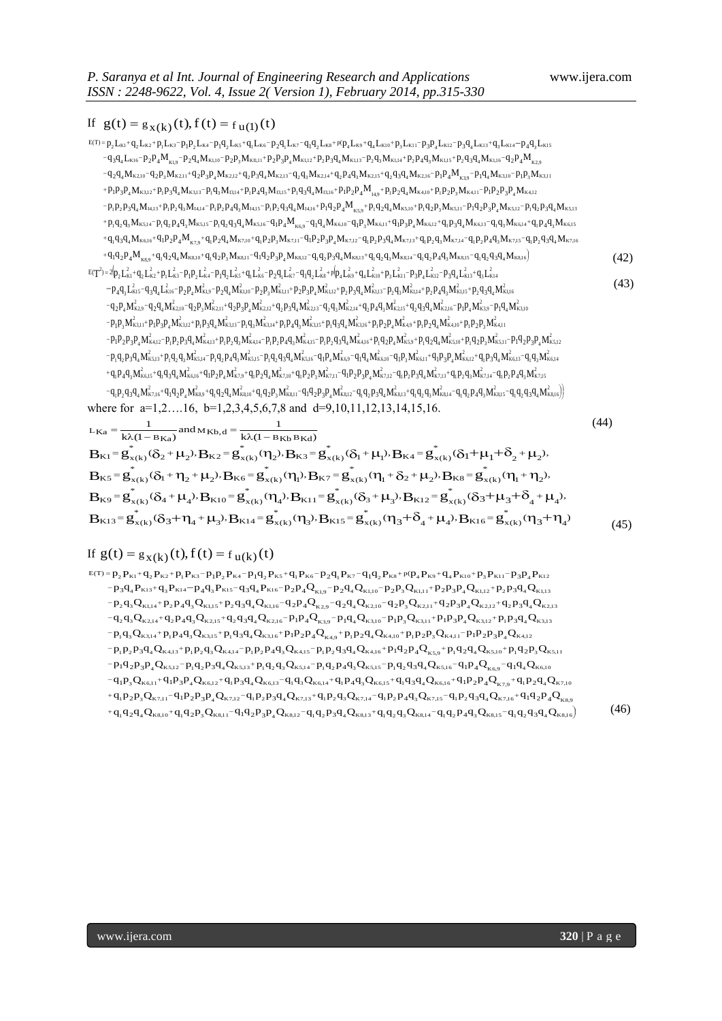# If  $g(t) = g_{X(k)}(t), f(t) = f_{U(1)}(t)$

- $= p_2 L_{\text{K1}} + q_2 L_{\text{K2}} + p_1 L_{\text{K3}} p_1 p_2 L_{\text{K4}} p_1 q_2 L_{\text{K5}} + q_1 L_{\text{K6}} p_2 q_1 L_{\text{K7}} q_1 q_2 L_{\text{K8}} + p_1 p_4 L_{\text{K9}} + q_4 L_{\text{K10}} + p_3 L_{\text{K11}} p_3 p_4 L_{\text{K12}} p_3 q_4 L_{\text{K14}} p_4 q_3 L_{\text{K16}}$  $+q_1q_2p_4M_{_{\rm KS}}+q_{\rm i}q_2q_4M_{\rm K8,10}+q_{\rm i}q_2p_3M_{\rm K8,11}-q_{\rm 1}q_2p_3p_4M_{\rm K8,12}-q_{\rm i}q_2p_3q_4M_{\rm K8,13}+q_{\rm i}q_2q_3M_{\rm K8,14}-q_{\rm i}q_2p_4q_3M_{\rm K8,15}-q_{\rm i}q_2q_3q_4M_{\rm K8,16}$  $+q_{1}q_{3}q_{4}M_{\kappa\kappa_{4}\delta}+q_{1}p_{2}p_{4}M_{\kappa_{7,9}}+q_{1}p_{2}q_{4}M_{\kappa\kappa_{1}0}+q_{1}p_{2}p_{3}M_{\kappa\kappa_{1}1}-q_{1}p_{2}p_{3}q_{4}M_{\kappa\kappa_{1}1}-q_{1}p_{2}p_{3}q_{4}M_{\kappa\kappa_{1}13}+q_{1}p_{2}q_{3}M_{\kappa\kappa_{1}14}-q_{1}p_{2}p_{4}q_{3}M_{\kappa\kappa_{1}15}-q_{1$  $+ p_1 q_2 q_3 M_{\kappa_{5,14}} + p_1 q_2 p_4 q_3 M_{\kappa_{5,15}} - p_1 q_2 q_3 q_4 M_{\kappa_{5,16}} - q_1 p_4 M_{\kappa_{6,9}} - q_1 q_4 M_{\kappa_{6,10}} - q_1 p_3 M_{\kappa_{6,11}} + q_1 p_3 p_4 M_{\kappa_{6,12}} + q_1 p_3 q_4 M_{\kappa_{6,13}} - q_1 q_3 M_{\kappa_{6,14}} + q_1 p_4 q_3 M_{\kappa_{6,15}} + q_1 q_2 q_4 M_{\kappa_{7$  $\begin{aligned} &-q_2q_4M_{\kappa2,10}-q_2p_3M_{\kappa2,11}+q_2p_3p_4M_{\kappa2,12}+q_2p_3q_4M_{\kappa2,13}-q_2q_3M_{\kappa2,14}+q_2p_4q_3M_{\kappa2,15}+q_2q_3q_4M_{\kappa2,16}-p_1p_4M_{\kappa3,9}-p_1q_4M_{\kappa3,10}-p_1p_3M_{\kappa3,11}\\ &+p_1p_3p_4M_{\kappa3,12}+p_1p_3q_4M_{\kappa3,$  $p_1 + p_1 + p_2 + p_3$   $p_4$   $p_5$   $p_6$   $q_8$   $p_7$   $p_8$   $p_9$   $p_4$   $q_9$   $p_4$   $q_9$   $q_4$   $p_1$   $q_3$   $q_4$   $p_1$   $p_2$   $p_4$   $p_4$   $p_5$   $p_2$   $p_4$   $p_6$   $p_4$   $p_6$   $p_7$   $p_2$   $p_7$   $p_6$   $p_7$   $p_8$   $p_7$   $p_8$   $p_9$  $-q_2q_4M_{\kappa_{2,10}}-q_2p_3M_{\kappa_{2,11}}+q_2p_3p_4M_{\kappa_{2,12}}+q_2p_3q_4M_{\kappa_{2,13}}-q_2q_3M_{\kappa_{2,14}}+q_2p_4q_3M_{\kappa_{2,15}}+q_2q_3q_4M_{\kappa_{2,16}}-p_1p_4M_{\kappa_{3,10}}-p_1q_4M_{\kappa_{3,10}}-p_1p_3M_{\kappa_{3,10}}+q_2p_4q_4M_{\kappa_{3,10}}+q_2p_4q$  $-q_3q_4L_{k16}-p_2p_4M_{k19}-p_2q_4M_{k1,10}-p_2p_3M_{k1,11}+p_2p_3p_4M_{k1,12}+p_2p_3q_4M_{k1,13}-p_2q_3M_{k1,14}+p_2p_4q_3M_{k1,15}+p_2q_3q_4M_{k1,16}-q_2p_4M_{k2,16}-p_3p_4M_{k3,16}-p_4p_4M_{k4,16}-p_4p_4M_{k4,16}-p_5p_4M_{k4,16}-p_5p_5M_{k4,1$  $\begin{split} \mathcal{L}_{11} & P_{11}P_{2}P_{3}Q_{4}M_{14,13}+P_{1}P_{2}Q_{3}M_{14,14}-P_{1}P_{2}P_{4}Q_{3}M_{14,15}-P_{1}P_{2}Q_{3}Q_{4}M_{14,16}+P_{1}Q_{2}P_{4}M_{K5,9}+P_{1}Q_{2}Q_{4}M_{K5,10}+P_{1}Q_{2}P_{3}M_{K5,11}-P_{1}Q_{2}P_{3}P_{4}M_{K5,12}-P_{1}Q_{2}P_{3}Q_{4}M_{K5,13}+$  $\begin{split} \n\Phi_1P_2P_4M_{K3,12} + p_1p_3q_4M_{K3,13} - p_1q_3M_{13,14} + p_1p_4q_3M_{13,15} + p_1q_3q_4M_{13,16} + p_1p_2p_4M_{14,9} + p_1p_2q_4M_{K4,10} + p_1p_2p_3M_{K4,11} - p_1p_2p_3p_4M_{K4,12} \n\end{split}$  $\label{eq:R12} \begin{array}{l} \displaystyle {}_2q_4M_{k2,10}-q_2p_3M_{k2,11}+q_2p_3p_4M_{k2,12}+q_2p_3q_4M_{k2,13}-q_2q_3M_{13,14}+p_4p_4M_{k2,13}-q_2q_3M_{13,15}+p_1q_3q_4M_{13,16}+p_1p_4q_3M_{13,15}+p_1q_3q_4M_{13,16}+p_1p_2q_3M_{14,14}-p_1p_2p_4q_3M_{14,15}-p_$ 2 43  $M_{K1,14}$ +  $P_2 P_4 Q_3 M_{K1,15}$ +  $P_2 Q_3 Q_4 M_{K1,16}$ –  $Q_2 P_4 M_{K2,16}$ <br>  $R_{1,15}$ +  $Q_2 Q_3 Q_4 M_{K2,16}$ –  $P_1 P_4 M_{K3,9}$ –  $P_1 Q_4 M_{K3,10}$ –  $P_1 P_3 M_{K4,12}$ <br>  $R_{14,9}$ +  $P_1 P_2 Q_4 M_{K4,10}$ +  $P_1 P_2 P_3 M_{K4,11}$ –  $P_1 P_$  $\frac{1}{2}g_4L_{K16}-p_2p_4M_{K1,9}-p_2q_4M_{K1,10}-p_2p_3M_{K1,11}+p_2p_3p_4M_{K1,12}+p_2p_3q_4M_{K1,13}-p_2q_3M_{K1,14}+p_2p_4q_3M_{K1,15}+p_2q_3q_4M_{K1,16}-q_3q_4M_{K2,10}-q_2p_3M_{K2,11}+q_2p_3p_4M_{K2,13}-q_2q_3M_{K2,14}+q_2p_4q_3M_{K2,15$  $K_1 + 9_2 L_{K2} + p_1 L_{K3} - p_1 p_2 L_{K4} - p_1 q_2 L_{K5} + q_1 L_{K6} - p_2 q_1 L_{K7} - q_1 q_2 L_{K8} + p_1 q_2 L_{K9} + q_4 L_{K10} + p_3 L_{K11} - p_3 p_4 L_{K12} - p_3 q_4 L_{K13} + q_3 L_{K14} - p_4 q_3 L_{K15}$ <br>  $K_3 + 3 L_{K19} - p_2 q_4 M_{K1,10} - p_2 p_3 M_{K1,11} + p_2 p_3 p_4 M_{K1$  $\begin{aligned} \mathcal{L}_{R1} & = \mathbf{g}_{\mathbf{X}(k)}(t), f(t) = \mathbf{f}_{\mathbf{u}(1)}(t) \ \mathbf{g}_{\mathbf{K}1} & = \mathbf{g}_{\mathbf{X}(k)}(t), f(t) = \mathbf{f}_{\mathbf{u}(1)}(t) \ \mathbf{g}_{\mathbf{K}2} & = \mathbf{g}_{\mathbf{u}(k)} + \mathbf{g}_{\mathbf{u}(k)} + \mathbf{g}_{\mathbf{u}(k)} + \mathbf{g}_{\mathbf{u}(k)} + \mathbf{g}_{\mathbf{u}(k)} + \mathbf{g}_{\mathbf{u}(k)} + \mathbf{$ If  $g(t) = g_{X(k)}(t), f(t) = f_{U(1)}(t)$ <br>  $g_{E(T)} = p_1 L_{K_1} + q_2 L_{K_2} + p_1 L_{K_3} - p_1 p_2 L_{K_4} - p_1 q_1 L_{K_5} - p_2 q_1 L_{K_6} - p_2 q_1 L_{K_7} - q_1 q_2 L_{K_8} + p_1 p_2 L_{K_9} + q_4 L_{K_{10}} + p_3 p_4 L_{K_{12}} - p_3 q_4 L_{K_{13}} + q_3 L_{K_{14}} - p_4 q_3 L_{K_{15}}$  (42) 2  ${}_{2}P_{4}q_{3}$ <br>  ${}_{q_{2}}q_{3}q_{4}$ <br>  ${}_{q_{3}}L_{k14}^{2}$ 2  $I_{R8,15}$  =<br> $I_{R8,15}$  =<br> $I_{4}L_{R13}^{2}$ 2  $q_1 p_2 q_3$ <br>  $q_1 q_2 p_4$ <br>  $q_4 L_{R12}^2$ 2  $\frac{1}{3} M_{K3}$ <br> $\frac{1}{3} L_{K11}^2$ 2  $q_1 p_2 p_3 + q_1 q_2$ <br>  $4 L_{K10}^2$
- $T^2 = 2p_2L_{k1}^2 + q_2L_{k2}^2 + p_1L_{k3}^2 p_1p_2L_{k4}^2 p_1q_2L_{k5}^2 + q_1L_{k6}^2 p_2q_1L_{k7}^2 q_1q_2L_{k8}^2 + p_1p_4L_{k9}^2 + q_4L_{k10}^2 + p_3p_4L_{k12}^2 p_3q_4L_{k12}^2 + q_4L_{k13}^2$  ${}^+\mathrm{q}_1\mathrm{p}_4\mathrm{q}_3$ M ${}^{\prime}_{\mathrm{K}_{6,15}}$ + $\mathrm{q}_1\mathrm{q}_3\mathrm{q}_4$ M ${}^{\prime}_{\mathrm{K}_{6,16}}$ + $\mathrm{q}_1\mathrm{p}_2\mathrm{p}_4$ M ${}^{\prime}_{\mathrm{K}_{7,9}}$ + $\mathrm{q}_1\mathrm{p}_2\mathrm{q}_4$ M ${}^{\prime}_{\mathrm{K}_{7,10}}$ - $\mathrm{q}_1\mathrm{p}_2\mathrm{p}_3$ M ${}^{\prime}_{\mathrm{K}_{7,11}}$ – $\mathrm{q}_1\mathrm{p}_2\mathrm{p}_3\mathrm{p}_4$  $p_1q_2p_3q_4M_{\rm KS,13}^2+p_1q_2q_3M_{\rm KS,14}^2-p_1q_2p_4q_3M_{\rm KS,15}^2-p_1q_2q_3q_4M_{\rm KS,16}^2-q_1p_4M_{\rm KS,9}^2-q_1q_4M_{\rm KS,10}^2-q_1p_3M_{\rm KS,11}^2+q_1p_3p_4M_{\rm KS,12}^2+q_1p_3q_4M_{\rm KS,13}^2-q_1q_3M_{\rm KS,12}^2+q_1p_3p_4M_{\rm KS,12}^2+$  $p_1p_2p_3p_4M_{84,12}^2-p_1p_2p_3q_4M_{84,13}^2+p_1p_2q_3M_{84,14}^2-p_1p_2p_4q_3M_{84,15}^2-p_1p_2q_3q_4M_{84,16}^2+p_1q_2p_4M_{85,9}^2+p_1q_2q_4M_{85,10}^2+p_1q_2p_3M_{85,11}^2-p_1p_4p_4p_5M_{85,11}^2-p_1p_4p_5M_{85,11}^2-p_1p_5M_{85,11}^2$  $-p_1p_3M_{\kappa_{3,11}}^2+p_1p_3p_4M_{\kappa_{3,12}}^2+p_1p_3q_4M_{\kappa_{3,13}}^2-p_1q_3M_{\kappa_{3,14}}^2+p_1p_4q_3M_{\kappa_{3,15}}^2+p_1q_3q_4M_{\kappa_{3,16}}^2+p_1p_2p_4M_{\kappa_{4,9}}^2+p_1p_2q_4M_{\kappa_{4,10}}^2+p_1p_2p_3M_{\kappa_{4,10}}^2+p_1p_3p_4M_{\kappa_{4,10}}^2+p_1p_2p$  $-q_2p_4M_{\kappa2,9}^2 - q_2q_4M_{\kappa2,10}^2 - q_2p_3M_{\kappa2,11}^2 + q_2p_3p_4M_{\kappa2,12}^2 + q_2p_3q_4M_{\kappa2,13}^2 - q_2q_3M_{\kappa2,14}^2 + q_2p_4q_4M_{\kappa2,15}^2 + q_2q_3q_4M_{\kappa2,16}^2 - p_1p_4M_{\kappa3,9}^2 - p_1q_4M_{\kappa3,16}^2 - p_1p_4M_{\kappa3,16}^2 - p$  $-p_4q_3L_{k15}^2-q_3q_4L_{k16}^2-p_2p_4M_{k19}^2-p_2q_4M_{k110}^2-p_2p_3M_{k1,11}^2+p_2p_3p_4M_{k112}^2+p_2p_3q_4M_{k113}^2-p_2q_3M_{k114}^2+p_2p_4q_3M_{k115}^2+p_2q_3q_4M_{k112}^2+p_4q_4M_{k125}^2+p_4q_4M_{k125}^2+p_4q_4M_{k125}^2+p_4q_4M_{k125}^2$  $P_{4}q_{3}M_{K6,14}^{2}$ <br>  $P_{4}q_{3}M_{K7,15}^{2}$ <br>  $P_{4}q_{3}q_{4}M_{K8,16}^{2}$  $K_{19}R_{29}R_{4}M_{K5,13} + p_{1}q_{2}q_{3}M_{K5,14} - p_{1}q_{2}p_{4}q_{3}M_{K5,15} - p_{1}q_{2}q_{3}q_{4}M_{K5,16} - q_{1}p_{4}M_{K6,9} - q_{1}q_{4}M_{K6,10} - q_{1}p_{3}M_{K6,11} + q_{1}p_{3}p_{4}M_{K6,12} + q_{1}p_{3}q_{4}M_{K6,16} + q_{1}p_{2}p_{4}M_{K7,12} + q_{1}p_{2}q_{4}M$ 2  $M_{R6,13}^2 - P_1 Q_2 P_3 P_4 M_7$ <br>  $M_{R6,13}^2 - q_1 q_3 M_7$ <br>  $M_1 P_2 P_4 q_3 M_{R7,15}^2$ 2  ${}_{1,10}P_{1}P_{1}P_{2}P_{3}M$ <br>  $M_{K6,12}^{2}P_{1}P_{3}M_{K7,14}^{2}P_{1}P_{2}P_{3}M_{K7,14}^{2}P_{1}P_{2}P_{3}M_{K7,14}^{2}P_{3}P_{4}P_{5}P_{6}P_{7}P_{8}P_{8}P_{9}P_{9}P_{1}P_{1}P_{1}P_{2}P_{3}P_{4}P_{5}P_{6}P_{7}P_{8}P_{8}P_{9}P_{9}P_{1}P_{1}P_{1}P_{2}P_{3}P_{4}P_{5}$ 2  $\frac{1}{4} \sum_{K5,9}^{2} + P_1 Q_2 Q_4 M_5$ <br>  $P_3 M_{K6,11}^2 + Q_1 P_3$ <br>  $P_2 P_3 Q_4 M_{K7,13}^2$ 2 +  $p_1 q_2 p_3$ <br>M<sub>k6,10</sub>-2  $\frac{q_{K4,15}^2 - p_1 p_2 q_1^2}{q_{K5,16}^2 - q_1 p_4 M_1^2}$ 2 4,14 -  $p_1 p_2 p_4 q_1$ <br>5,15 -  $p_1 q_2 q_3 q_4$ <br>1,  $p_2 q_4 M_{K7,10}^2$  $R_{K6,16}^2+q_1p_2p_4M_{K7,9}^2$ .  $-p_1 p_2 p_3 q_4 M_6$ <br>+  $p_1 q_2 q_3 M_{\kappa 5,1}^2$ <br> $p_1 q_3 q_4 M_{\kappa 6,16}^2$ 2  $\begin{equation} \begin{split} \n\mathcal{H}_{1} & \mathbf{P}_{2}\mathbf{P}_{3}\mathbf{P}_{4}\mathbf{M}_{K4,12}^{\prime} -\mathbf{P}_{1}\mathbf{P}_{2}\mathbf{P}_{3}\mathbf{Q}_{4}\mathbf{M}_{K4,13}^{\prime} +\mathbf{P}_{1}\mathbf{P}_{2}\mathbf{Q}_{3}\mathbf{M}_{K4,14}^{\prime} -\mathbf{P}_{1}\mathbf{P}_{2}\mathbf{P}_{4}\mathbf{Q}_{4}\mathbf{M}_{K4,15}^{\prime} -\mathbf{P}_{1}\mathbf{P}_{2}\mathbf{Q}_{4}\mathbf{M}_{K5,16$  $\frac{1}{1}P_3P_4M_{k3,11}^2 + P_1P_3P_4M_{k3,12}^2 + P_1P_3q_4M_{k3,13}^2 - P_1P_4P_4M_{k3,14}^2 + P_1P_4q_3M_{k3,15}^2 + P_1q_3q_4M_{k3,16}^2 + P_1P_2P_4M_{k4,9}^2 + P_1P_2P_4M_{k4,10}^2 + P_1P_2P_3M_{k4,11}^2 - P_1P_2P_3P_4M_{k4,12}^2 - P_1P_2P_3P_4M_{$ 2  $M_{K5,12}^2$ 2  ${}^{1}_{4}M_{K3,9}^{2}-p_{1}q_{4}$ <br>  ${}^{1}_{1}p_{2}p_{3}M_{K4,11}^{2}$ <br>  ${}^{1}_{1}q_{2}p_{3}M_{K5,11}^{2}$ 2  ${}_{3}q_{4}M_{K2,16}^{2}-p_{1}p_{2}q_{4}M_{K4,10}^{2}+p_{1}q_{2}q_{4}M_{K5,10}^{2}$  $R_{\text{K4,16}}^2$  +  $p_1q_2p_4M_{\text{K5,9}}^2$  .  $\frac{q_2 q_3 M_{K2,14}^2 + q_2}{q_1 q_3 q_4 M_{K3,16}^2}$ 2 2+ $q_2 p_3 q_4 M_{K2,1}^2$ <br>  $R_4 + p_1 p_4 q_3 M_{K3,1}^2$ <br>  $R_1 p_2 p_4 q_3 M_{K4,15}^2$ 2 + $q_2 p_3 p_4 M_{\kappa}^2$ <br>  $I_{\kappa_{3,13}}^2 - p_1 q_3 M_{\kappa_{4,14}}^2$ <br>  $I_1 p_2 q_3 M_{\kappa_{4,14}}^2$ 2  $\frac{1}{4} \sum_{k=2,10}^{2} (-q_2 p_3 M_{k1}^2 + q_1 p_3 q_4)$ <br>  $\frac{1}{4} \sum_{k=1}^{2} p_3 q_4 M_{k4,13}^2 + q_2 p_3 q_4 M_{k4,13}^2$ 2  ${}_{2}P_{4}M_{\kappa2,9}^{2}-q_{2}q_{4}M_{\kappa2,10}^{2}-q_{2}p_{3}M_{\kappa2,11}^{2}+q_{2}p_{3}p_{4}M_{\kappa2,12}^{2}+q_{2}p_{3}q_{4}M_{\kappa2,13}^{2}-q_{2}q_{3}M_{\kappa2,14}^{2}+q_{2}p_{4}q_{3}M_{\kappa2,15}^{2}+q_{2}q_{3}q_{4}M_{\kappa2,15}^{2}-p_{1}p_{4}M_{\kappa3,9}^{2}-p_{1}q_{4}M_{\kappa$  $\frac{1}{24} \int_{-4}^{1} \int_{-4}^{1} \int_{-4}^{1} \int_{-4}^{1} \int_{-4}^{1} \int_{-4}^{1} \int_{-4}^{1} \int_{-4}^{1} \int_{-4}^{1} \int_{-4}^{1} \int_{-4}^{1} \int_{-4}^{1} \int_{-4}^{1} \int_{-4}^{1} \int_{-4}^{1} \int_{-4}^{1} \int_{-4}^{1} \int_{-4}^{1} \int_{-4}^{1} \int_{-4}^{1} \int_{-4}^{1} \int_{-4}^{1} \int_{-4}^{1} \int_{-4$ 2  $\frac{K}{4}M_{K3,10}^2$  ${}_{2}P_{4}M_{\kappa2,9}^2$  -  $q_{2}q_{4}M_{\kappa2,10}^2$  -  $q_{2}p_{3}M_{\kappa2,11}^2$  +  $q_{2}p_{3}p_{4}M_{\kappa2,12}^2$  +  $q_{2}p_{3}q_{4}M_{\kappa2,13}^2$  -  $q_{2}q_{3}M_{\kappa2,14}^2$  +  $q_{2}p_{4}q_{3}M_{\kappa2,15}^2$  +  $q_{2}q_{3}q_{4}M_{\kappa2,16}^2$  -  $p_{1}p$  $p_1L_{k3}^2 - p_1p_2L_{k4}^2 - p_1q_2L_{k5}^2 + q_1L_{k6}^2 - p_2q_1L_{k7}^2 - q_1q_2L_{k8}^2 + p_1p_4L_{k9}^2 + q_4L_{k10}^2 - p_3q_1L_{k12}^2 - p_3q_2L_{k13}^2 - p_4q_1R_{k10}^2 - p_2q_3M_{k110}^2 - p_2q_3M_{k111}^2 + p_2p_3P_4M_{k112}^2 + p_3p_3q_4M_{k113}^2 - p$ 2  $q_1 q_2 q_3 q_4 M_1$ <br>  $q_3 L_{k14}^2$ <br>  $q_2 q_3 q_4 M_{k1,16}^2$  $_4\text{q}_{3}\text{L}^2_{\text{k15}}$ - $\text{q}_{3}\text{q}_{4}\text{L}^2_{\text{k16}}$ - $\text{p}_{2}\text{p}_{4}\text{M}^2_{\text{k1,9}}$ - $\text{p}_{2}\text{q}_{4}\text{M}^2_{\text{k1,10}}$ - $\text{p}_{2}\text{p}_{3}\text{M}^2_{\text{k1,11}}$ + $\text{p}_{2}\text{p}_{3}\text{p}_{4}\text{M}^2_{\text{k1,12}}$ + $\text{p}_{2}\text{p}_{3}\text{q}_{4}\text{M}^2_{\text{k1,13}}$ - $P_4M_{K8,5}$ + $q_1q_2q_4M_{K8,10}$ + $q_1q_2p_3M_{K8,11}$ - $q_1q_2p_3p_4M_{K8,12}$ - $q_1q_2p_3q_4M_{K8,13}$ + $q_1q_2q_3M_{K8,14}$ - $q_1q_2p_4q_3M_{K8,14}$ <br>  $R_{K1}^2$ + $q_1L_{K2}^2$ + $p_1L_{K3}^2$ - $p_1p_2L_{K4}^2$ - $p_1q_2L_{K5}^2$ + $q_1L_{K0}^$  $E(T^2) = 2[p_2 L_{K1}^2 + q_2 L_{K2}^2 + p_1 L_{K3}^2 - p_1 p_2 L_{K4}^2 - p_1 q_2 L_{K5}^2 + q_1 L_{K6}^2 - p_2 q_1 L_{K7}^2 - q_1 q_2 L_{K8}^2 + p_1 p_4 L_{K9}^2 + q_4 L_{K10}^2 + p_3 L_{K11}^2 - p_3 p_4 L_{K12}^2 - p_3 q_4 L_{K11}^2 - p_4 p_4 L_{K11}^2 - p_4 p_4 L_{K11}^2 - p_5 p_5 L_{K11}^2$ (43)

 $-q_{\rm i} p_{\rm 2} q_{\rm 3} q_{\rm 4} M^2_{\rm k7,16} + q_{\rm 1} q_{\rm 2} p_{\rm 4} M^2_{\rm k8,9} + q_{\rm i} q_{\rm 2} q_{\rm 4} M^2_{\rm k8,10} + q_{\rm i} q_{\rm 2} p_{\rm 3} M^2_{\rm k8,12} - q_{\rm 1} q_{\rm 2} p_{\rm 3} q_{\rm 4} M^2_{\rm k8,13} + q_{\rm i} q_{\rm 2} q_{\rm 3} M^2_{\rm k8,14} - q_{\rm i} q$  ${}_{3}q_{4}M_{\rm \scriptscriptstyle K7,16}^2$ + $q_{1}q_{2}p_{4}M_{\rm \scriptscriptstyle K8,9}^2$ + $q_{1}q_{2}q_{4}M_{\rm \scriptscriptstyle K8,10}^2$ + $q_{1}q_{2}p_{3}M_{\rm \scriptscriptstyle K8,11}^2$ − $q_{1}q_{2}p_{3}p_{4}M_{\rm \scriptscriptstyle K8,12}^2$ − $q_{1}q_{2}p_{3}q_{4}M_{\rm \scriptscriptstyle K8,13}^2$ + $q_{1}q_{2}q_{3}M_{\rm \scriptscriptstyle K8,14}^2$ −where for a=1,2...16, b=1,2,3,4,5,6,7,8 and d=9,10,11,12,13,14,15,16.

1

$$
{}_{-q_{1}p_{2}q_{3}q_{4}M_{Kz16}+q_{1}q_{2}p_{4}M_{Kz36}+q_{1}q_{2}p_{4}M_{Kz36}+q_{1}q_{2}p_{4}M_{Kz31}+q_{1}q_{2}p_{3}q_{4}M_{Kz13}+q_{1}q_{2}p_{4}M_{Kz15}+q_{1}q_{2}p_{4}q_{3}M_{Kz15}-q_{1}q_{2}q_{3}q_{4}M_{Kz15}-q_{1}q_{2}q_{3}q_{4}M_{Kz15}-q_{1}q_{2}q_{3}q_{4}M_{Kz15}-q_{1}q_{2}q_{3}q_{4}M_{Kz15}-q_{1}q_{3}q_{3}q_{4}M_{Kz15}-q_{1}q_{3}q_{3}q_{4}M_{Kz15}-q_{1}q_{3}q_{3}q_{4}M_{Kz15}-q_{1}q_{3}q_{3}q_{4}M_{Kz15}-q_{1}q_{3}q_{3}q_{4}M_{Kz15}-q_{1}q_{3}q_{4}M_{Kz15}-q_{1}q_{4}q_{4}M_{Kz15}-q_{1}q_{4}q_{4}M_{Kz15}-q_{1}q_{4}q_{4}M_{Kz15}-q_{1}q_{4}q_{4}M_{Kz15}-q_{4}q_{4}M_{Kz15}-q_{4}q_{4}M_{Kz15}-q_{4}q_{4}M_{Kz15}-q_{4}q_{4}M_{Kz15}-q_{4}q_{4}M_{Kz15}-q_{4}q_{4}M_{Kz15}-q_{4}q_{4}M_{Kz15}-q_{4}q_{4}M_{Kz15}-q_{4}q_{4}M_{Kz15}-q_{4}q_{4}M_{Kz15}-q_{4}q_{4}M_{Kz15}-q_{4}q_{4}M_{Kz15}-q_{4}q_{4}M_{Kz15}-q_{4}q_{4}M_{Kz15}-q_{4}q_{4}M_{Kz15}-q_{4}q_{4}M_{Kz15}-q_{4}q_{4}M_{Kz15}-q_{4}q_{4}M_{Kz15}-q_{4}q_{4}M_{Kz15}-q_{4}q_{4}M_{Kz15}-q_{4
$$

# If  $g(t) = g_{x(k)}(t), f(t) = f_{u(k)}(t)$

1

 $+q_{1}q_{2}q_{4}Q_{88,10}+q_{1}q_{2}p_{3}Q_{88,11}-q_{1}q_{2}p_{3}p_{4}Q_{88,12}-q_{1}q_{2}p_{3}q_{4}Q_{88,13}+q_{1}q_{2}q_{3}Q_{88,14}-q_{1}q_{2}p_{4}q_{3}Q_{88,15}-q_{1}q_{2}q_{3}q_{4}Q_{88,16}$  $+q_{1}p_{2}p_{3}Q_{k7,11}-q_{1}p_{2}p_{3}p_{4}Q_{k7,12}-q_{1}p_{2}p_{3}q_{4}Q_{k7,13}+q_{1}p_{2}q_{3}Q_{k7,14}-q_{1}p_{2}p_{4}q_{3}Q_{k7,15}-q_{1}p_{2}q_{3}q_{4}Q_{k7,16}+q_{1}q_{2}p_{4}Q_{k7,16}$  $-q_1p_3Q_{\kappa_{6,11}}+q_1p_3p_4Q_{\kappa_{6,12}}+q_1p_3q_4Q_{\kappa_{6,13}}-q_1q_3Q_{\kappa_{6,14}}+q_1p_4q_3Q_{\kappa_{6,15}}+q_1q_3q_4Q_{\kappa_{6,16}}+q_1p_2p_4Q_{\kappa_{7,9}}+q_1p_2q_4Q_{\kappa_{8,16}}$  $\begin{aligned} -p_1q_2p_3p_4Q_{\kappa5,12}-p_1q_2p_3q_4Q_{\kappa5,13}+p_1q_2q_3Q_{\kappa5,14}-p_1q_2p_4q_3Q_{\kappa5,15}-p_1q_2q_3q_4Q_{\kappa5,16}-q_1p_4Q_{\kappa6,9}-q_1q_4Q_{\kappa6,10} \\ -q_1p_3Q_{\kappa6,11}+q_1p_3p_4Q_{\kappa6,12}+q_1p_3q_4Q_{\kappa6,13}-q_1q_3Q_{\kappa6,14}+$  $-p_1p_2p_3q_4Q_{\kappa4,13} + p_1p_2q_3Q_{\kappa4,14} - p_1p_2p_4q_3Q_{\kappa4,15} - p_1p_2q_3q_4Q_{\kappa4,16} + p_1q_2p_4Q_{\kappa5,9} + p_1q_2q_4Q_{\kappa5,10} + p_1q_2p_3Q_{\kappa4,16} - p_1q_2p_4Q_{\kappa4,16} + p_1q_2p_4Q_{\kappa5,16} + p_1q_2p_4Q_{\kappa5,16} + p_1q_2p_4Q_{\$  $p_1q_3Q_{\kappa314} + p_1p_4q_3Q_{\kappa315} + p_1q_3q_4Q_{\kappa316} + p_1p_2p_4Q_{\kappa49} + p_1p_2q_4Q_{\kappa410} + p_1p_2p_3Q_{\kappa411} - p_1p_2p_3p_4Q_{\kappa410}$  $-q_2q_3Q_{\kappa2,14}+q_2p_4q_3Q_{\kappa2,15}+q_2q_3q_4Q_{\kappa2,16}-p_1p_4Q_{\kappa3,9}-p_1q_4Q_{\kappa3,10}-p_1p_3Q_{\kappa3,11}+p_1p_3p_4Q_{\kappa3,12}+p_1p_3q_4Q_{\kappa3,12}$  $\begin{aligned} &-\mathbf{p}_2\mathbf{q}_3\mathbf{Q}_{\mathbf{K1},14} + \mathbf{p}_2\mathbf{p}_4\mathbf{q}_3\mathbf{Q}_{\mathbf{K1},15} + \mathbf{p}_2\mathbf{q}_3\mathbf{q}_4\mathbf{Q}_{\mathbf{K1},16} - \mathbf{q}_2\mathbf{p}_4\mathbf{Q}_{\mathbf{K2},9} - \mathbf{q}_2\mathbf{q}_4\mathbf{Q}_{\mathbf{K2},10} - \mathbf{q}_2\mathbf{p}_3\mathbf{Q}_{\mathbf{K2},11} + \mathbf{q}_2\mathbf{p}_3\$  $-p_3q_4P_{k13}+q_3P_{k14}-p_4q_3P_{k15}-q_3q_4P_{k16}-p_2p_4Q_{k19}-p_2q_4Q_{k1,10}-p_2p_3Q_{k1,11}+p_2p_3p_4Q_{k1,12}+p_2p_3q_4Q_{k113}$ If  $g(t) = g_{X(k)}(t)$ ,  $f(t) = f_{U(k)}(t)$ <br>  $g_{E(T)=p_2}P_{K1}+q_2P_{K2}+p_1P_{K3}-p_1P_2P_{K4}-p_1q_2P_{K5}+q_1P_{K6}-p_2q_1P_{K7}-q_1q_2P_{K8}+p(p_4P_{K9}+q_4P_{K10}+p_3P_{K11}-p_3P_4P_{K12}+p_1P_{K13}+p_2P_{K14}-p_1P_{K15}-p_1P_{K2}+p_1P_{K3}+p_1P_{K1}+p_$  $\begin{aligned} & _{1}p_{3}Q_{\kappa\kappa,11}+q_{1}p_{3}p_{4}Q_{\kappa\kappa,12}+q_{1}p_{3}q_{4}Q_{\kappa\kappa,13}-q_{1}q_{3}Q_{\kappa\kappa,14}+q_{1}p_{4}q_{3}Q_{\kappa\kappa,15}+q_{1}q_{3}q_{4}Q_{\kappa\kappa,16}+q_{1}p_{2}p_{4}Q_{\kappa\gamma,9}+q_{1}p_{2}q_{4}Q_{\kappa\gamma,10}\\ & _{1}p_{2}p_{3}Q_{\kappa\gamma,11}-q_{1$  $\begin{aligned} & 2P_3q_4Q_{\kappa4,13}P_1P_2q_3Q_{\kappa4,14}-P_1P_2P_4q_3Q_{\kappa4,15}-P_1P_2q_3q_4Q_{\kappa4,16}+P_1q_2P_4Q_{\kappa5,9}+P_1q_2q_4Q_{\kappa5,10}+P_1q_2P_3Q_{\kappa5,11} \\ & 2P_3P_4Q_{\kappa5,12}-P_1q_2P_3q_4Q_{\kappa5,13}+P_1q_2q_3Q_{\kappa5,14}-P_1q_2P_4q_3$  ${}_{1}q_{3}Q_{\kappa_{3,14}}$ +P<sub>1</sub>P<sub>4</sub>Q<sub>5</sub>Q<sub>K3,15</sub>+P<sub>1</sub>Q<sub>3</sub>Q<sub>k3,16</sub>+P<sub>1</sub>P<sub>2</sub>P<sub>4</sub>Q<sub>K4,19</sub>+P<sub>1</sub>P<sub>2</sub>P<sub>4</sub>Q<sub>K4,10</sub>+P<sub>1</sub>P<sub>2</sub>P<sub>3</sub>Q<sub>K4,11</sub>-P<sub>1</sub>P<sub>2</sub>P<sub>3</sub>P<sub>4</sub>Q<sub>K4,12</sub><br>  ${}_{1}p_{2}p_{3}q_{4}Q_{\kappa_{4,13}}$ +P<sub>1</sub>P<sub>2</sub>q<sub>3</sub>Q<sub>K4,14</sub>-P<sub>1</sub>P<sub>2</sub>P<sub>4</sub>Q<sub>3</sub>Q<sub>k4,</sub> 2  $q_3 Q_{\kappa 2,14} + q_2 p_4 q_3 Q_{\kappa 2,15} + q_2 q_3 q_4 Q_{\kappa 2,16} - p_1 p_4 Q_{\kappa 3,0} - p_1 q_4 Q_{\kappa 3,10} - p_1 p_3 Q_{\kappa 3,11} + p_1 p_3 p_4 Q_{\kappa 3,12} + p_1 p_3 q_4 Q_{\kappa 3,13}$ <br>
1  $q_3 Q_{\kappa 3,14} + p_1 p_4 q_3 Q_{\kappa 3,15} + p_1 q_3 q_4 Q_{\kappa 3,16} + p_1 p$  $\begin{aligned} &\,{}_{3}q_{4}P_{\kappa13}+q_{3}P_{\kappa14}-p_{4}q_{3}P_{\kappa15}-q_{3}q_{4}P_{\kappa16}-p_{2}p_{4}Q_{\kappa1,9}-p_{2}q_{4}Q_{\kappa1,10}-p_{2}p_{3}Q_{\kappa1,11}+p_{2}p_{3}p_{4}Q_{\kappa1,12}+p_{2}p_{3}q_{4}Q_{\kappa1,13} \\ &\,{}_{2}q_{3}Q_{\kappa1,14}+p_{2}p_{4}q_{3}Q_{\kappa1,15}+p_{2}q_{$  $\frac{1}{2}P_{k1} + q_2 P_{k2} + p_1 P_{k3} - p_1 p_2 P_{k4} - p_1 q_2 P_{k5} + q_1 P_{k6} - p_2 q_1 P_{k7} - q_1 q_2 P_{k8} + p_1 q_2 P_{k9} + q_4 P_{k10} + p_3 P_{k11} - p_3 p_4 P_{k12}$ <br>  $\frac{1}{2}q_4 P_{k13} + q_3 P_{k14} - p_4 q_3 P_{k15} - q_3 q_4 P_{k16} - p_2 p_4 Q_{k1,9} - p_2 q_4 Q_{k1,10} - p_$  $\mathcal{L}_{P_{K1}}(t) = f_{U(k)}(t)$ <br>  $\mathcal{L}_{P_{K1}}(t) = f_{U(k)}(t)$ <br>  $\mathcal{L}_{P_{K1}}(t) = f_{U(k)}(t)$ <br>  $\mathcal{L}_{P_{K1}}(t) = f_{U(k)}(t)$ <br>  $\mathcal{L}_{P_{K1}}(t) = f_{V(k)}(t)$ <br>  $\mathcal{L}_{P_{K1}}(t) = f_{V(k)}(t)$ <br>  $\mathcal{L}_{P_{K1}}(t) = f_{V(k)}(t)$ <br>  $\mathcal{L}_{P_{K1}}(t) = f_{V(k)}(t)$ <br>  $\mathcal{$  $_4\mathbf{q}_3\mathbf{Q}_{\kappa 3,15} + \mathbf{p}_1\mathbf{q}_3\mathbf{q}_4\mathbf{Q}_{\kappa 3,16} + \mathbf{p}_1\mathbf{p}_2\mathbf{p}_4\mathbf{Q}_{\kappa 4,9} + \mathbf{p}_1\mathbf{p}_2\mathbf{q}_4\mathbf{Q}_{\kappa 4,10} + \mathbf{p}_1\mathbf{p}_2\mathbf{p}_3\mathbf{Q}_{\kappa 4,11} - \mathbf{p}_1\mathbf{p}_2\mathbf{p}_3$ (46)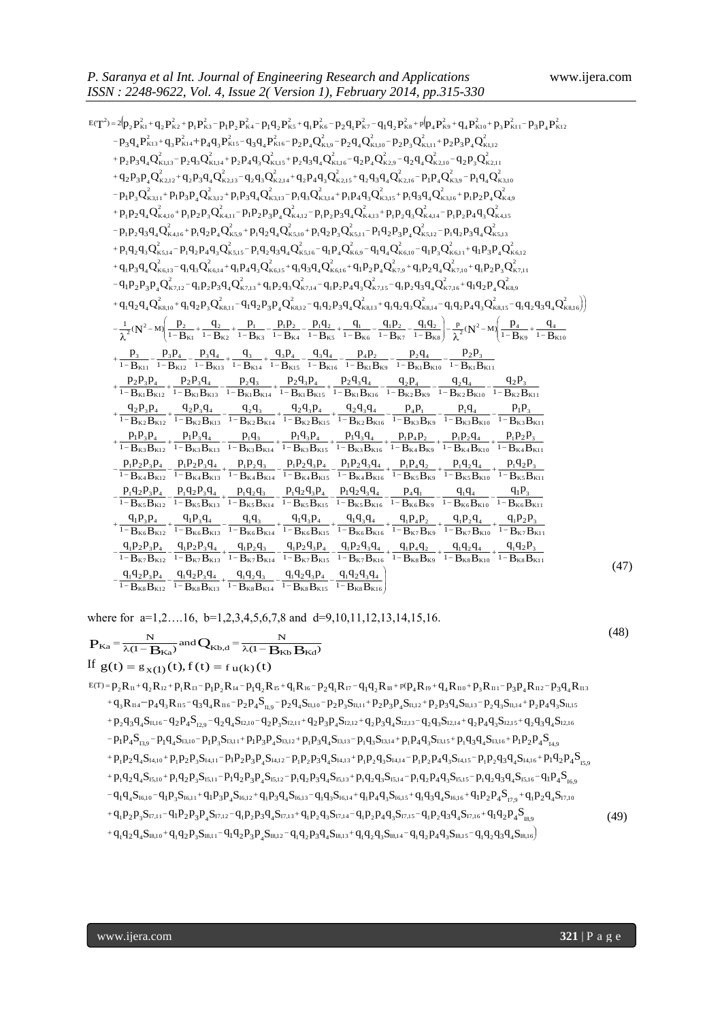| ISSN: 2248-9622, Vol. 4, Issue 2(Version 1), February 2014, pp.315-330                                                                                                                                                                                                                                                                                                                             |      |
|----------------------------------------------------------------------------------------------------------------------------------------------------------------------------------------------------------------------------------------------------------------------------------------------------------------------------------------------------------------------------------------------------|------|
| $E(T^2) = 2(p_1P_{K1}^2+q_2P_{K2}^2+p_1P_{K3}^2-p_1p_2P_{K4}^2-p_1q_2P_{K5}^2+q_1P_{K6}^2-p_2q_1P_{K7}^2-q_1q_2P_{K8}^2+p_1p_4P_{K9}^2+q_4P_{K10}^2+p_3P_{K11}^2-p_3p_4P_{K12}^2$                                                                                                                                                                                                                  |      |
| $-p_3q_4P_{K13}^2+q_3P_{K14}^2+p_4q_3P_{K15}^2-q_3q_4P_{K16}^2-p_2p_4Q_{K19}^2-p_2q_4Q_{K110}^2-p_2p_3Q_{K111}^2+p_2p_3p_4Q_{K112}^2$                                                                                                                                                                                                                                                              |      |
| +p <sub>2</sub> p <sub>3</sub> q <sub>4</sub> Q <sub>k113</sub> -p <sub>2</sub> q <sub>3</sub> Q <sub>k114</sub> +p <sub>2</sub> p <sub>4</sub> q <sub>3</sub> Q <sub>k115</sub> +p <sub>2</sub> q <sub>3</sub> q <sub>4</sub> Q <sub>k116</sub> -q <sub>2</sub> p <sub>4</sub> Q <sub>k29</sub> -q <sub>2</sub> q <sub>4</sub> Q <sub>k210</sub> -q <sub>2</sub> p <sub>3</sub> Q <sub>k211</sub> |      |
| $+q_2p_3p_4Q_{\kappa2,12}^2+q_2p_3q_4Q_{\kappa2,13}^2-q_2q_3Q_{\kappa2,14}^2+q_2p_4q_3Q_{\kappa2,15}^2+q_2q_3q_4Q_{\kappa2,16}^2-p_1p_4Q_{\kappa3,9}^2-p_1q_4Q_{\kappa3,10}^2$                                                                                                                                                                                                                     |      |
| $-p_1p_3Q_{\kappa3,11}^2+p_1p_3p_4Q_{\kappa3,12}^2+p_1p_3q_4Q_{\kappa3,13}^2-p_1q_3Q_{\kappa3,14}^2+p_1p_4q_3Q_{\kappa3,15}^2+p_1q_3q_4Q_{\kappa3,16}^2+p_1p_2p_4Q_{\kappa4,9}^2$                                                                                                                                                                                                                  |      |
| $+p_1p_2q_4Q_{\kappa4,10}^2+p_1p_2p_3Q_{\kappa4,11}^2-p_1p_2p_3p_4Q_{\kappa4,12}^2-p_1p_2p_3q_4Q_{\kappa4,13}^2+p_1p_2q_3Q_{\kappa4,14}^2-p_1p_2p_4q_3Q_{\kappa4,15}^2$                                                                                                                                                                                                                            |      |
| $-p_1p_2q_3q_4Q_{k4,16}^2+p_1q_2p_4Q_{k5,9}^2+p_1q_2q_4Q_{k5,10}^2+p_1q_2p_3Q_{k5,11}^2-p_1q_2p_3p_4Q_{k5,12}^2-p_1q_2p_3q_4Q_{k5,13}^2$                                                                                                                                                                                                                                                           |      |
| $+p_1q_2q_3Q_{\kappa5,14}^2-p_1q_2p_4q_3Q_{\kappa5,15}^2-p_1q_2q_3q_4Q_{\kappa5,16}^2-q_1p_4Q_{\kappa6,9}^2-q_1q_4Q_{\kappa6,10}^2-q_1p_3Q_{\kappa6,11}^2+q_1p_3p_4Q_{\kappa6,12}^2$                                                                                                                                                                                                               |      |
| $+q_{1}p_{3}q_{4}Q_{\kappa_{6,13}}^{2}-q_{1}q_{3}Q_{\kappa_{6,14}}^{2}+q_{1}p_{4}q_{3}Q_{\kappa_{6,15}}^{2}+q_{1}q_{3}q_{4}Q_{\kappa_{6,16}}^{2}+q_{1}p_{2}p_{4}Q_{\kappa_{7,9}}^{2}+q_{1}p_{2}q_{4}Q_{\kappa_{7,10}}^{2}+q_{1}p_{2}p_{3}Q_{\kappa_{7,11}}^{2}$                                                                                                                                    |      |
| $-q_1p_2p_3p_4Q_{K7,12}^2 - q_1p_2p_3q_4Q_{K7,13}^2 + q_1p_2q_3Q_{K7,14}^2 - q_1p_2p_4q_3Q_{K7,15}^2 - q_1p_2q_3q_4Q_{K7,16}^2 + q_1q_2p_4Q_{K8,9}^2$                                                                                                                                                                                                                                              |      |
|                                                                                                                                                                                                                                                                                                                                                                                                    |      |
| $+q_{1}q_{2}q_{4}Q_{\kappa8,10}^{2}+q_{1}q_{2}p_{3}Q_{\kappa8,11}^{2}-q_{1}q_{2}p_{3}p_{4}Q_{\kappa8,12}^{2}-q_{1}q_{2}p_{3}q_{4}Q_{\kappa8,13}^{2}+q_{1}q_{2}q_{3}Q_{\kappa8,14}^{2}-q_{1}q_{2}p_{4}q_{3}Q_{\kappa8,15}^{2}-q_{1}q_{2}q_{3}q_{4}Q_{\kappa8,16}^{2})$                                                                                                                              |      |
| $-\frac{1}{\lambda^2}(N^2-M)\left(\frac{p_2}{1-B_{K1}}+\frac{q_2}{1-B_{K2}}+\frac{p_1}{1-B_{K3}}-\frac{p_1p_2}{1-B_{K4}}-\frac{p_1q_2}{1-B_{K5}}+\frac{q_1}{1-B_{K6}}-\frac{q_1p_2}{1-B_{K7}}-\frac{q_1q_2}{1-B_{K8}}\right)-\frac{p}{\lambda^2}(N^2-M)\left(\frac{p_4}{1-B_{K9}}+\frac{q_4}{1-B_{K9}}-\frac{p_1q_2}{1-B_{K9}}-\frac{q_1q_2}{1-B_{K9}}\right)+\frac{p_2}{\$                        |      |
| $+\frac{p_3}{1-B_{K11}}-\frac{p_3p_4}{1-B_{K12}}-\frac{p_3q_4}{1-B_{K13}}+\frac{q_3}{1-B_{K14}}+\frac{q_3p_4}{1-B_{K15}}-\frac{q_3q_4}{1-B_{K16}}-\frac{p_4p_2}{1-B_{K1}B_{K9}}-\frac{p_2q_4}{1-B_{K1}B_{K10}}-\frac{p_2p_3}{1-B_{K1}B_{K11}}$                                                                                                                                                     |      |
|                                                                                                                                                                                                                                                                                                                                                                                                    |      |
| $+\frac{p_2p_3p_4}{1-B_{k1}B_{k12}}+\frac{p_2p_3q_4}{1-B_{k1}B_{k13}}-\frac{p_2q_3}{1-B_{k1}B_{k14}}+\frac{p_2q_3p_4}{1-B_{k1}B_{k15}}+\frac{p_2q_3q_4}{1-B_{k1}B_{k16}}-\frac{q_2p_4}{1-B_{k2}B_{k9}}-\frac{q_2q_4}{1-B_{k2}B_{k10}}-\frac{q_2p_3}{1-B_{k2}B_{k11}}$                                                                                                                              |      |
| $+\frac{q_2p_3p_4}{1-B_{K2}B_{K12}}+\frac{q_2p_3q_4}{1-B_{K2}B_{K13}}-\frac{q_2q_3}{1-B_{K2}B_{K14}}+\frac{q_2q_3p_4}{1-B_{K2}B_{K15}}+\frac{q_2q_3q_4}{1-B_{K2}B_{K16}}-\frac{p_4p_1}{1-B_{K3}B_{K9}}-\frac{p_1q_4}{1-B_{K3}B_{K10}}-\frac{p_1p_3}{1-B_{K3}B_{K11}}$                                                                                                                              |      |
|                                                                                                                                                                                                                                                                                                                                                                                                    |      |
| $+ \frac{p_1P_3P_4}{1-B_{K3}B_{K12}} + \frac{p_1P_3q_4}{1-B_{K3}B_{K13}} - \frac{p_1q_3}{1-B_{K3}B_{K14}} + \frac{p_1q_3P_4}{1-B_{K3}B_{K15}} + \frac{p_1q_3q_4}{1-B_{K3}B_{K16}} + \frac{p_1p_4p_2}{1-B_{K4}B_{K9}} + \frac{p_1p_2q_4}{1-B_{K4}B_{K10}} + \frac{p_1p_2p_3}{1-B_{K4}B_{K11}}$                                                                                                      |      |
| $-\frac{p_1p_2p_3p_4}{1-B_{\kappa4}B_{\kappa12}}-\frac{p_1p_2p_3q_4}{1-B_{\kappa4}B_{\kappa13}}+\frac{p_1p_2q_3}{1-B_{\kappa4}B_{\kappa14}}-\frac{p_1p_2q_3p_4}{1-B_{\kappa4}B_{\kappa15}}-\frac{p_1p_2q_3q_4}{1-B_{\kappa4}B_{\kappa16}}+\frac{p_1p_4q_2}{1-B_{\kappa5}B_{\kappa9}}+\frac{p_1q_2q_4}{1-B_{\kappa5}B_{\kappa10}}+\frac{p_1$                                                        |      |
|                                                                                                                                                                                                                                                                                                                                                                                                    |      |
| $-\frac{p_1q_2p_3p_4}{1-B_{K5}B_{K12}}-\frac{p_1q_2p_3q_4}{1-B_{K5}B_{K13}}+\frac{p_1q_2q_3}{1-B_{K5}B_{K14}}-\frac{p_1q_2q_3p_4}{1-B_{K5}B_{K15}}-\frac{p_1q_2q_3q_4}{1-B_{K5}B_{K16}}-\frac{p_4q_1}{1-B_{K6}B_{K9}}-\frac{q_1q_4}{1-B_{K6}B_{K10}}-\frac{q_1p_3}{1-B_{K6}B_{K11}}$                                                                                                               |      |
| $+\frac{q_{1}p_{3}p_{4}}{1-B_{K6}B_{K12}}+\frac{q_{1}p_{3}q_{4}}{1-B_{K6}B_{K13}}-\frac{q_{1}q_{3}}{1-B_{K6}B_{K14}}+\frac{q_{1}q_{3}p_{4}}{1-B_{K6}B_{K15}}+\frac{q_{1}q_{3}q_{4}}{1-B_{K6}B_{K16}}+\frac{q_{1}p_{4}p_{2}}{1-B_{K7}B_{K9}}+\frac{q_{1}p_{2}q_{4}}{1-B_{K7}B_{K10}}+\frac{q_{1}p_{2}p_{3}}{1-B_{K7}B_{K11}}$                                                                       |      |
|                                                                                                                                                                                                                                                                                                                                                                                                    |      |
| $\frac{q_{1}p_{2}p_{3}p_{4}}{1-B_{\kappa7}B_{\kappa12}}-\frac{q_{1}p_{2}p_{3}q_{4}}{1-B_{\kappa7}B_{\kappa13}}+\frac{q_{1}p_{2}q_{3}}{1-B_{\kappa7}B_{\kappa14}}-\frac{q_{1}p_{2}q_{3}p_{4}}{1-B_{\kappa7}B_{\kappa15}}-\frac{q_{1}p_{2}q_{3}q_{4}}{1-B_{\kappa7}B_{\kappa16}}+\frac{q_{1}p_{4}q_{2}}{1-B_{\kappa8}B_{\kappa9}}+\frac{q_{1}q_{2}q_{$                                               |      |
| $-\frac{q_{1}q_{2}p_{3}p_{4}}{1-B_{\kappa 8}B_{\kappa 12}}-\frac{q_{1}q_{2}p_{3}q_{4}}{1-B_{\kappa 8}B_{\kappa 13}}+\frac{q_{1}q_{2}q_{3}}{1-B_{\kappa 8}B_{\kappa 14}}-\frac{q_{1}q_{2}q_{3}p_{4}}{1-B_{\kappa 8}B_{\kappa 15}}-\frac{q_{1}q_{2}q_{3}q_{4}}{1-B_{\kappa 8}B_{\kappa 16}}\Bigg]$                                                                                                   |      |
|                                                                                                                                                                                                                                                                                                                                                                                                    |      |
| where for $a=1,2,16$ , $b=1,2,3,4,5,6,7,8$ and $d=9,10,11,12,13,14,15,16$ .                                                                                                                                                                                                                                                                                                                        |      |
|                                                                                                                                                                                                                                                                                                                                                                                                    | (4)  |
| $P_{Ka} = \frac{N}{\lambda(1 - B_{Ka})}$ and $Q_{Kb,d} = \frac{N}{\lambda(1 - B_{Kb} B_{Ka})}$                                                                                                                                                                                                                                                                                                     |      |
| If $g(t) = g_{x(1)}(t), f(t) = f_{u(k)}(t)$                                                                                                                                                                                                                                                                                                                                                        |      |
| $E(T) = p_2 R_{11} + q_2 R_{12} + p_1 R_{13} - p_1 p_2 R_{14} - p_1 q_2 R_{15} + q_1 R_{16} - p_2 q_1 R_{17} - q_1 q_2 R_{18} + p_1 q_4 R_{19} + q_4 R_{100} + p_3 R_{111} - p_3 p_4 R_{112} - p_3 q_4 R_{113}$                                                                                                                                                                                    |      |
| $+q_{3}R_{\mathrm{II}4}-p_{4}q_{3}R_{\mathrm{II}5}-q_{3}q_{4}R_{\mathrm{II}6}-p_{2}p_{4}S_{\mathrm{II},9}-p_{2}q_{4}S_{\mathrm{II},10}-p_{2}p_{3}S_{\mathrm{II},11}+p_{2}p_{3}p_{4}S_{\mathrm{II},12}+p_{2}p_{3}q_{4}S_{\mathrm{II},13}-p_{2}q_{3}S_{\mathrm{II},14}+p_{2}p_{4}q_{3}S_{\mathrm{II},15}-p_{2}q_{4}S_{\mathrm{II},14}+p_{2}p_{4}q_{3}S$                                              |      |
| $+p_2q_3q_4S_{11,16}-q_2p_4S_{12,9}-q_2q_4S_{12,10}-q_2p_3S_{12,11}+q_2p_3p_4S_{12,12}+q_2p_3q_4S_{12,13}-q_2q_3S_{12,14}+q_2p_4q_3S_{12,15}+q_2q_3q_4S_{12,16}$                                                                                                                                                                                                                                   |      |
| $-p_1p_4S_{13,9}-p_1q_4S_{13,10}-p_1p_3S_{13,11}+p_1p_3p_4S_{13,12}+p_1p_3q_4S_{13,13}-p_1q_3S_{13,14}+p_1p_4q_3S_{13,15}+p_1q_3q_4S_{13,16}+p_1p_2p_4S_{14,9}$                                                                                                                                                                                                                                    |      |
| $+p_1p_2q_4S_{14,10} + p_1p_2p_3S_{14,11} - p_1p_2p_3P_4S_{14,12} - p_1p_2p_3q_4S_{14,13} + p_1p_2q_3S_{14,14} - p_1p_2p_4q_3S_{14,15} - p_1p_2q_3q_4S_{14,16} + p_1q_2p_4S_{15,9}$                                                                                                                                                                                                                |      |
| $+p_1q_2q_4S_{15,10} + p_1q_2p_3S_{15,11} - p_1q_2p_3P_4S_{15,12} - p_1q_2p_3q_4S_{15,13} + p_1q_2q_3S_{15,14} - p_1q_2p_4q_3S_{15,15} - p_1q_2q_3q_4S_{15,16} - q_1p_4S_{16,16}$                                                                                                                                                                                                                  |      |
| $-q_1q_4S_{16,10}-q_1p_3S_{16,11}+q_1p_3p_4S_{16,12}+q_1p_3q_4S_{16,13}-q_1q_3S_{16,14}+q_1p_4q_3S_{16,15}+q_1q_3q_4S_{16,16}+q_1p_2p_4S_{17,19}+q_1p_2q_4S_{17,10}+q_1p_3s_4S_{16,16}+q_1p_3s_4S_{16,16}+q_1p_3s_4S_{16,16}+q_1p_3s_4S_{16,1$                                                                                                                                                     |      |
| $+q_{1}p_{2}p_{3}S_{17,11}-q_{1}p_{2}p_{3}p_{4}S_{17,12}-q_{1}p_{2}p_{3}q_{4}S_{17,13}+q_{1}p_{2}q_{3}S_{17,14}-q_{1}p_{2}p_{4}q_{3}S_{17,15}-q_{1}p_{2}q_{3}q_{4}S_{17,16}+q_{1}q_{2}p_{4}S_{18,9}$                                                                                                                                                                                               | (49) |
| $+q_1q_2q_4S_{18,10}+q_1q_2p_3S_{18,11}-q_1q_2p_3p_4S_{18,12}-q_1q_2p_3q_4S_{18,13}+q_1q_2q_3S_{18,14}-q_1q_2p_4q_3S_{18,15}-q_1q_2q_3q_4S_{18,16}$                                                                                                                                                                                                                                                |      |
|                                                                                                                                                                                                                                                                                                                                                                                                    |      |
|                                                                                                                                                                                                                                                                                                                                                                                                    |      |
|                                                                                                                                                                                                                                                                                                                                                                                                    |      |
|                                                                                                                                                                                                                                                                                                                                                                                                    |      |
|                                                                                                                                                                                                                                                                                                                                                                                                    |      |
| www.ijera.com<br>321   P a g e                                                                                                                                                                                                                                                                                                                                                                     |      |

$$
P_{Ka} = \frac{N}{\lambda(1 - B_{Ka})} \text{ and } Q_{Kb,d} = \frac{N}{\lambda(1 - B_{Kb} B_{Ka})}
$$
\nIf  $g(t) = g_{X(1)}(t), f(t) = f_{U(k)}(t)$   
\n
$$
E(T) = p_2 R_{I1} + q_2 R_{I2} + p_1 R_{I3} - p_1 p_2 R_{I4} - p_1 q_2 R_{I5} + q_1 R_{I6} - p_2 q_1 R_{I7} - q_1 q_2 R_{I8} + p_1 q_4 R_{I0} + p_3 R_{I1} - p_3 p_4 R_{I12} - p_3 q_4 R_{I13} + q_3 R_{I14} - p_4 q_3 R_{I15} - q_2 q_4 R_{I16} - p_2 p_4 S_{I1,0} - p_2 p_3 S_{I1,11} + p_2 p_3 P_4 S_{I1,12} + p_2 p_3 q_4 S_{I1,13} - p_2 q_3 S_{I1,14} + p_2 p_4 q_3 S_{I1,15} + p_2 q_3 q_4 S_{I1,16} - q_2 p_4 S_{I2,10} - q_2 p_4 S_{I2,10} - q_2 p_3 S_{I2,11} + q_2 p_3 P_4 S_{I2,12} + q_2 p_3 q_4 S_{I2,13} - q_2 q_3 S_{I2,14} + q_2 p_4 q_3 S_{I2,15} + q_2 q_3 q_4 S_{I1,15} - p_1 p_4 S_{I3,10} - p_1 p_3 S_{I3,11} + p_1 p_3 p_4 S_{I3,12} + p_1 p_3 q_4 S_{I3,13} - p_1 q_3 S_{I3,14} + p_1 p_4 q_3 S_{I3,15} + p_1 q_3 q_4 S_{I3,16} + p_1 p_2 p_4 S_{I4,10} + p_1 p_2 q_4 S_{I3,10} - p_1 p_2 S_{I3,11} + p_1 p_3 p_4 S_{I3,12} + p_1 p_3 q_4 S_{I3,13} - p_1 q_3 S_{I3,14} + p_1 p_4 q_3 S_{I3,15} + p_1 q_3 q_
$$

$$
+p_{1}q_{2}q_{4}S_{15,10}+p_{1}q_{2}p_{3}S_{15,11}-p_{1}q_{2}p_{3}p_{4}S_{15,12}-p_{1}q_{2}p_{3}q_{4}S_{15,13}+p_{1}q_{2}q_{3}S_{15,14}-p_{1}q_{2}p_{4}q_{3}S_{15,15}-p_{1}q_{2}q_{3}q_{4}S_{15,16}-q_{1}p_{4}S_{16,16}-q_{1}p_{4}S_{16,16}+q_{1}p_{3}p_{4}S_{16,12}+q_{1}p_{3}q_{4}S_{16,13}-q_{1}q_{3}S_{16,14}+q_{1}p_{4}q_{3}S_{16,15}+q_{1}q_{3}q_{4}S_{16,16}+q_{1}p_{2}p_{4}S_{17,9}+q_{1}p_{2}q_{4}S_{17,10}+q_{1}p_{2}p_{3}S_{16,11}+q_{1}p_{3}p_{4}S_{16,12}+q_{1}p_{3}q_{4}S_{16,13}-q_{1}q_{3}S_{16,14}+q_{1}p_{4}q_{3}S_{16,15}+q_{1}q_{3}q_{4}S_{16,16}+q_{1}p_{2}p_{4}S_{17,9}+q_{1}p_{2}q_{4}S_{17,10}+q_{1}p_{2}p_{3}P_{4}S_{17,12}-q_{1}p_{2}p_{3}q_{4}S_{17,13}+q_{1}p_{2}q_{3}S_{17,14}-q_{1}p_{2}p_{4}q_{3}S_{17,15}-q_{1}p_{2}q_{3}q_{4}S_{17,16}+q_{1}q_{2}p_{4}S_{18,9}+q_{1}q_{2}q_{4}S_{18,10}+q_{1}q_{2}p_{3}S_{18,11}-q_{1}q_{2}p_{3}p_{4}S_{18,12}-q_{1}q_{2}p_{3}q_{4}S_{18,13}+q_{1}q_{2}q_{3}S_{18,14}-q_{1}q_{2}p_{4}q_{3}
$$

(49)

(47)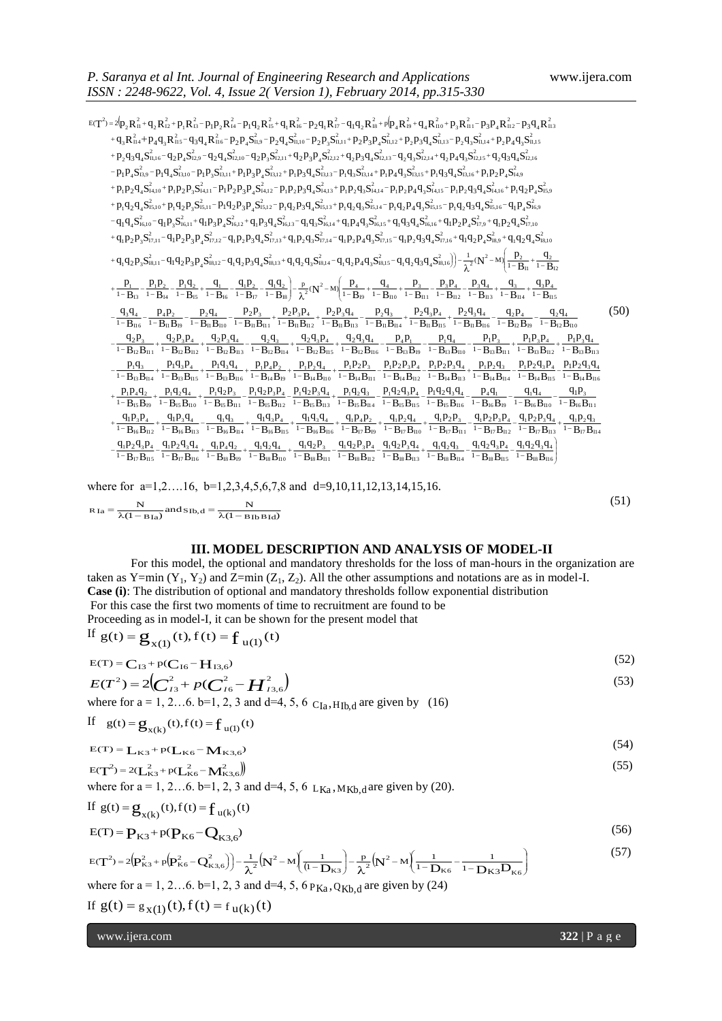(51)

155N: 2248-9622, Vol. 4, Issue 2(Version 1), Pebruary 2014, pp.315-330  
\n
$$
=r^2-4r_0R_0^2+q_0R_0^2+q_0R_0^2+q_0R_0^2+q_0R_0^2+q_0R_0^2+q_0R_0^2+q_0R_0^2+q_0R_0^2+q_0R_0^2+q_0R_0^2+q_0R_0^2+q_0R_0^2+q_0R_0^2+q_0R_0^2+q_0R_0^2+q_0R_0^2+q_0R_0^2+q_0R_0^2+q_0R_0^2+q_0R_0^2+q_0R_0^2+q_0R_0^2+q_0R_0^2+q_0R_0^2+q_0R_0^2+q_0R_0^2+q_0R_0^2+q_0R_0^2+q_0R_0^2+q_0R_0^2+q_0R_0^2+q_0R_0^2+q_0R_0^2+q_0R_0^2+q_0R_0^2+q_0R_0^2+q_0R_0^2+q_0R_0^2+q_0R_0^2+q_0R_0^2+q_0R_0^2+q_0R_0^2+q_0R_0^2+q_0R_0^2+q_0R_0^2+q_0R_0^2+q_0R_0^2+q_0R_0^2+q_0R_0^2+q_0R_0^2+q_0R_0^2+q_0R_0^2+q_0R_0^2+q_0R_0^2+q_0R_0^2+q_0R_0^2+q_0R_0^2+q_0R_0^2+q_0R_0^2+q_0R_0^2+q_0R_0^2+q_0R_0^2+q_0R_0^2+q_0R_0^2+q_0R_0^2+q_0R_0^2+q_0R_0^2+q_0R_0^2+q_0R_0^2+q_0R_0^2+q_0R_0^2+q_0R_0^2+q_0R_0^2+q_0R_0^2+q_0R_0^2+q_0R_0^2+q_0R_
$$

where for a=1,2...16, b=1,2,3,4,5,6,7,8 and d=9,10,11,12,13,14,15,16.  $\overline{(1 - B I b B I d)}$  $\frac{N}{(1 - B Ia)}$  and  $S_{Ib,d} = \frac{N}{\lambda(1 - B Ia)}$ N  $R_{Ia} = \frac{N}{\lambda (1 - B_{Ia})}$  and  $S_{Ib,d} = \frac{N}{\lambda (1 - B_{Ib} B_{Id})}$ 

### **III. MODEL DESCRIPTION AND ANALYSIS OF MODEL-II**

For this model, the optional and mandatory thresholds for the loss of man-hours in the organization are taken as Y=min (Y<sub>1</sub>, Y<sub>2</sub>) and Z=min (Z<sub>1</sub>, Z<sub>2</sub>). All the other assumptions and notations are as in model-I. **Case (i)**: The distribution of optional and mandatory thresholds follow exponential distribution For this case the first two moments of time to recruitment are found to be Proceeding as in model-I, it can be shown for the present model that

If 
$$
g(t) = g_{x(1)}(t), f(t) = f_{u(1)}(t)
$$
  
\n
$$
E(T) = C_{11} + p(C_{12} - H_{11})
$$
\n(52)

$$
E(T) = C_{13} + p(C_{16} - H_{13,6})
$$
\n
$$
E(T^2) = 2(C_{13}^2 + p(C_{16}^2 - H_{13,6}^2))
$$
\n(52)

where for  $a = 1, 2...6$ .  $b=1, 2, 3$  and  $d=4, 5, 6$   $C_{Ia}$ ,  $H_{Ib}$ , are given by (16)

If 
$$
g(t) = g_{x(k)}(t), f(t) = f_{u(1)}(t)
$$

$$
E(T) = L_{K3} + p(L_{K6} - M_{K3,6})
$$
\n
$$
(54)
$$

$$
E(T^{2}) = 2(L_{K3}^{2} + p(L_{K6}^{2} - M_{K3,6}^{2}))
$$
\n(55)

where for  $a = 1, 2...6$ .  $b=1, 2, 3$  and  $d=4, 5, 6$   $L_{Ka}$ ,  $M_{Kb,d}$  are given by (20).

If 
$$
g(t) = g_{x(k)}(t), f(t) = f_{u(k)}(t)
$$

$$
E(T) = P_{K3} + p(P_{K6} - Q_{K3,6})
$$
\n(56)

$$
E(T^{2}) = 2\left(\mathbf{p}_{K3}^{2} + p\left(\mathbf{p}_{K6}^{2} - \mathbf{Q}_{K3,6}^{2}\right)\right) - \frac{1}{\lambda^{2}}\left(\mathbf{N}^{2} - \mathbf{M}\left(\frac{1}{(1 - \mathbf{D}_{K3})}\right) - \frac{p}{\lambda^{2}}\left(\mathbf{N}^{2} - \mathbf{M}\left(\frac{1}{1 - \mathbf{D}_{K6}} - \frac{1}{1 - \mathbf{D}_{K3}\mathbf{D}_{K6}}\right)\right)
$$
(57)

where for a = 1, 2...6. b=1, 2, 3 and d=4, 5,  $6 P_{Ka}$ ,  $Q_{Kb,d}$  are given by (24)

If 
$$
g(t) = g_{x(1)}(t), f(t) = f_{u(k)}(t)
$$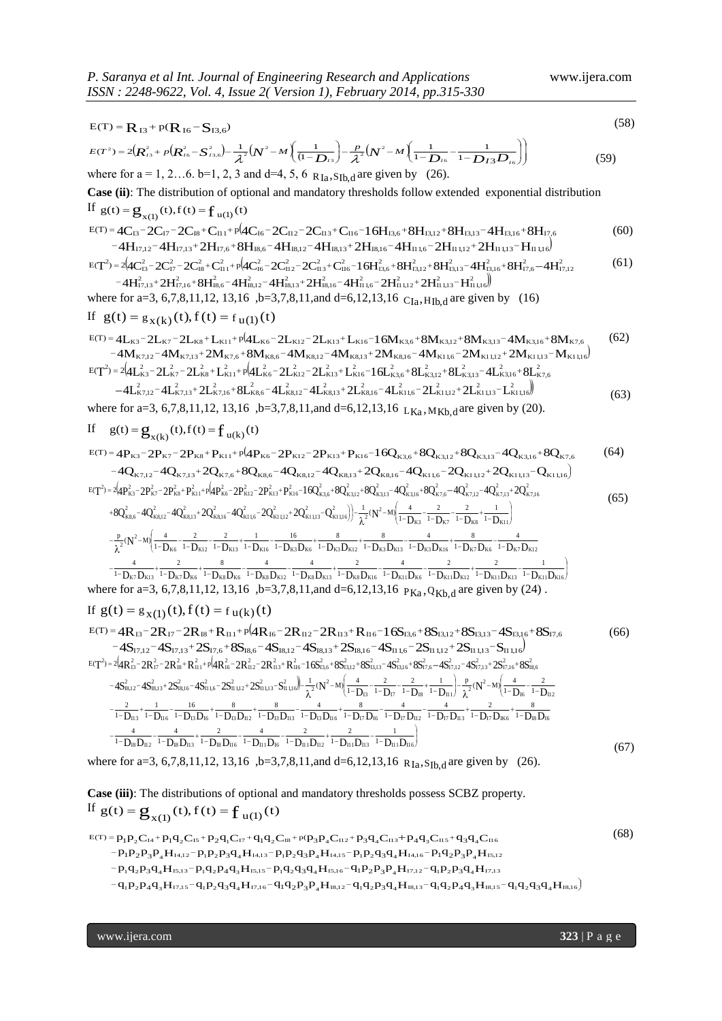E(T) = R<sub>13</sub> + p(R<sub>16</sub>-S<sub>13,6</sub>) (58)  
\n
$$
E(T^2) = 2(R_{23}^2 + p(R_{16}^2 - S_{23,6}^2) - \frac{1}{4^2}(N^2 - M\left(\frac{1}{(1-D_{16}}\right) - \frac{p}{A^2}(N^2 - M\left(\frac{1}{1-D_{16}} - \frac{1}{1-D_{13}D_{16}}\right))
$$
\nwhere for a = 1, 2...6. b=1, 2, 3 and d=4, 5, 6 R<sub>1a</sub>, S<sub>1b,d</sub> are given by (26).  
\nCase (ii): The distribution of optional and mandatory thresholds follow extended exponential distribution  
\nIf g(t) = g<sub>X(1)</sub>(t), f(t) = f<sub>u(1)</sub>(t)  
\n
$$
E(T) = 4C_{15} - 2C_{17} - 2C_{18} + C_{11} + p[4C_{16} - 2C_{12} - 2C_{13} + C_{116} - 16H_{13,6} + 8H_{13,12} + 8H_{13,13} - 4H_{13,16} + 8H_{17,6}
$$
\n
$$
-4H_{17,12} - 4H_{17,13} + 2H_{17,6} + 8H_{18,6} - 4H_{18,12} - 4H_{18,13} + 2H_{18,6} - 4H_{11,16} - 2H_{11,12} + 2H_{11,15} - H_{11,16}
$$
\n
$$
= T^2) = 2(2C_{12}^2 - 2C_{13}^2 + C_{111}^2 + p[4C_{16}^2 - 2C_{12}^2 - 2C_{13}^2 + C_{116}^2 - 16H_{13,6}^2 + 8H_{13,12}^2 + 8H_{13,12}^2 + 4H_{13,16}^2 + 8H_{17,6}^2 - 4H_{17,12}^2] - 4H_{17,13}^2 + 2H_{17,16}^2 + 8H_{18,12}^2 - 4H_{18,13}^2 + 2H_{18,16}^2 - 4H_{11
$$

$$
T^{2}=2(4P_{K3}^{2}-2P_{K7}^{2}-2P_{K8}^{2}+P_{K11}^{2}+p(4P_{K6}^{2}-2P_{K12}^{2}-2P_{K13}^{2}+P_{K16}^{2}-16Q_{K3,16}^{2}+8Q_{K3,12}^{2}+4Q_{K3,16}^{2}+8Q_{K3,12}^{2}-4Q_{K7,16}^{2}-4Q_{K7,13}^{2}+2Q_{K7,16}^{2}+8Q_{K7,15}^{2}-4Q_{K7,15}^{2}+2Q_{K7,16}^{2}+4Q_{K7,15}^{2}+2Q_{K7,16}^{2}+4Q_{K7,15}^{2}+2Q_{K7,16}^{2}+4Q_{K7,15}^{2}+2Q_{K7,16}^{2}+4Q_{K7,15}^{2}+2Q_{K7,16}^{2}+4Q_{K7,15}^{2}+2Q_{K7,16}^{2}+4Q_{K7,15}^{2}+2Q_{K7,16}^{2}+4Q_{K7,15}^{2}+2Q_{K7,16}^{2}+4Q_{K7,15}^{2}+2Q_{K7,16}^{2}+4Q_{K7,15}^{2}+4Q_{K7,15}^{2}+4Q_{K7,15}^{2}+4Q_{K7,15}^{2}+4Q_{K7,15}^{2}+4Q_{K7,15}^{2}+4Q_{K7,15}^{2}+4Q_{K7,15}^{2}+4Q_{K7,15}^{2}+4Q_{K7,15}^{2}+4Q_{K7,15}^{2}+4Q_{K7,15}^{2}+4Q_{K7,15}^{2}+4Q_{K7,15}^{2}+4Q_{K7,15}^{2}+4Q_{K7,15}^{2}+4Q_{K7,15}^{2}+4Q_{K7,15}^{2}+4Q_{K7,15}^{2}+4Q_{K7,15}^{2}+4Q_{K7,15}^{2}+4Q_{K7,15}^{2}+4Q_{K7,15}^{2}+4Q_{K7,15}^{2}+4Q_{K7,15}^{2}+4Q_{K7,15}^{2}+
$$

where for a=3, 6,7,8,11,12, 13,16 ,b=3,7,8,11,and d=6,12,13,16  $P_{Ka}$ , Q<sub>Kb,d</sub> are given by (24).

If g(t) g (t),f(t) f u(k)(t) x(1) I3 I7 I8 I1 1 I6 I1 2 I1 3 I1 6 I3,6 I3,1 2 I3,1 3 I3,1 6 I7,6 4S 4S 2S 8S 4S 4S 2S 4S 2S 2S S 4R 2R 2R R 4R 2R 2R R 16S 8S 8S 4S 8S I7,1 2 I7,1 3 I7,6 I8,6 I8,1 2 I8,1 3 I8,1 6 I1 1,6 I1 1,1 2 I1 1,1 3 I1 1,1 6 E(T) p (66) D D <sup>N</sup> <sup>D</sup> <sup>D</sup> <sup>D</sup> <sup>D</sup> 4S 4S 2S 4S 2S 2S S N <sup>T</sup> 4R 2R 2R <sup>R</sup> 4R 2R 2R <sup>R</sup> 1 6S 8S 8S 4S 8S 4S 4S 2S 8S I1 3 I1 6 I3 I6 I3I1 2 I3 I1 3 I3 I1 6 I7 I6 I7 I1 2 I7 I1 3 I7 IK6 I8 I6 I6I1 2 2 2 I3 I7 I8I1 1 2 2 2 I1 1,1 6 2 I1 1,1 3 2 I1 1,1 2 2 I1 1,6 2 I8,1 6 2 I8,1 3 2 I8,1 2 2 I8,6 2 I7,1 6 2 I7,1 3 2 I7,1 2 2 I7,6 2 I3,1 6 2 I3,1 3 2 I3,1 2 2 I3,6 2 1I6 2 I1 3 2 I1 2 2 I6 2 I1 1 2 I8 2 I7 2 I3 2 8 2 4 4 8 4 8 8 1 6 1 2 1 2 1 4 ( M) p 1 1 1 2 1 2 1 4 ( M) 1 E( ) 2 p

$$
-\frac{2}{1-D_{13}} + \frac{1}{1-D_{16}} - \frac{1}{1-D_{15}D_{16}} + \frac{1}{1-D_{13}D_{112}} + \frac{1}{1-D_{13}D_{112}} + \frac{1}{1-D_{15}D_{113}} - \frac{1}{1-D_{17}D_{16}} + \frac{1}{1-D_{17}D_{112}} - \frac{1}{1-D_{17}D_{113}} + \frac{1}{1-D_{17}D_{16}} + \frac{1}{1-D_{17}D_{16}} + \frac{1}{1-D_{17}D_{16}} + \frac{1}{1-D_{17}D_{16}} + \frac{1}{1-D_{18}D_{16}}
$$
\n
$$
-\frac{4}{1-D_{18}D_{112}} - \frac{4}{1-D_{18}D_{113}} + \frac{2}{1-D_{18}D_{116}} - \frac{4}{1-D_{11}D_{16}} - \frac{2}{1-D_{11}D_{112}} + \frac{2}{1-D_{11}D_{113}} - \frac{1}{1-D_{11}D_{116}}\right)
$$
\n
$$
(67)
$$

where for a=3, 6,7,8,11,12, 13,16 ,b=3,7,8,11,and d=6,12,13,16  $_{R_{Ia},S_{Ib,d}}$  are given by (26).

**Case (iii)**: The distributions of optional and mandatory thresholds possess SCBZ property. If  $g(t) = g_{x(1)}(t), f(t) = f_{u(1)}(t)$  $n_1 + p_3 q_4$  $I_{113} + P_4 Q_3$  $I_{115} + Q_3 Q_4$ I1 6

$$
E(T) = p_1 p_2 C_{14} + p_1 q_2 C_{15} + p_2 q_1 C_{17} + q_1 q_2 C_{18} + p_1 q_2 C_{18} + p_2 q_3 C_{112} + p_3 q_4 C_{113} + p_4 q_3 C_{115} + q_3 q_4 C_{116}
$$
\n
$$
- p_1 p_2 p_3 p_4 H_{14,12} - p_1 p_2 p_3 q_4 H_{14,13} - p_1 p_2 q_3 p_4 H_{14,15} - p_1 p_2 q_3 q_4 H_{14,16} - p_1 q_2 p_3 p_4 H_{15,12}
$$
\n
$$
- p_1 q_2 p_3 q_4 H_{15,13} - p_1 q_2 p_4 q_3 H_{15,15} - p_1 q_2 q_3 q_4 H_{15,16} - q_1 p_2 p_3 p_4 H_{17,12} - q_1 p_2 p_3 q_4 H_{17,13}
$$
\n
$$
- q_1 p_2 p_4 q_3 H_{17,15} - q_1 p_2 q_3 q_4 H_{17,16} - q_1 q_2 p_3 p_4 H_{18,12} - q_1 q_2 p_3 q_4 H_{18,13} - q_1 q_2 p_4 q_3 H_{18,15} - q_1 q_2 q_3 q_4 H_{18,16}
$$
\n(68)

www.ijera.com **323** | P a g e

$$
323 | P1 g
$$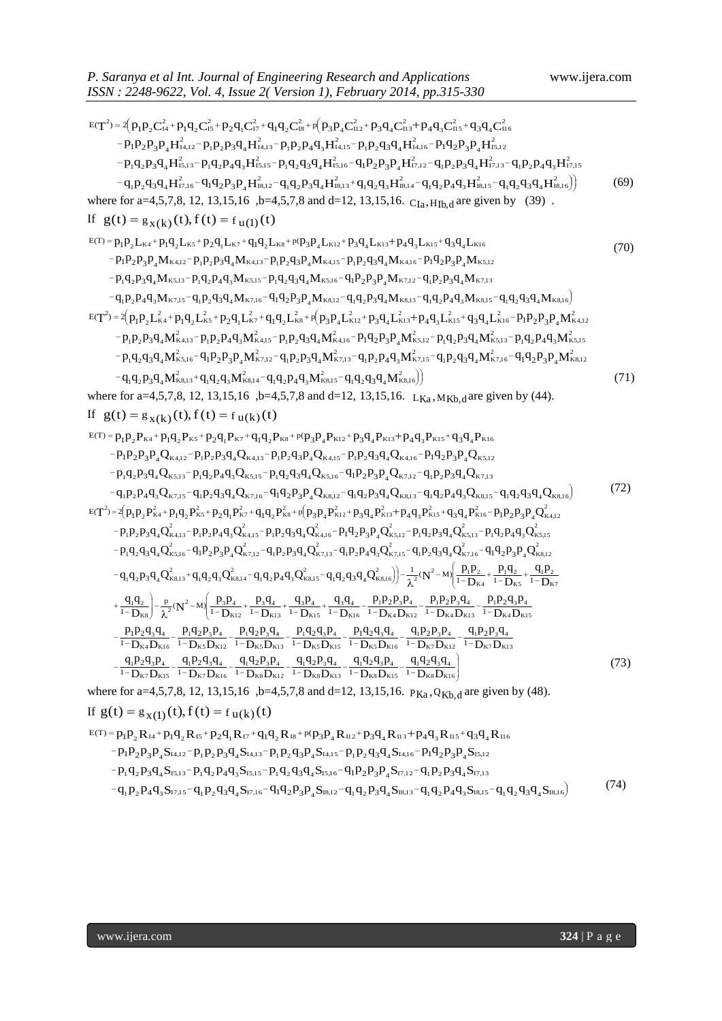ISSN : 2248-9622, Vol. 4, Isswe 2 (Version 1), February 2014, pp.315-330  
\n
$$
E(T^2)=4(p_1p_2C^2_{14}+p_1q_2C^2_{14}+p_2q_1C^2_{14}+q_1q_2C^2_{14}+p_2q_1C^2_{14}+p_2q_1C^2_{14}+p_2q_1C^2_{14}+p_2q_1C^2_{14}+p_2q_1C^2_{14}+p_2q_1C^2_{14}+p_2q_1C^2_{14}+p_2q_1C^2_{14}+p_2q_1C^2_{14}+p_2q_1C^2_{14}+p_2q_1C^2_{14}+p_2q_1C^2_{14}+p_2q_1R^2_{14}+p_2q_1R^2_{14}+p_2q_1R^2_{14}+p_2q_1R^2_{14}+p_2q_1R^2_{14}+p_2q_1R^2_{14}+p_2q_1R^2_{14}+p_2q_1R^2_{14}+p_2q_1R^2_{14}+p_2q_1R^2_{14}+p_2q_1R^2_{14}+p_2q_1R^2_{14}+p_2q_1R^2_{14}+p_2q_1R^2_{14}+p_2q_1R^2_{14}+p_2q_1R^2_{14}+p_2q_1R^2_{14}+p_2q_1R^2_{14}+p_2q_1R^2_{14}+p_2q_1R^2_{14}+p_2q_1R^2_{14}+p_2q_1R^2_{14}+p_2q_1R^2_{14}+p_2q_1R^2_{14}+p_2q_1R^2_{14}+p_2q_1R^2_{14}+p_2q_1R^2_{14}+p_2q_1R^2_{14}+p_2q_1R^2_{14}+p_2q_1R^2_{14}+p_2q_1R^2_{14}+p_2q_1R^2_{14}+p_2q_1R^2_{14}+p_2q_1R^2_{14}
$$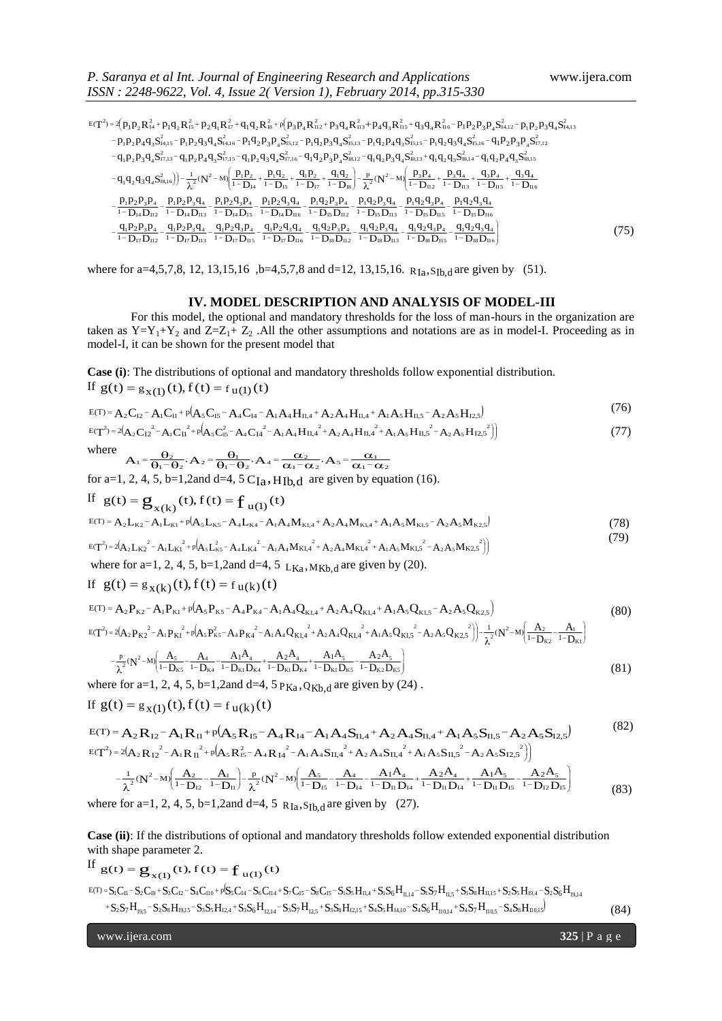$(7)$ 

*ISSN : 2248-9622, Vol. 4, Issue 2( Version 1), February 2014, pp.315-330*<br>  $E(T^2) = 2(p_1p_2R_{14}^2 + p_1q_2R_{15}^2 + p_2q_1R_{17}^2 + q_1q_2R_{18}^2 + p_1q_2R_{12}^2 + p_3q_4R_{13}^2 + p_4q_3R_{15}^2 + q_3q_4R_{16}^2 - p_1p_2p_3$  $\overline{\phantom{a}}$ J λ  $-\frac{\frac{111224314}{1124314}-\frac{11124314}{1124314}-\frac{11124314}{11124314}-\frac{11124314}{11124314}-\frac{11124314}{11124314}-\frac{11124314}{11124314}-\frac{11124314}{11124314}-\frac{11124314}{11124314}-\frac{11124314}{11124314}-\frac{11124314}{11124314}-\frac{111243$  $-\frac{1}{1-D_{14}D_{112}} - \frac{1}{1-D_{14}D_{113}} - \frac{1}{1-D_{14}D_{113}} - \frac{1}{1-D_{14}D_{15}} - \frac{1}{1-D_{14}D_{116}} - \frac{1}{1-D_{15}D_{112}} - \frac{1}{1-D_{15}D_{113}} - \frac{1}{1-D_{15}D_{113}} - \frac{1}{1-D_{15}D_{113}} - \frac{1}{1-D_{15}D_{113}} - \frac{1}{1-D_{15}D_{113}} - \frac{1}{1-D_{15}D_{113}} - \frac{1}{$  $\vert \cdot$ L ſ  $\left|-\frac{p}{\lambda^{2}}(N^{2}-M)\right|\frac{p_{3}p_{4}}{1-p_{12}}+\frac{p_{3}q_{4}}{1-p_{13}}+\frac{q_{3}p_{4}}{1-p_{13}}+\frac{q_{1}}{1-p_{1}}$ J λ  $\frac{P_1P_2}{1-P_{14}} + \frac{P_1Q_2}{1-P_{15}} + \frac{q_1P_2}{1-P_{17}} + \frac{q_1}{1-P_{17}}$ Ų ſ  $-q_1q_2q_3q_4S_{18,16}^2) - \frac{1}{\lambda^2}(N^2 - M) \frac{p_1p_2}{1 - D_{14}} + \frac{p_1q_2}{1 - D_{15}} + \frac{q_1p_2}{1 - D_{17}} + \frac{q_1q_2}{1 - D_{18}}) - \frac{p}{\lambda^2}(N^2 - M) \frac{p_3p_4}{1 - D_{112}} + \frac{p_3q_4}{1 - D_{113}} + \frac{q_3q_4}{1 - D_{115}}$  $-q_1p_2p_3q_4\mathcal{S}_{17,13}^2-q_1p_2p_4q_3\mathcal{S}_{17,15}^2-q_1p_2q_3q_4\mathcal{S}_{17,16}^2-q_1q_2p_3p_4\mathcal{S}_{18,12}^2-q_1q_2p_3q_4\mathcal{S}_{18,13}^2+q_1q_2q_3\mathcal{S}_{18,14}^2-q_1q_2p_4q_3\mathcal{S}_{18,16}^2$  $-p_1p_2p_4q_3S_{14,15}^2-p_1p_2q_3q_4S_{14,16}^2-p_1q_2p_3p_4S_{15,12}^2-p_1q_2p_3q_4S_{15,13}^2-p_1q_2p_4q_3S_{15,15}^2-p_1q_2q_3q_4S_{15,16}^2-q_1p_2p_3p_4S_{15,16}^2-p_1q_2q_3s_4S_{15,16}^2-p_1q_2q_3s_4S_{15,16}^2-p_1q_2q_3s_4S_{15,16}^2$  $T^2 = 2(p_1p_2R_{14}^2 + p_1q_2R_{15}^2 + p_2q_1R_{17}^2 + q_1q_2R_{18}^2 + p_1q_2R_{19}R_{112}^2 + p_3q_4R_{113}^2 + p_4q_3R_{115}^2 + q_3q_4R_{116}^2 - p_1p_2p_3p_4S_{14,12}^2 - p_1p_2p_3q_4S_{14,13}^2 - p_1p_2p_3q_4S_{14,16}^2 - p_1q_2p_3q_4S_{15,12}^2 - p$  $q_1 q_2 q_3 q_4$  $D_{18}D_{11}$  $q_1 q_2 q_3 p_4$  $D_{18}D_{11}$  $q_1 q_2 p_3 q_4$  $D_{18}D_{11}$  $q_1 q_2 p_3 p_4$  $D_{\rm I7}D_{\rm II}$  $q_1 p_2 q_3 q_4$  $D_{\rm I7}D_{\rm II}$  $q_1 p_2 q_3 p_4$  $D_{\rm I7}D_{\rm II}$  $q_1 p_2 p_3 q_4$  $D_{\rm I7}D_{\rm II}$  $q_1 p_2 p_3 p_4$  $p_1q_2q_3q_4$  $D_{15}D_{11}$  $p_1q_2q_3p_4$  $D_{15}D_{11}$  $p_1 q_2 p_3 q_4$  $\overline{D_{15}D_{11}}$  $p_1 q_2 p_3 p_4$  $D_{I4}D_{II}$  $p_1 p_2 q_3 q_4$  $\overline{D_{14}D_{15}}$  $p_1 p_2 q_3 p_4$  $\overline{D_{14}D_{11}}$  $p_1 p_2 p_3 q_4$  $\overline{D_{14}D_{11}}$  $p_1 p_2 p_3 p_4$  $q_3q_4$  $D_{II}$  $q_3p_4$  $D_{II}$  $p_3q_4$  $\left(\frac{q_2}{D_{\rm IB}}\right)$  -  $\frac{p}{\lambda^2}$  ( $N^2$  - M)  $\left(\frac{p_3 p_4}{1 - D_{\rm IB}}\right)$  $q_1q_2$  $\overline{D_{17}}$  $q_{1}p_{2}$  $D_{15}$  $p_{1}q_{2}$  $D_{I4}$  $q_1q_2q_3q_4S_{18,16}^2$  =  $-\frac{1}{2}N^2 - M\left(\frac{p_1p_2}{1-D_{14}} + \frac{p_1q_2}{1-D_{15}} + \frac{q_1p_2}{1-D_{17}} + \frac{q_1q_2}{1-D_{18}}\right) - \frac{p_2}{\lambda^2}(N^2 - M)\left(\frac{p_3p_4}{1-D_{112}} + \frac{p_3q_4}{1-D_{13}} + \frac{q_3p_4}{1-D_{15}} + \frac{q_3q_4}{1-D_{12}}\right)$  $\frac{q_3 q_4}{q_5 D_{116}}$ <br>  $\frac{2q_3 q_4}{q_5 D_{116}}$  $1$  42 43 44  $\frac{q_3 P_4}{q_5 D_{115}}$ <br>  $\frac{1}{2} \frac{q_3 P_4}{q_5 D_{115}}$  $1_1$ **42 43 P**<sub>4</sub>  $rac{P_3Q_4}{P_5D_{113}}$ <br>  $rac{P_3Q_4}{P_1B_{113}}$  $1\mathbf{4}2\mathbf{1}3\mathbf{4}4$  $\frac{P_3P_4}{P_5D_{112}}$ <br>  $\frac{P_2P_3P_4}{P_1BD_{112}}$  $1\mathbf{1}2\mathbf{1}3\mathbf{1}4$  $\frac{q_3 q_4}{q_4 D_{116}}$ <br> $\frac{1}{2} \frac{q_3 q_4}{q_7 D_{116}}$  $1P_2$  43 44  $\frac{[q_3P_4]}{[14D_{15}]}$ <br> $\frac{[q_3P_4]}{[17D_{15}]}$  $1 P_2 1 3 P_4$  $\frac{1}{14}P_3P_4$ <br>  $\frac{1}{14}P_{113}$ <br>  $\frac{1}{17}P_{113}$  $1P_2P_3$ 44  $\frac{1}{14} \frac{P_3 P_4}{P_{112}}$ <br> $\frac{1}{17} \frac{P_3 P_4}{P_{112}}$  $\frac{q_1p_2p_3p_4}{1-p_1p_2p_3p_4} - \frac{q_1p_2p_3q_4}{1-p_1p_3p_4} - \frac{q_1p_2q_3p_4}{1-p_1p_3p_4} - \frac{q_1p_2q_3q_4}{1-p_1p_3p_4} - \frac{q_1q_2p_3p_4}{1-p_1q_3p_4} - \frac{q_1q_2q_3p_4}{1-p_1q_3p_4} - \frac{q_1q_2q_3p_4}{1-p_1q_3p_4} - \frac{q_1q_2q_3p_4}{1-p_1q$ +  $\frac{q_3P_4}{1-P}$ <br> $\frac{q_2q_3q_4}{15D_{116}}$  $3 \text{ } 44$  $\frac{P_4}{D_{112}} + \frac{P_4}{11}$ <br> $\frac{Q_3 P_4}{P_{15} D_{115}}$  $T_1$ **4**  $2$ **4**  $3$   $P_4$  $(N^2 - N^2)$ <br>
I<sub>I5</sub> D<sub>113</sub><br>
I<sub>I5</sub> D<sub>113</sub>  $1$  42  $P_3$  44  $\frac{q_1 q_2}{1 - D_{18}}$ <br> $\frac{q_2 p_3 p_4}{15 D_{112}}$  $1\mathbf{4} 2 \mathbf{F}_3 \mathbf{F}_4$  $\frac{H_2}{D_{15}} + \frac{C_2}{1}$ <br> $\frac{Q_3 Q_4}{H_1 R_{16}}$  $3^{\prime}$ <sub>4</sub>  $\frac{P_1 P_2}{1 - D_{14}}$ <br> $\frac{[q_3 p_4]}{[14 D_{15}]}$  $1 P_2 1 3 P_4$  $\frac{1}{\lambda^2} (N)$ <br> $\frac{1}{2} P_3 Q_4$ <br> $\frac{1}{2} D_{113}$  $1 P 2 P_3$   $44$  $q_3 q_4 S$ <br>  $q_2 p_3 p_4$ <br>  $q_4 D_{112}$ <br>  $q_1 p_2$  $\frac{P_1P_2P_3P_4}{1-P_1P_2P_3P_4} - \frac{P_1P_2P_3P_4}{1-P_2P_4P_3P_4} - \frac{P_1P_2P_3P_4}{1-P_1P_4P_4} - \frac{P_1P_2P_3P_4}{1-P_1P_4P_4} - \frac{P_1P_2P_3P_4}{1-P_1P_4P_4} - \frac{P_1P_2P_3P_4}{1-P_1P_4P_4} - \frac{P_1P_2P_3P_4}{1-P_1P_4P_4} - \frac{P_1P_2P_3P_4}{1-P$  $15$ <br> $\frac{1}{4}$ <br>II6  $\frac{1}{2}P_{\frac{4}{115}}$  $\frac{1}{18,1}$ <br>I<sub>13</sub>  $q_1$ <br> $q_2$ <br> $q_3$  $1 - 12$ I7  $1\mathbf{P}_2$ I5  $1 - 12$ I4  $\left(\frac{2}{18,16}\right)$   $-\frac{1}{2}$   $\left(\mathbf{N}^2 - \mathbf{M}\right)$   $\left|\frac{\mathbf{P}_1 \mathbf{P}_2}{1 - \mathbf{D}_1}\right|$ I8,1 6 1 2 4 1 1 1 1 ( M) p 1 1 1 1 ( M) 1 3  $p_1p_2R_{14}^2 + p_1q_2R_{15}^2 + p_2q_1R_{17}^2 + q_1q_2R_{18}^2 + p_1q_3P_4R_{112}^2 + p_3q_4R_{113}^2 + p_4q_3R_{115}^2 + q_3q_4R_{116}^2 - p_1p_2p_3P_4S_{14,12}^2 - p_1p_2p_3P_4S_{14,14}^2 - p_1p_2q_3q_4S_{14,16}^2 - p_1p_2q_3q_4S_{14,16}^2 - p_1p_2q_3$ 2  $P_1 P_2 P_3 Q_4 S_{14,13}^2$ 2  $\frac{1}{4} S_{14,12}^2$  $E(T^2) = 2(p_1p_2R_A^2 + p_1q_2R_B^2 + p_2q_1R_B^2 + q_1q_2R_B^2 + p(p_3p_4R_{12}^2 + p_3q_4R_{13}^2 + p_4q_3R_{115}^2 + q_3q_4R_{116}^2 - p_1p_2p_3p_4S_{14,12}^2 - p_1p_2p_3p_4S_{14,12}^2 - p_1p_2p_3p_4S_{14,12}^2 - p_1p_2p_3p_4S_{14,12}^2 - p_1p_2p_3p_4S_{14,$ (75)

where for a=4,5,7,8, 12, 13,15,16 ,b=4,5,7,8 and d=12, 13,15,16.  $R_{Ia}$ ,  $S_{Ib,d}$  are given by (51).

#### **IV. MODEL DESCRIPTION AND ANALYSIS OF MODEL-III**

For this model, the optional and mandatory thresholds for the loss of man-hours in the organization are taken as  $Y=Y_1+Y_2$  and  $Z=Z_1+Z_2$ . All the other assumptions and notations are as in model-I. Proceeding as in model-I, it can be shown for the present model that

**Case (i)**: The distributions of optional and mandatory thresholds follow exponential distribution. If  $g(t) = g_{x(1)}(t), f(t) = f_{u(1)}(t)$ 

$$
E(T) = A_2 C_{12} - A_1 C_{11} + p(A_5 C_{15} - A_4 C_{14} - A_1 A_4 H_{11,4} + A_2 A_4 H_{11,4} + A_1 A_5 H_{11,5} - A_2 A_5 H_{12,5})
$$
\n<sup>(76)</sup>

$$
E(T^{2}) = 2(A_{2}C_{12}^{2} - A_{1}C_{11}^{2} + p(A_{5}C_{15}^{2} - A_{4}C_{14}^{2} - A_{1}A_{4}H_{11,4}^{2} + A_{2}A_{4}H_{11,4}^{2} + A_{1}A_{5}H_{11,5}^{2} - A_{2}A_{5}H_{12,5}^{2})
$$
\n
$$
(77)
$$

where

$$
A_1 = \frac{\theta_2}{\theta_1 - \theta_2}, A_2 = \frac{\theta_1}{\theta_1 - \theta_2}, A_4 = \frac{\alpha_2}{\alpha_1 - \alpha_2}, A_5 = \frac{\alpha_1}{\alpha_1 - \alpha_2}
$$

for a=1, 2, 4, 5, b=1,2and d=4, 5  $C_{Ia}$ , H<sub>Ib,d</sub> are given by equation (16).

If 
$$
g(t) = g_{x(k)}(t), f(t) = f_{u(1)}(t)
$$

$$
E(T) = A_2 L_{K2} - A_1 L_{K1} + P(A_5 L_{K5} - A_4 L_{K4} - A_1 A_4 M_{K1,4} + A_2 A_4 M_{K1,4} + A_1 A_5 M_{K1,5} - A_2 A_5 M_{K2,5})
$$
\n(78)

$$
E(T^{2}) = 2(A_{2}L_{K2}^{2} - A_{1}L_{K1}^{2} + p(A_{5}L_{K5}^{2} - A_{4}L_{K4}^{2} - A_{1}A_{4}M_{K1,4}^{2} + A_{2}A_{4}M_{K1,4}^{2} + A_{1}A_{5}M_{K1,5}^{2} - A_{2}A_{5}M_{K2,5}^{2})
$$
\n
$$
(17)
$$

where for a=1, 2, 4, 5, b=1,2and d=4, 5  $L_{Ka}$ ,  $M_{Kb,d}$  are given by (20).

If 
$$
g(t) = g_{X(k)}(t), f(t) = f_{U(k)}(t)
$$
  
\n
$$
E(T) = A_2 P_{K2} - A_1 P_{K1} + p(A_5 P_{K5} - A_4 P_{K4} - A_1 A_4 Q_{K1,4} + A_2 A_4 Q_{K1,4} + A_1 A_5 Q_{K1,5} - A_2 A_5 Q_{K2,5})
$$
\n(80)

$$
E(T^{2}) = 2(A_{2}P_{K2}^{2} - A_{1}P_{K1}^{2} + p(A_{5}P_{K5}^{2} - A_{4}P_{K4}^{2} - A_{1}A_{4}Q_{K1,4}^{2} + A_{2}A_{4}Q_{K1,4}^{2} + A_{1}A_{5}Q_{K1,5}^{2} - A_{2}A_{5}Q_{K2,5}^{2}) - \frac{1}{\lambda^{2}}(N^{2} - M)\left(\frac{A_{2}}{1 - D_{K2}} - \frac{B_{1}}{1 - D_{K1}}\right)\n- \frac{p}{\lambda^{2}}(N^{2} - M)\left(\frac{A_{5}}{1 - D_{K5}} - \frac{A_{4}}{1 - D_{K4}} - \frac{A_{1}A_{4}}{1 - D_{K1}D_{K4}} + \frac{A_{2}A_{4}}{1 - D_{K1}D_{K4}} + \frac{A_{1}A_{5}}{1 - D_{K1}D_{K5}} - \frac{A_{2}A_{5}}{1 - D_{K2}D_{K5}}\right)
$$
\n(81)

where for a=1, 2, 4, 5, b=1,2and d=4,  $5 P_{Ka}$ , Q<sub>Kb,d</sub> are given by (24).

If 
$$
g(t) = g_{x(1)}(t), f(t) = f_{u(k)}(t)
$$

$$
E(T) = A_2 R_{I2} - A_1 R_{I1} + p(A_5 R_{I5} - A_4 R_{I4} - A_1 A_4 S_{II,4} + A_2 A_4 S_{II,4} + A_1 A_5 S_{II,5} - A_2 A_5 S_{I2,5})
$$
\n(82)\n
$$
E(T^2) = 2(A_2 R_{I2}^2 - A_1 R_{I1}^2 + p(A_5 R_{I5}^2 - A_4 R_{I4}^2 - A_1 A_4 S_{II,4}^2 + A_2 A_4 S_{II,4}^2 + A_1 A_5 S_{II,5}^2 - A_2 A_5 S_{I2,5}^2)
$$

$$
-\frac{1}{\lambda^2}(N^2-M)\left(\frac{A_2}{1-D_{12}}-\frac{A_1}{1-D_{11}}\right)-\frac{p}{\lambda^2}(N^2-M)\left(\frac{A_5}{1-D_{15}}-\frac{A_4}{1-D_{14}}-\frac{A_1A_4}{1-D_{11}D_{14}}+\frac{A_2A_4}{1-D_{11}D_{14}}+\frac{A_1A_5}{1-D_{11}D_{15}}-\frac{A_2A_5}{1-D_{12}D_{15}}\right)
$$
(83)

where for a=1, 2, 4, 5, b=1,2and d=4, 5  $_{R_{Ia},S_{Ib,d}}$  are given by (27).

**Case (ii)**: If the distributions of optional and mandatory thresholds follow extended exponential distribution with shape parameter 2.

If 
$$
g(t) = g_{x(1)}(t), f(t) = f_{u(1)}(t)
$$

 $\rm S_{1}C_{II}$  =  $\rm S_{2}C_{19}$  +  $\rm S_{3}C_{12}$  =  $\rm S_{4}C_{10}$  + p( $\rm S_{5}C_{14}$  =  $\rm S_{6}C_{114}$  +  $\rm S_{7}C_{15}$  =  $\rm S_{8}C_{15}$  =  $\rm S_{1}S_{3}H_{11,4}$  +  $\rm S_{1}S_{6}H_{11,4}$  =  $\rm S_{1}S_{3}H_{11,5}$  +  $\rm S_{1}S_{8}H_{11,5}$  +  $\rm$  ${\rm S_2S_7H_{19.5}}-{\rm S_2S_8H_{19.15}}-{\rm S_3S_5H_{12.4}}+{\rm S_3S_6H_{12.14}}-{\rm S_3S_7H_{12.5}}+{\rm S_3S_8H_{12.15}}+{\rm S_4S_5H_{14.10}}-{\rm S_4S_6H_{10.14}}+{\rm S_4S_7H_{10.5}}-{\rm S_4S_8H_{10.15}}-{\rm S_4S_8H_{10.15}}-{\rm S_4S_8H_{10.15}}-{\rm S_4S_8H_{10.15}}-{\rm S$  $\mathcal{L}_1 = \mathbf{g}_{\mathbf{x}(1)}(t)$ ,  $\mathbf{f}(t) = \mathbf{f}_{\mathbf{u}(1)}(t)$ <br>  $C_{\mathbf{u}}$  - S<sub>2</sub>C<sub>19</sub>+ S<sub>3</sub>C<sub>12</sub> - S<sub>4</sub>C<sub>110</sub>+ p(S<sub>5</sub>C<sub>14</sub> - S<sub>6</sub>C<sub>114</sub> + S<sub>7</sub>C<sub>15</sub> - S<sub>8</sub>C<sub>15</sub> - S<sub>1</sub>S<sub>5</sub>H<sub>11,4</sub> + S<sub>1</sub>S<sub>6</sub>H<sub>11,14</sub> - S<sub>1</sub>S<sub>5</sub>H<sub>11,5</sub> + S<sub>1</sub>S<sub>5</sub>H shape parameter 2.<br>  $\mathbf{t} = \mathbf{g}_{\mathbf{x}(1)}(\mathbf{t}), \mathbf{f}(\mathbf{t}) = \mathbf{f}_{\mathbf{u}(1)}(\mathbf{t})$ <br>  $\mathbf{g}_{\mathbf{u}(1)} = \mathbf{g}_{\mathbf{v}(2)} = \mathbf{g}_{\mathbf{u}(1)} + \mathbf{g}_{\mathbf{v}(2)} = \mathbf{g}_{\mathbf{v}(1)} + \mathbf{g}_{\mathbf{v}(2)} = \mathbf{g}_{\mathbf{v}(1)} + \mathbf{g}_{\mathbf{v}(2)} = \mathbf{g}_{\mathbf{v}(1)} + \math$  $+ S_2 S_7 H_{_{19,5}} - S_2 S_8 H_{_{19,15}} - S_3 S_5 H_{_{12,4}} + S_3 S_6 H_{_{12,14}} - S_3 S_7 H_{_{12,5}} + S_3 S_8 H_{_{12,15}} + S_4 S_5 H_{_{14,10}} - S_4 S_6 H_{_{110,14}} + S_4 S_7 H_{_{10,5}} - S_5 S_7 H_{_{15,15}}$  $E(T) = S_1 C_{11} - S_2 C_{19} + S_3 C_{12} - S_4 C_{110} + p S_5 C_{14} - S_6 C_{114} + S_7 C_{15} - S_8 C_{15} - S_1 S_5 H_{11.4} + S_1 S_6 H_{11.14} - S_1 S_7 H_{11.5} + S_1 S_8 H_{11.15} + S_2 S_5 H_{19.4} - S_2 S_6 H_{10.4}$ (84)

www.ijera.com **325** | P a g e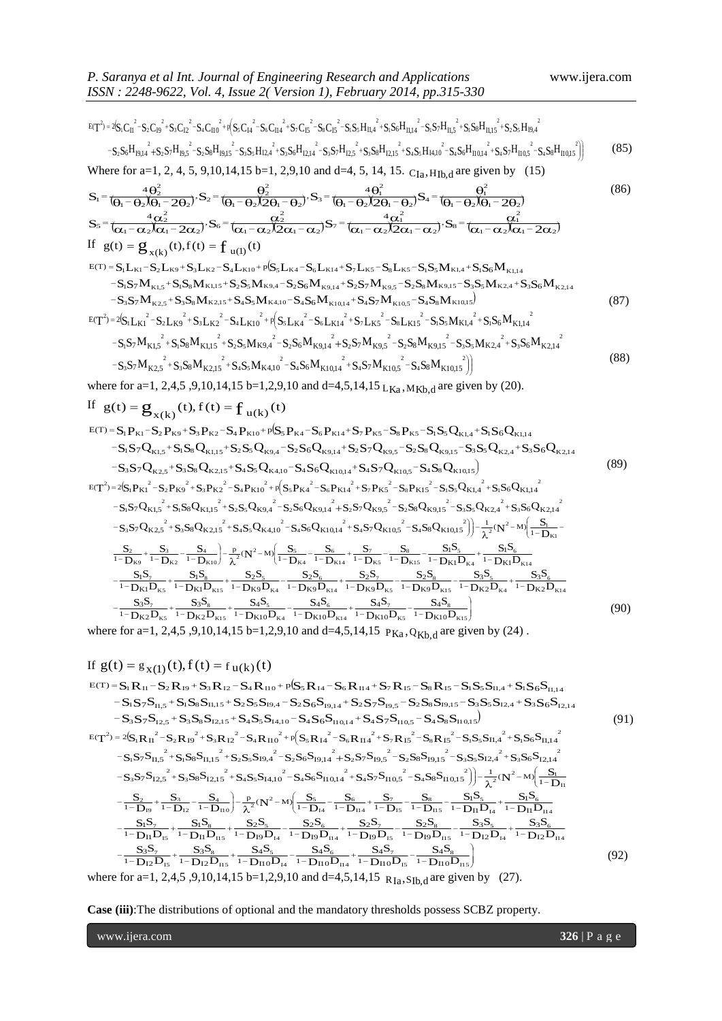F. sumup at min. *om* permin. *om* 880  
\n
$$
r_1^2 - 8r_0^2 + 8r_0^2 - 5r_0^2r_0^2 + 8r_0^2 - 8r_0^2r_0^2 - 8r_0^2r_0^2 - 8r_0^2r_0^2 - 8r_0^2r_0^2 - 8r_0^2r_0^2 - 8r_0^2r_0^2 - 8r_0^2r_0^2 - 8r_0^2r_0^2 - 8r_0^2r_0^2 - 8r_0^2r_0^2 - 8r_0^2r_0^2 - 8r_0^2r_0^2 - 8r_0^2r_0^2 - 8r_0^2r_0^2 - 8r_0^2r_0^2 - 8r_0^2r_0^2 - 8r_0^2r_0^2 - 8r_0^2r_0^2 - 8r_0^2r_0^2 - 8r_0^2r_0^2 - 8r_0^2r_0^2 - 8r_0^2r_0^2 - 8r_0^2r_0^2 - 8r_0^2r_0^2 - 8r_0^2r_0^2 - 8r_0^2r_0^2 - 8r_0^2r_0^2 - 8r_0^2r_0^2 - 8r_0^2r_0^2 - 8r_0^2r_0^2 - 8r_0^2r_0^2 - 8r_0^2r_0^2 - 8r_0^2r_0^2 - 8r_0^2r_0^2 - 8r_0^2r_0^2 - 8r_0^2r_0^2 - 8r_0^2r_0^2 - 8r_0^2r_0^2 - 8r_0^2r_0^2 - 8r_0^2r_0^2 - 8r_0^2r_0^2 - 8r_0^2r_0^2 - 8r_0^2r_0^2 - 8r_0^2r_0^2 - 8r_0^2r_0^2 - 8r_0^2r_0^2 - 8r_0^2r_0^2 - 8r_0^2r_0^2 - 8r_0^2r_0^2 - 8r_0^2r_0^2 - 8r_0^2r_0^2 - 8r_0^2r_0^2 - 8r_0^2
$$

If 
$$
g(t) = g_{x(1)}(t), f(t) = f_{u(k)}(t)
$$
  
\n
$$
g_{(T)} = S_{1}R_{11} - S_{2}R_{19} + S_{3}R_{12} - S_{4}R_{110} + p(S_{5}R_{14} - S_{6}R_{114} + S_{7}R_{15} - S_{8}R_{15} - S_{1}S_{5}S_{11,4} + S_{1}S_{6}S_{11,14} - S_{1}S_{7}S_{11,5} + S_{1}S_{8}S_{11,15} + S_{2}S_{5}S_{19,4} - S_{2}S_{6}S_{19,14} + S_{2}S_{7}S_{19,5} - S_{2}S_{8}S_{19,15} - S_{3}S_{5}S_{12,4} + S_{3}S_{6}S_{12,14} - S_{3}S_{7}S_{12,5} + S_{3}S_{8}S_{12,15} + S_{4}S_{5}S_{5}S_{14,10} - S_{4}S_{6}S_{110,14} + S_{4}S_{7}S_{10,5} - S_{4}S_{8}S_{110,15})
$$
\n
$$
g_{(T)} = 2(S_{1}R_{11}^{2} - S_{2}R_{19}^{2} + S_{3}R_{12}^{2} - S_{4}R_{110}^{2} + p(S_{5}R_{14}^{2} - S_{6}R_{114}^{2} + S_{7}R_{15}^{2} - S_{8}R_{15}^{2} - S_{1}S_{5}S_{11,4}^{2} + S_{1}S_{6}S_{11,14}^{2} - S_{1}S_{7}S_{11,5}^{2} + S_{1}S_{8}S_{11,15}^{2} + S_{2}S_{5}S_{19,4}^{2} - S_{2}S_{6}S_{19,14}^{2} + S_{2}S_{7}S_{19,5}^{2} - S_{2}S_{8}S_{19,15}^{2} - S_{5}S_{5}S_{12,4}^{2} + S_{5}S_{6}S_{12,14}^{2}
$$
\n
$$
-S_{3}S_{7}S_{12,5}^{2} + S_{3}S_{8}S_{12,15}^{2
$$

**Case (iii)**:The distributions of optional and the mandatory thresholds possess SCBZ property.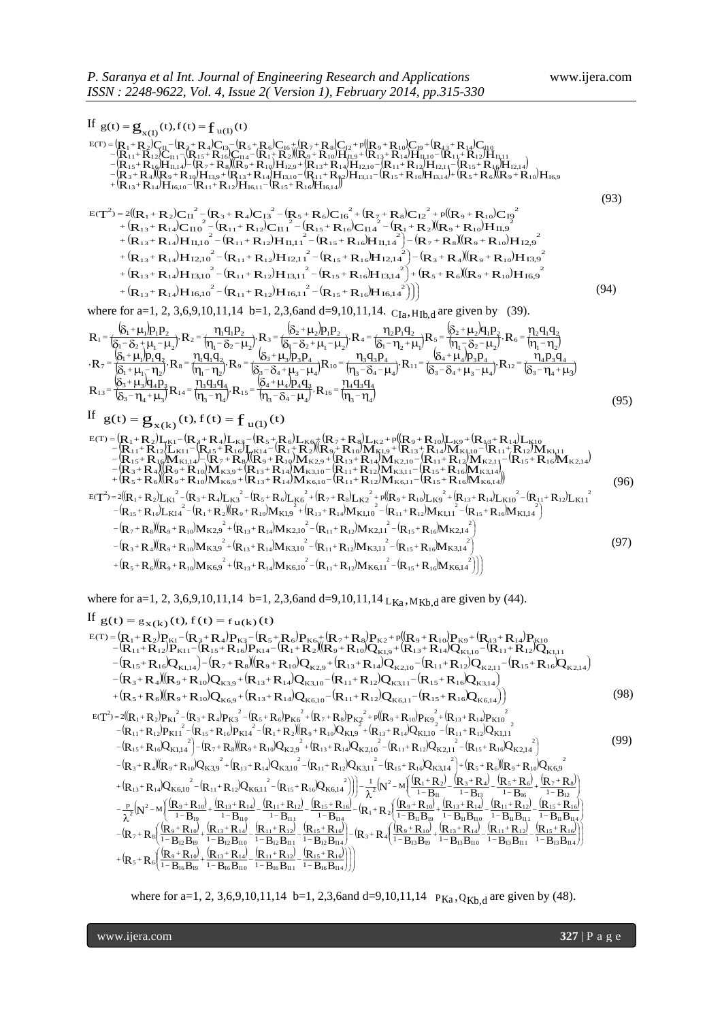If  $g(t) = g_{x(1)}(t), f(t) = f_{u(1)}(t)$  $(R_1+R_2)C_{11}-(R_3+R_4)C_{13}-(R_5+R_6)C_{16}+(R_7+R_8)C_{12}+p(R_9+R_{10})C_{19}+(R_{13}+R_{14})C_{11}-(R_{14}+R_{12})C_{14}+(R_{13}+R_{14})C_{15}+(R_{14}+R_{12})C_{16}$  $(R_{15}+R_{16})H_{114}$   $-R_{2}+R_{8}$   $(R_{0}+R_{10})H_{12,0}$   $+ (R_{12}+R_{14})H_{12,10}$   $- (R_{11}+R_{12})H_{12,11}$   $- (R_{15}+R_{16})H_{12,14}$  $(\overline{R}_{3}^+R_{4})(\overline{R}_{9}^+R_{10})\overline{H}_{13,9}^+ (\overline{R}_{13}^+R_{14})\overline{H}_{13,10}^+ (\overline{R}_{11}^+R_{12})\overline{H}_{13,11}^+ (\overline{R}_{11}^+R_{12})\overline{H}_{13,11}^- (\overline{R}_{13}^+R_{16})\overline{H}_{13,14}^+ + \overline{R}_{16}^+ (\overline{R}_{15}^+R_{16})\overline{H}_{13,14}^+ + \overline{R}_{16}^+ (\overline{R$  $R_{15}+R_{16}H_{11,14}-R_{15}+R_{18}H_{19}+R_{19}H_{12,9}+R_{15}+R_{14}H_{12,10}-R_{11}+R_{12}H_{12,11}-R_{15}+R_{16}H_{11}$  $\begin{array}{l} \rm R_1 + R_2)C_{11} - (R_8 + R_4)C_{13} - (R_5 + R_6)C_{16} + (R_7 + R_8)C_{12} + p(R_8 + R_{10})C_{19} + (R_{13} + R_{14})C_{110} \ \rm R_{11} + R_{12}C_{111} - (R_{15} + R_{16})C_{114} - (R_1 + R_2)(R_9 + R_{10})H_{11,9} + (R_{13} + R_{14})H_{11,10} - (R_{11} + R_{12})H_{11} \ \rm R_{15} + R_{16}$ + R<sub>2</sub>)C<sub>H</sub> - (R<sub>2</sub>+ R<sub>4</sub>)C<sub>13</sub>- (R<sub>5</sub>+ R<sub>6</sub>)C<sub>16</sub>+(R<sub>7</sub>+ R<sub>8</sub>)C<sub>12</sub>+p((R<sub>9</sub>+ R<sub>10</sub>)C<sub>19</sub>+ (R<sub>13</sub>+ R<sub>14</sub>)C<sub>H10</sub><br>11+ R12)C<sub>H1</sub> - (R15 + R16)C<sub>H4</sub> - (R<sub>1</sub>+ R<sub>2</sub>)(R<sub>9</sub> + R<sub>10</sub>)H<sub>H9</sub>+ (R<sub>13</sub>+ R14)H<sub>H1</sub>0 - (R<sub>11</sub>+ R12)H<sub>H111</sub><br>1  $\begin{array}{l} \displaystyle{S_{\textbf{X}(1)}(t), t(t) - \textbf{I}_{\textbf{u}(1)}(t) }\\ \displaystyle{S_{\textbf{X}(2)}[c_{11} - (R_{\textbf{2}}+R_{\textbf{4}})C_{13} - (R_{\textbf{5}}+R_{\textbf{6}})C_{16} + (R_{\textbf{7}}+R_{\textbf{8}})C_{12} + p((R_{\textbf{9}}+R_{\textbf{10}})C_{19} + (R_{\textbf{4}3}+R_{\textbf{14}})C_{\textbf{110}}\\ \displaystyle{S_{\textbf{11}} + R_{\$ 1  $g(t) = g_{x(1)}(t), f(t) = f_{u(1)}(t)$ <br>  $g(t) = (R_1 + R_2)C_{u} - (R_3 + R_4)C_{u} - (R_5 + R_6)C_{u} + (R_7 + R_8)C_{u} + p((R_9 + R_{u})C_{u} + (R_{u} + R_{u})C_{u} - (R_1 + R_{u} + R_{u})C_{u} - (R_1 + R_{u} + R_{u})C_{u} - (R_1 + R_{u} + R_{u})C_{u} - (R_1 + R_{u} + R_{u})C_{u} - (R_1 + R_{u} + R_{u})C_{u}$  $+({\bf R}_{12}+{\bf R}_{14}){\bf H}_{1610} - ({\bf R}_{11}+{\bf R}_{12}){\bf H}_{1611} - ({\bf R}_{15}+{\bf R}_{16})$  $-(R_{12}+R_{4})(R_{9}+R_{10})H_{12,0}+(R_{12}+R_{14})H_{12,10}-(R_{11}+R_{32})H_{12,11}-(R_{15}+R_{16})H_{12,14}+(R_{5}+R_{6})(R_{0}+R_{16})H_{12,14}$  $-(R_{15}+R_{16})H_{114}-(R_{7}+R_{8})(R_{9}+R_{19})H_{12.9}+(R_{12}+R_{14})H_{12.10}-(R_{11}+R_{12})H_{12.14}-(R_{15}+R_{16})H_{13.15}$  $=[R_{1}+R_{2})C_{11} - [R_{3}+R_{4})C_{13} - [R_{5}+R_{6})C_{16} + [R_{7}+R_{8}]C_{12} + p([R_{9}+R_{10})C_{19} + [R_{43}+R_{10}+R_{10}+R_{10}+R_{10}+R_{10}+R_{10}+R_{10}+R_{11}+R_{10}+R_{11}+R_{10}+R_{11}+R_{10}+R_{11}+R_{10}+R_{11}+R_{10}+R_{11}+R_{10}+R_{11}+R_{10}+R_{11}$  (93)  $(\mathbf{R}_{1}+\mathbf{R}_{2})\mathbf{C}_{11}^{2}-(\mathbf{R}_{3}+\mathbf{R}_{4})\mathbf{C}_{13}^{2}-(\mathbf{R}_{5}+\mathbf{R}_{6})\mathbf{C}_{16}^{2}+(\mathbf{R}_{7}+\mathbf{R}_{8})\mathbf{C}_{12}^{2}+p((\mathbf{R}_{9}+\mathbf{R}_{10})\mathbf{C}_{12}^{2})$  $({\bf R}_{13}+{\bf R}_{14}){\bf C}_{110}^2-({\bf R}_{11}+{\bf R}_{12}){\bf C}_{111}^2-({\bf R}_{15}+{\bf R}_{16}){\bf C}_{114}^2-({\bf R}_{1}+{\bf R}_{2})(\bar{\bf R}_{9}+{\bf R}_{10})$  $+(R_{13}+R_{14})H_{11,10}^2-(R_{11}+R_{12})H_{11,11}^2-(R_{15}+R_{16})H_{11,14}^2)-(R_7+R_8)(R_9+R_{10})$ +  $(R_{13} + R_{14})H_{11,10} - (R_{11} + R_{12})H_{11,11} - (R_{15} + R_{16})H_{11,14} - (R_{7} + R_{8})(R_{9} + R_{10})H_{12}$ <br>
+  $(R_{13} + R_{14})H_{12,10}^2 - (R_{11} + R_{12})H_{12,11}^2 - (R_{15} + R_{16})H_{12,14}^2) - (R_{3} + R_{4})(R_{9} + R_{10})H_{13}$ <br>
+  $(R_{13} + R_{14})H_{13,10}^2 - (R_{$  $+({R_{13}}+{R_{14}})H_{13,10}^2 -({R_{11}}+{R_{12}})H_{13,11}^2 -({R_{15}}+{R_{16}})H_{13,14}^2) +({R_{5}}+{R_{6}})(R_{9}+R_{10})H_{13,14}^2$  $(R_{13}+R_{14})H_{16,10}^2-(R_{11}+R_{12})H_{16,11}^2-(R_{15}+R_{16})H_{16,14}^2))$  $\bigg) \bigg)$  $+\big(\mathbf{R}_{13}+\mathbf{R}_{14}\big)\mathbf{H}_{16,10}^2-\big(\mathbf{R}_{11}+\mathbf{R}_{12}\big)\mathbf{H}_{16,11}^2-\big(\mathbf{R}_{15}+\mathbf{R}_{16}\big)\mathbf{H}_{16,14}^2\bigg)\bigg)$  $+({R_{13}}+{R_{14}})C_{110}^2-({R_{11}}+{R_{12}})C_{111}^2-({R_{15}}+{R_{16}})C_{114}^2-({R_{1}}+{R_{2}})(R_{9}+$  $=2({R_1+R_2})C_{11}^2-({R_3+R_4})C_{13}^2-({R_5+R_6})C_{16}^2+({R_7+R_8})C_{12}^2+{\rm p}({R_9+R_8})$  ${\rm (R_{13}+R_{14})H_{II,10}}^2 - {\rm (R_{11}+R_{12})H_{II,11}}^2 - {\rm (R_{15}+R_{16})H_{II,14}}^2 - {\rm (R_{7}+R_{8})({\rm (R_{9}+R_{10})H_{14}})}^2$  $R_{13}$ + $R_{14}$ ) $C_{110}$ <sup>2</sup> -  $(R_{11}$ + $R_{12}$ ) $C_{111}$ <sup>2</sup> -  $(R_{15}$ + $R_{16})C_{114}$ <sup>2</sup> -  $(R_{1}$ + $R_{2})$  $(R_{9}$ + $R_{10})H_{15}$  $T^2 = 2((R_1 + R_2)C_{11}^2 - (R_3 + R_4)C_{13}^2 - (R_5 + R_6)C_{16}^2 + (R_7 + R_8)C_{12}^2 + p((R_9 + R_{10})C_{16}^2 + R_9C_{17}^2 + q)(R_9 + R_9C_{18}^2 + R_9C_{19}^2 + R_9C_{10}^2 + R_9C_{10}^2 + R_9C_{10}^2 + R_9C_{10}C_{10}^2 + R_9C_{10}C_{10}^2 + R_9C_{10}C_{10}^2 + R_9C_{11$  $\frac{1}{100}$   $\frac{1}{100}$   $\frac{1}{100}$   $\frac{1}{100}$   $\frac{1}{100}$   $\frac{1}{100}$   $\frac{1}{100}$   $\frac{1}{100}$   $\frac{1}{100}$   $\frac{1}{100}$   $\frac{1}{100}$   $\frac{1}{100}$   $\frac{1}{100}$   $\frac{1}{100}$   $\frac{1}{100}$   $\frac{1}{100}$   $\frac{1}{100}$   $\frac{1}{100}$   $\frac{1$  $I_{1,10}^2 - (R_{11} + R_{12})C_{13} - (R_{15} + R_6)C_{16} + (R_7 + R_8)C_{12} + p((R_9 + R_{10})C_{19})$ <br>  $I_{1,10}^2 - (R_{11} + R_{12})C_{11} + (R_{15} + R_{16})C_{114} - (R_{11} + R_2)(R_9 + R_{10})H_{11,9}$ <br>  $I_{1,10}^2 - (R_{11} + R_{12})H_{11,11} - (R_{15} + R_{16})H_{11,14} - (R_7 + R_8)(R$  $\frac{1}{11}$  - (R<sub>3</sub> + R<sub>4</sub>)C<sub>13</sub><sup>2</sup> - (R<sub>5</sub> + R<sub>6</sub>)C<sub>16</sub><sup>2</sup> + (R<sub>7</sub> + R<sub>8</sub>)C<sub>12</sub><sup>2</sup> + p((R<sub>9</sub> + R<sub>10</sub>)C<sub>19</sub><sup>2</sup><br>  $\frac{1}{110}$  - (R<sub>11</sub> + R<sub>12</sub>)C<sub>11</sub><sup>2</sup> - (R<sub>15</sub> + R<sub>16</sub>)C<sub>114</sub><sup>2</sup> - (R<sub>1</sub> + R<sub>2</sub>)((R<sub>9</sub> + R<sub>10</sub>)H<sub>11,9</sub><sup>2</sup><br>  $\frac$  $\begin{aligned} &\frac{1}{2} \left( \mathbf{R}_{11} + \mathbf{R}_{12} \right) \mathbf{H}_{16,11} - \left( \mathbf{R}_{15} + \mathbf{R}_{16} \right) \mathbf{H}_{16,14} \right) \\ &\frac{1}{2} \left( \mathbf{R}_{3} + \mathbf{R}_{4} \right) \mathbf{C}_{13}^{-2} - \left( \mathbf{R}_{5} + \mathbf{R}_{6} \right) \mathbf{C}_{16}^{-2} + \left( \mathbf{R}_{7} + \mathbf{R}_{8} \right) \mathbf{C}_{12}^{-2} + p \left( \left( \mathbf{R$  $E(T^2) = 2((R_1 + R_2)C_{11}^2 - (R_3 + R_4)C_{13}^2 - (R_5 + R_6)C_{16}^2 + (R_7 + R_8)C_{12}^2 + p((R_9 + R_{10})C_{19}^2)$ 13 + R<sub>14</sub>)H<sub>12,10</sub> - (R<sub>11</sub>+ R<sub>12</sub>)H<sub>12,11</sub> - (R<sub>15</sub>+ R<sub>16</sub>)H<sub>12,14</sub> ) - (R<sub>3</sub> + R<sub>4</sub>)(R<sub>9</sub> + R<sub>10</sub>)H<sub>13,9</sub><br>
13 + R<sub>14</sub>)H<sub>13,10</sub><sup>2</sup> - (R<sub>11</sub>+ R<sub>12</sub>)H<sub>13,11</sub><sup>2</sup> - (R<sub>15</sub>+ R<sub>16</sub>)H<sub>13,14</sub><sup>2</sup> + (R<sub>5</sub> + R<sub>6</sub>)((R<sub>9</sub> + R<sub>10</sub>)H<sub></sub>  $\frac{2}{\pi}$  (x x )  $\frac{2}{\pi}$  (x x )  $\frac{2}{\pi}$  (x x )  $\frac{2}{\pi}$  (x x )  $\frac{2}{\pi}$  (x x )  $\frac{2}{\pi}$ 13 + R<sub>14</sub>) $C_{10}^2 - (R_{11} + R_{12})C_{11}^2 - (R_{15} + R_{16})C_{11}^2 - (R_1 + R_2)(R_9 + R_{10})H_{11,9}^2$ <br>
13 + R<sub>14</sub>) $H_{11,10}^2 - (R_{11} + R_{12})H_{11,11}^2 - (R_{15} + R_{16})H_{11,14}^2 - (R_7 + R_8)(R_9 + R_{10})$ <br>
13 + R<sub>14</sub>) $H_{12,10}^2 - (R_{11} + R_{12})H_{12,1$ 2 <sup>2</sup> + p(( $\mathbf{R}_9$  +  $\mathbf{R}_{10}$ )C<br>
2)( $\mathbf{R}_9$  +  $\mathbf{R}_{10}$ )H<sub>11</sub>,<br>
7 +  $\mathbf{R}_8$ )( $\mathbf{R}_9$  +  $\mathbf{R}_{10}$ ) 2  $C_{16}^{2}$  + (<br>  $R_{16}$ )C<br>  $C_{15}$  + R<sub>16</sub> 2  $R_4$ )C<sub>13</sub><br>  $+ R_{12}$ )C<br>  $+ R_{12}$ <br>  $+ R_{12}$ 2  $R_1 + R_2$ <br>
13 + R<sub>14</sub><br>
13 + R<sub>14</sub>  $\frac{3}{2}$  $\sum_{12}$  2 + p(( $\mathbf{R}_9$  +  $\mathbf{R}_1$ <br>  $\sum_{i=1}^{3}$  +  $\mathbf{R}_2$ )( $\mathbf{R}_9$  +  $\mathbf{R}_{10}$ <br>  $\sum_{i=1}^{3}$  =  $\sum_{i=1}^{3}$  +  $\mathbf{R}_1$ )  $\frac{1}{2}$  $R_6$ )C<sub>16</sub><sup>2</sup><br>
15<sup>+</sup> R<sub>16</sub><br>
(**p** + **t**  $\overline{2}$ +  $R_4$ )C<sub>1</sub><br><sub>11</sub> +  $R_{12}$ <br>P + P 2  $R_1 + R_2$ <br>  $13 + R_{14}$ <br>  $+ R_1$ 2  $9 + R_{10}$ <br> $9 + R_{10}$ <br> $R_{10}$ <sup>2</sup>) = 2(( $R_1 + R_2$ ) $C_{11}^2 - (R_3 + R_4)C_{13}^2 - (R_5 + R_6)C_{16}^2 + (R_7 + R_8)C_{12}^2$  (94) where for a=1, 2, 3,6,9,10,11,14 b=1, 2,3,6and d=9,10,11,14.  $C_{Ia}$ ,  $H_{Ib}$ , are given by (39).  $\delta_1 + \mu_1 p_1 p_2$   $\delta_2 + \mu_2 p_1 p_2$   $\delta_3 + \mu_3 p_1 p_2$   $\delta_4 + \mu_2 p_1 p_2$   $\delta_5 + \mu_3 p_1 q_2$   $\delta_6 + \mu_2 q_1 p_2$  $(\delta_0 - \delta_2 + \mu_1 - \mu_2)^{N-2}$   $(n_1 - \delta_2 - \mu_2)^{N-1}$  $\delta$ <sub>2</sub>+u<sub>2</sub>b  $(\delta_1-\delta_2+\mu_1-\mu_2)^{T-4}$   $(\delta_1-\mu_2+\mu_1)^T$  $\delta$ -tu $\alpha$  $(n - \delta_2 - \mu_2)^{1}$   $(1 - n_2)$ (Տ. + u. lp  $(\delta_1 + \mu_1 - \eta_2)^{1.18}$   $(\eta_1 - \eta_2)^{1.1}$  $\delta_2$ + $\mu$ <sub>o</sub>lp  $\left( \delta_2 - \delta_4 + \mu_2 - \mu_1 \right)^{1 \times 10}$   $\left( \eta_2 - \delta_4 - \mu_1 \right)^{11}$  $\delta_4$ +u.h  $\left[\delta_{2} - \delta_{4} + \mu_{2} - \mu_{1}\right]^{1}$   $\left[\delta_{2} - \mu_{1} + \mu_{2}\right]$  $\delta_2$ +u, a  $(\delta_2 - n. + \mu)$ <sup>N<sub>14</sub>  $(n, -n.)^T$ </sup>  $\delta_4$ +u.b  $(\eta_3 - \delta_4 - \mu_4)$ <sup>,  $\mathbf{K}_{16} = (\eta_3 - \eta_4)$ </sup>  $\overline{\mathsf{n}}_{\scriptscriptstyle{A}}$  $\sqrt{\eta_3-\delta_4-\mu_4}$  $\delta_4$ + $\mu$  $\overline{\mathfrak{m}_\mathrm{a}\text{-}\mathfrak{n}_\mathrm{a}}$  $\mathbf{m}$  $\overline{\delta_3 - \eta_4 + \mu_3}$  $\delta_3$ + $\mu$ <sub>3</sub>  $\sqrt{\delta_3 - \eta_4 + \mu_3}$  $\ddot{\eta}_{_4}$  $\sqrt{\delta_3-\delta_4+\mu_3-\mu_4}$  $\delta_4 + \mu$  $\sqrt{\eta_3 - \delta_4 - \mu_4}$  $\eta_{\scriptscriptstyle 3}$  $\overline{\delta_3} - \overline{\delta_4} + \mu_3 - \mu_4$  $\delta_3$ + $\mu$ <sub>3</sub>  $\overline{\eta_{\scriptscriptstyle1}-\eta_{\scriptscriptstyle2}}$  $\eta_{\rm r}$  $\overline{\delta_1^+\mu_1^-\eta_2^+}$  $\dot{\delta}_1 + \mu_1$ (ղ,−ղ,  $\eta$ ,  $(\eta_1 - \delta_2 - \mu_2)$  $\delta_2$ + $\mu_{_2}$  $\delta_1 - \eta_2 + \mu_1$  $\eta$ ,  $\delta_1 - \delta_2 + \mu_1 - \mu_2$  $\delta_2$ + $\mu_{_2}$  $\overline{\eta_1-\delta_2-\mu_2}$  $\eta_{\rm r}$  $\delta_1 - \delta_2 + \mu_1 - \mu_2$  $\delta_1$ + $\mu_1$  $-\frac{\mu_{4}/\mu_{4}\mu_{3}}{\lambda_{4}-\mu_{4}}$ ,  $R_{16} = \frac{\mu_{4}\mu_{3}}{m_{2}-\mu_{4}}$  $+\mu_3\overline{Q_4P_3}R_{14} = \frac{\eta_3q_3q_4}{\eta_2-\eta_1}R_{15} = \frac{(\delta_4+\delta_5)}{\eta_3-\eta_2}$  $=\frac{6^{3}}{1}$  $-\frac{\kappa_4 \cdot \kappa_4 \cdot \kappa_3 \cdot \kappa_4}{-\kappa_4 + \mu_3 - \mu_4}$ ,  $R_{12} = \frac{\kappa_4 \cdot \kappa_3 \cdot \kappa_4}{(\kappa_3 - \mu_1 + \mu_2)}$  $\frac{(\delta_3 + \mu_3)p_3p_4}{(\delta_4 + \mu_5 - \mu_6)}R_{10} = \frac{\eta_3 q_3 p_4}{(\eta_3 - \delta_4 - \mu_6)}R_{11} = \frac{(\delta_4 + \mu_5 - \mu_6)}{(\delta_3 - \delta_6)}$ +  $\mu_1$   $p_1 q_2$ <br>+  $\mu_2$  -  $n_3$   $R_8$  =  $\frac{n_1 q_1 q_2}{n_1 n_2}$   $R_9$  =  $\frac{8a_3 + b_4}{8a_3 n_3 n_4}$  $=\frac{6}{1}$  $\frac{F_{2}/T_{1}F_{2}}{-\delta_{2}-\mu_{2}}$ ,  $R_{6} = \frac{12T_{1}}{(n_{1}-\mu_{1})}$  $\left(\frac{S_2 + \mu_2}{P_1 P_2}\right)$ <br>-  $S_3 + \mu_1 - \mu_2$   $R_4 = \frac{\eta_2 p_1 q_2}{\left(S_1 - \eta_2 + \mu_1\right)} R_5 = \frac{\left(S_2 + \mu_2\right)}{\eta_1 - \eta_2}$  $\frac{S_1 + \mu_1 p_1 p_2}{S_2 + \mu_1 - \mu_2}$   $R_2 = \frac{\eta_1 q_1 p_2}{\eta_1 - \delta_2 - \mu_2}$   $R_3 = \frac{S_2 + \mu_2}{S_1 - \delta_2}$  $= +\frac{6}{1}$ 3 4  $4\frac{4}{3}\frac{4}{4}$  $\frac{1}{16}$  $3 - 04 - \mu_4$  $4 \mu_4$ / $P_4$  $q_3$  $\frac{1}{15}$  $3 - 14$ 3 **43 4**  $-8$ <br> $-14$  $3 - 1$ <sub>4</sub>  $\mu$ <sub>3</sub>  $3 \text{ }\mu_3 \mu_4 \mu_3$  $\frac{1}{3}$  $3 - 11_4$  $4P_3$  4  $R_{0}$  $3$  –  $O_4$  –  $\mu$ <sub>3</sub> –  $\mu$ <sub>4</sub>  $4 \frac{1}{4} \frac{\mu_4}{\mu_3 \mu_4}$  $\frac{1}{2}$ <br>11  $3 - 04 - \mu_4$  $3\frac{4}{3}P_4$  $\frac{p_1}{p_2}$  $3^{\circ}$  04  $^{\circ}$   $\mu$ <sub>3</sub>  $^{\circ}$   $\mu$ <sub>4</sub>  $\frac{1}{2} \frac{q_1 q_2}{q_1 - q_2}$ ,  $R_9 = \frac{163 + \mu_3 p_3 p_4}{(83 - \delta_4 + \mu_3 - \mu_4)}$  $\frac{1 + \mu_1 \mu_1 \mu_2}{\mu_1 + \mu_1 - \eta_2}$ ,  $R_8 = \frac{\mu_1 \mu_1 \mu_2}{\mu_1 - \eta_2}$  $7 = \frac{Q_1 + \mu_1 / P_1 Q_2}{S_1 + \mu_2 Q_2}$  $\mathbf{1}$   $\mathbf{1}_2$  $\frac{1}{2}$   $\frac{\mu_2}{4_1}$   $\frac{\mu_2}{2}$   $\frac{\mu_2}{4_1}$   $\frac{\mu_2}{2}$   $\frac{\mu_2}{4_1}$   $\frac{\mu_2}{4_1}$   $\frac{\mu_2}{4_1}$  $\left(\frac{\mathbf{u}_2 \mathbf{p}_1 \mathbf{q}_2}{\mathbf{u}_1 - \mathbf{p}_2 + \mathbf{\mu}_1}\right) \mathbf{R}_5 = \frac{(\mathbf{v}_2 + \mathbf{\mu}_2) \mathbf{q}_1 \mathbf{p}_2}{(\mathbf{p}_1 - \mathbf{\delta}_2 - \mathbf{\mu}_2)}$  $\left(\frac{1}{2} + \frac{\mu_2}{\mu_1 - \mu_2}\right)$ ,  $R_4 = \frac{1}{2} + \frac{1}{2} + \frac{1}{2}$  $\frac{11_1q_1p_2}{q_1-\delta_2-\mu_2}$ ,  $R_3 = \frac{Q_2+\mu_2}{Q_1-\delta_2+\mu_1-\mu_2}$  $\frac{1}{\sqrt{1-\delta_2+\mu_1-\mu_2}}$   $\frac{1}{\sqrt{1-\delta_2+\mu_1-\mu_2}}$   $\frac{1}{\sqrt{1-\delta_2-\mu_1-\mu_2}}$  $1 = \frac{Q_1 + \mu_1}{Q_2 - Q_1 + \mu_2}$  $R_{13} = \frac{{\left( {\delta _3 + \mu _3 } \right)}\eta _4 \overline{p}_3}{{\left( {\kappa _3 - \mu _1 + 1} \right)}R_{14}} = \frac{{\eta _3 q_3 \overline{q}_4}}{{\left( {\kappa _3 - \mu _1 } \right)}R_{15}} = \frac{{\left( {\delta _4 + \mu _4 } \right)}\overline{p}_4 \overline{q}_3}{{\left( {\kappa _3 - \kappa _2 + 1} \right)}^3}R_{16} = \frac{{\eta _4 \overline{q}_3 \overline{q}_4 }}{{\left( {\kappa _3 - \kappa _1 } \right)}}$  $R_7 = \frac{\left(\delta_1 + \mu_1\right)p_1q_2}{\left(s_1 + \mu_1\right)p_1q_2}$ <br> $R_8 = \frac{\eta_1q_1q_2}{\left(p_1 - p_1\right)}$ <br> $R_9 = \frac{\left(\delta_3 + \mu_3\right)p_3p_4}{\left(s_2 - s_1 + \mu_1 - \mu_1\right)}$ <br> $R_{10} = \frac{\eta_3q_3p_4}{\left(p_1 - s_1\right)}$ <br> $R_{11} = \frac{\left(\delta_4 + \mu_4\right)p_3p_4}{\left(s_2 - s_1 + \mu_1 - \mu_1\right)}$ <br> $R_{$  $R_1 = \frac{\left(\delta_1 + \mu_1\right)p_1p_2}{\left(s - s + \mu_1 - \mu_1\right)}$ <br> $R_2 = \frac{\eta_1q_1p_2}{\left(n - s - \mu_1\right)}$ <br> $R_3 = \frac{\left(\delta_2 + \mu_2\right)p_1p_2}{\left(s - s + \mu_1 - \mu_1\right)}$ <br> $R_4 = \frac{\eta_2p_1q_2}{\left(s - n + \mu_1\right)}$ <br> $R_5 = \frac{\left(\delta_2 + \mu_2\right)q_1p_2}{\left(n - s - \mu_1\right)}$ <br> $R_6 = \frac{\eta_2q_1q_2}{$  $R_{15} = \frac{64}{1} = \frac{124}{1}$ , 3  $R_7 = \frac{V_1}{V_2} + \frac{V_2}{V_1} + \frac{V_3}{V_2} + \frac{V_4}{V_3} + \frac{V_5}{V_4} + \frac{V_6}{V_5} + \frac{V_7}{V_5} + \frac{V_8}{V_5} + \frac{V_9}{V_5} + \frac{V_9}{V_6} + \frac{V_1}{V_6} + \frac{V_1}{V_6} + \frac{V_1}{V_6} + \frac{V_1}{V_6} + \frac{V_1}{V_6} + \frac{V_1}{V_6} + \frac{V_1}{V_6} + \frac{V_1}{V_6} +$ ,  $R_2 = f(\frac{1}{2})^2 R_1 = f(\frac{1}{2})^2 R_2 = f(\frac{1}{2})^2 R_1 = f(\frac{1}{2})^2 R_2 = f(\frac{1}{2})^2 R_2 = f(\frac{1}{2})^2 R_1 = f(\frac{1}{2})^2 R_2 = f(\frac{1}{2})^2 R_1 = f(\frac{1}{2})^2 R_2 = f(\frac{1}{2})^2 R_1 = f(\frac{1}{2})^2 R_2 = f(\frac{1}{2})^2 R_1 = f(\frac{1}{2})^2 R_1 = f(\frac{1}{2})^2 R_1 = f(\frac{1}{2})^2 R_1 = f(\frac{$  (95) If  $g(t) = g_{x(k)}(t), f(t) = f_{u(1)}(t)$  $(\mathbf{R}_1 + \mathbf{R}_2) \mathbf{L}_{\mathbf{K}1} - (\mathbf{R}_3 + \mathbf{R}_4) \mathbf{L}_{\mathbf{K}3} - (\mathbf{R}_5 + \mathbf{R}_6) \mathbf{L}_{\mathbf{K}6} + (\mathbf{R}_7 + \mathbf{R}_3) \mathbf{L}_{\mathbf{K}2} + p (\mathbf{R}_9 + \mathbf{R}_{10}) \mathbf{L}_{\mathbf{K}9} + (\mathbf{R}_{13} + \mathbf{R}_{14}) \mathbf{L}_{\mathbf{K}1} + (\mathbf{R}_{14} + \mathbf{R}_{15}) \mathbf{L}_{\mathbf{$  $(R_{15}+R_{16})W_{K114} - (\tilde{R}_{7}+R_{8})(\tilde{R}_{9}+R_{19})W_{K29} + (\tilde{R}_{13}+R_{14})W_{K210} - (\tilde{R}_{11}+R_{12})W_{K211} - (\tilde{R}_{15}+R_{16})W_{K214})$  $R_{3}+R_{4}$  ( $R_{9}+R_{10}$ )  $M_{K3,9}+R_{13}+R_{14}$ )  $M_{K3,10}-R_{11}+R_{12}$ )  $M_{K3,11}-R_{15}+R_{16}$  ( $K_{15}+R_{16}$ )  $M_{K3,14}$ )<br> $R_{5}+R_{6}$  ( $R_{9}+R_{10}$ )  $M_{K6,9}+R_{13}+R_{14}$ )  $M_{K6,10}-R_{11}+R_{12}$ )  $M_{K6,11}-R_{15}+R_{16}$  ( $M$  $R_{15} + R_{16}M_{K1,14} + (R_7 + R_8)(R_9 + R_{10})M_{K2,9} + (R_{13} + R_{14})M_{K2,10} - (R_{11} + R_{12})M_{K2,11} - (R_{15} + R_{16})M_{K2,11}$  $R_1 + R_2$ ) $L_{K11} - (R_3 + R_4)L_{K3} - (R_5 + R_6)L_{K6} + (R_7 + R_8)L_{K2} + p((R_9 + R_{10})L_{K9} + (R_{13} + R_{14})L_{K10} - (R_{11} + R_{12})L_{K11} - (R_{15} + R_{16})L_{K14} - (R_1 + R_2)(R_9 + R_{10})M_{K1,9} + (R_{13} + R_{14})M_{K1,10} - (R_{11} + R_{12})M_{K1,14} - (R_7 + R_8)(R_9 + R_{10})M$  $\begin{array}{l} {}_{1}+R_{2})L_{\mathrm{K}1} -{}_{2}+R_{4}L_{\mathrm{K}3} -{}_{3}+R_{6}L_{\mathrm{K}6} +{}_{3}+R_{7}L_{\mathrm{K}2} -{}_{4}+R_{8}L_{\mathrm{K}2} \\ {}_{11}+R_{12})L_{\mathrm{K}11} -{}_{3}+R_{15}L_{\mathrm{K}14} -{}_{3}+R_{16}L_{\mathrm{K}14} \\ {}_{15}+R_{16}M_{\mathrm{K}1,14} -{}_{3}+R_{16}L_{\mathrm{K}2} \\ {}_{15}+R_{16$  $\begin{array}{l} =\mathbf{g}_{\mathbf{x}(k)}(t), t(t)=\mathbf{I}_{\mathbf{u}(1)}(t)\\ +R_{2})L_{\mathbf{K}1}-(\mathbf{R}_{3}+\mathbf{R}_{4})L_{\mathbf{K}3}-(\mathbf{R}_{5}+\mathbf{R}_{6})L_{\mathbf{K}6}+(\mathbf{R}_{7}+\mathbf{R}_{8})L_{\mathbf{K}2}+p([\mathbf{R}_{9}+\mathbf{R}_{10})L_{\mathbf{K}9}+(\mathbf{R}_{13}+\mathbf{R}_{14})L_{\mathbf{K}10}\\ +\mathbf{R}_{12}L_{\mathbf{K}11}-(\mathbf$ 1 1  $g(t) = g_{x(k)}(t), f(t) = f_{u(1)}(t)$ <br>  $F(t) = g_{x(k)}(t), f(t) = f_{u(1)}(t)$ <br>  $F(t) = (R_1 + R_2)I_{xk1} - (R_3 + R_4)I_{xk3} - (R_5 + R_6)I_{xk6} + (R_7 + R_8)I_{xk2} + p((R_9 + R_{10})I_{xk9} + (R_{13} + R_{14})I_{xk10} - (R_{11} + R_{12})I_{xk11} - (R_{15} + R_{16})I_{xk14} - (R_1 + R_2)I_{x$  $+({\bf R}_{5}+{\bf R}_{6})({\bf R}_{9}+{\bf R}_{10}){\bf M}_{K6.9}+({\bf R}_{13}+{\bf R}_{14}){\bf M}_{K6.19} -({\bf R}_{11}+{\bf R}_{12}){\bf M}_{K6.11} -({\bf R}_{15}+{\bf R}_{16})$  $-(R_{15}+R_{4})(R_{9}+R_{10})M_{K39}+(R_{13}+R_{14})M_{K310}-(R_{11}+R_{12})M_{K311}-(R_{15}+R_{16})M_{K311}$  $-(R_{15}+R_{16})W_{K114} - (\tilde{R}_{7}+R_{8})(\tilde{R}_{9}+R_{19})W_{K2.9} + (\tilde{R}_{12}+R_{14})W_{K2.19} - (\tilde{R}_{11}+R_{12})W_{K2.11} - (\tilde{R}_{15}+R_{16})W_{K2.11}$  $=[R_{1}+R_{2})I_{\nu\kappa1} - [R_{3}+R_{4}]L_{\kappa3} - [R_{5}+R_{6}]L_{\kappa6} + [R_{7}+R_{8}]L_{\kappa2} + p([R_{9}+R_{10}]L_{\kappa9} + [R_{13}+R_{10}]L_{\kappa1} - [R_{11}+R_{10}]L_{\kappa10} + [R_{11}+R_{11}]L_{\kappa10} - [R_{11}+R_{10}]L_{\kappa11} - [R_{11}+R_{10}]L_{\kappa11} - [R_{11}+R_{11}]L_{\kappa11} - [$  (96)  $(\mathbf{R}_1 + \mathbf{R}_2)$  $\mathbf{I}_{\mathcal{K}1} - (\mathbf{R}_2 + \mathbf{R}_3)$  $\mathbf{I}_{\mathcal{K}2} + (\mathbf{R}_3 + \mathbf{R}_4)$  $\mathbf{I}_{\mathcal{K}6} + (\mathbf{R}_7 + \mathbf{R}_8)$  $\mathbf{I}_{\mathcal{K}6} + (\mathbf{R}_7 + \mathbf{R}_9)$  $\mathbf{I}_{\mathcal{K}2} + p(\mathbf{R}_8 + \mathbf{R}_{10})$  $\mathbf{I}_{\mathcal{K}0} + (\mathbf{R}_{12} + \mathbf{R}_{13})$  $-(R_{15}+R_{16})L_{K14}^2-(R_1+R_2)(R_9+R_{10})M_{K1,9}^2+(R_{13}+R_{14})M_{K1,10}^2-(R_{11}+R_{12})M_{K1,11}^2-(R_{15}+R_{16})M_{K1,14})^2$  $-\left(\mathbf{R}_{7}+\mathbf{R}_{8}\right)\left(\mathbf{R}_{9}+\mathbf{R}_{10}\right)\mathbf{M}_{K2,9}^{2}+\left(\mathbf{R}_{13}+\mathbf{R}_{14}\right)\mathbf{M}_{K2,10}^{2}-\left(\mathbf{R}_{11}+\mathbf{R}_{12}\right)\mathbf{M}_{K2,11}^{2}-\left(\mathbf{R}_{15}+\mathbf{R}_{16}\right)\mathbf{M}_{K2,14}^{2}\right)$  $-\left(\mathbf{R}_3 + \mathbf{R}_4\right)\left(\mathbf{R}_9 + \mathbf{R}_{10}\right)\mathbf{M}_{K3,9}^2 + \left(\mathbf{R}_{13} + \mathbf{R}_{14}\right)\mathbf{M}_{K3,10}^2 - \left(\mathbf{R}_{11} + \mathbf{R}_{12}\right)\mathbf{M}_{K3,11}^2 - \left(\mathbf{R}_{15} + \mathbf{R}_{16}\right)\mathbf{M}_{K3,14}^2\right)$  $(R_5 + R_6)(R_9 + R_{10})M_{K6,9}^2 + (R_{13} + R_{14})M_{K6,10}^2 - (R_{11} + R_{12})M_{K6,11}^2 - (R_{15} + R_{16})M_{K6,14}^2)]$  $\bigg)$  $+\big(R_5+R_6\big)(R_9+R_{10})M_{K6,9}^2+\big(R_{13}+R_{14}\big)M_{K6,10}^2-\big(R_{11}+R_{12}\big)M_{K6,11}^2-\big(R_{15}+R_{16}\big)M_{K6,14}^2\big)\big)$  $=2(\mathbf{R}_{1}+\mathbf{R}_{2})\mathbf{I}_{1}\mathbf{I}_{2}\mathbf{I}_{3}+\mathbf{R}_{3}\mathbf{I}_{2}\mathbf{I}_{3}\mathbf{I}_{4}\mathbf{I}_{5}+\mathbf{R}_{4}\mathbf{I}_{1}\mathbf{I}_{5}\mathbf{I}_{6}+\mathbf{R}_{6}\mathbf{I}_{1}\mathbf{I}_{6}\mathbf{I}_{7}\mathbf{I}_{8}\mathbf{I}_{8}\mathbf{I}_{9}\mathbf{I}_{10}\mathbf{I}_{10}\mathbf{I}_{10}\mathbf{I}_{10}\mathbf{I}_{10}\mathbf{I}_{10}\mathbf{I}_{10}\mathbf{I}_{10}\math$  $R_{15}+R_{16}L_{K14}^2-(R_1+R_2)(R_9+R_{10})M_{K1,9}^2+(R_{13}+R_{14})M_{K1,10}^2-(R_{11}+R_{12})M_{K1,11}^2-(R_{15}+R_{16})M_{K1,11}^2$ T<sup>2</sup>) = 2((R<sub>1</sub> + R<sub>2</sub>)L<sub>K1</sub><sup>2</sup> - (R<sub>3</sub> + R<sub>4</sub>)L<sub>K3</sub><sup>2</sup> - (R<sub>5</sub> + R<sub>10</sub>)L<sub>K6</sub><sup>2</sup> + (R<sub>7</sub> + R<sub>2</sub>)L<sub>K2</sub><sup>2</sup> + p((R<sub>9</sub> + R<sub>10</sub>)L<sub>K9</sub><sup>2</sup> + (R<sub>13</sub> + R<sub>14</sub>)L<sub>K10</sub><sup>2</sup> - (R<sub>14</sub> + R<sub>14</sub>)L<sub>K10</sub><sup>2</sup> - (R<sub>14</sub> + R<sub>14</sub>)L<sub>K10</sub><sup>2</sup> - (R<sub>14</sub>  $K_1 + R_2 + R_3 + R_{10} + R_{10} + R_{12} + R_{13} + R_{14} + R_{12}$ <br>  $K_1 + R_2 + R_3 + R_{10} + R_{12} + R_{13} + R_{14} + R_{12}$ <br>  $K_2 + R_3 + R_4 + R_5 + R_{10} + R_{13} + R_{14} + R_{14} + R_{12}$ <br>  $K_3 + R_4 + R_5 + R_{10} + R_{12} + R_{13} + R_{14} + R_{14} + R_{13}$ <br>  $K_3 + R_4 + R_5 + R_{10} + R_{12} +$ 5+R<sub>6</sub> $\sqrt{(R_9+R_{10})}$  $N_{K6,9}$ + $(R_{13}+R_{14})$  $N_{K6,10}$  - $(R_{11}+R_{12})$  $N_{K6,11}$  - $(R_{15}+R_{16})$ <br>  $R_1+R_2$  $L_{K1}^2$  - $(R_3+R_4)$  $L_{K3}^2$  - $(R_5+R_6)$  $L_{K6}^2$  + $(R_7+R_8)$  $L_{K2}^2$  + $p$  $((R_9+R_{10})$  $L_{K9}^2$  + $(R_{13}$ <br>  $R_16)$  $W_{K1,14} = (K_7 + K_8)(K_9 + K_{19})W_{K2,9} + (K_{13} + K_{14})W_{K2,10} - (K_{11} + K_{12})W_{K2,11} - (K_{15} + K_{16})W_{K3,14})$ <br>  $K_9 + R_{10}M_{K6,9} + (R_{13} + R_{14})M_{K6,10} - (R_{11} + R_{12})M_{K6,11} - (R_{15} + R_{16})M_{K6,14})$ <br>  $K_1^2 - (R_3 + R_4)L_{K3}^2 - (R_5 + R_6)L_{K6}^$  $\begin{array}{l} -(\mathbf{R}_{11}+\mathbf{R}_{12})\mathbf{L}_{K11}-(\mathbf{R}_{15}+\mathbf{R}_{16})\mathbf{L}_{K14}-(\mathbf{R}_{11}+\mathbf{R}_{2})(\mathbf{R}_{9}+\mathbf{R}_{10})\mathbf{M}_{K1,9}+(\mathbf{R}_{13}+\mathbf{R}_{14})\mathbf{M}_{K1,10}-(\mathbf{R}_{11}+\mathbf{R}_{12})\mathbf{M}_{K1,11} \\
-(\mathbf{R}_{15}+\mathbf{R}_{16})\mathbf{M}_{K1,14}-(\mathbf{R}_{7}+\mathbf{R}_{8$ 2  $(R_{12})M$ <br> $(15 + R_{16})$ <br> $(15 + R_{16})$ 2 +  $R_{14}$ )M<br> $(11 + R_{12})$ <br> $(11 + R_{12})$ 2 +  $R_{10}$ )<br>  $R_{13}$  +  $R_{14}$ <br>  $R_{13}$  +  $R_{14}$ 2 15 +  $R_{16}L_{K14}^{2-1}$ <br>
7 +  $R_8/(R_9 + R_{10})$ <br>
3 +  $R_4/(R_9 + R_{10})$ 2  $\frac{1}{\text{R}_{\text{K6,14}}}$ <br>  $\text{R}_{\text{14}}$ <br>  $\text{R}_{\text{15}}$  +  $\text{R}_{\text{16}}$ 2  $R_{6,11} = \begin{cases} 1 \\ 0 \end{cases}$ <br>  $R_{9} + R_{10}$ <br>  $R_{11} + R_{12}$ 2  $^{1,10}_{5,10}$   $(R_7 + R_8)$ <br> $^{13}$   $R_1 + R_1$ 2  $\frac{1}{2}$ <br>  $\frac{1}{2}$ <br>  $\frac{1}{2}$ <br>  $\frac{1}{2}$ <br>  $\frac{1}{2}$ <br>  $\frac{1}{2}$ <br>  $\frac{1}{2}$ <br>  $\frac{1}{2}$ <br>  $\frac{1}{2}$ <br>  $\frac{1}{2}$ <br>  $\frac{1}{2}$ <br>  $\frac{1}{2}$ 2  $1.3 + R_6$ <br>  $R_1 + R_2$ <br>  $1.5 + R_1$ <br>  $1.5 + R_1$  $e^{2}=2((R_{1}+R_{2})L_{K1}^{2}-(R_{3}+R_{4})L_{K3}^{2}-(R_{5}+R_{6})L_{K6}^{2}+(R_{7}+R_{8})L_{K2}^{2}+p((R_{9}+R_{10})L_{K9}^{2}+(R_{13}+R_{14})L_{K10}^{2}-(R_{11}+R_{12})L_{K11}^{2}$  (97) where for a=1, 2, 3,6,9,10,11,14 b=1, 2,3,6and d=9,10,11,14 L<sub>Ka</sub>, M<sub>Kb</sub>,d are given by (44).<br>
If g(t) = g<sub>x(k)</sub>(t), f(t) = f<sub>u(k)</sub>(t)<br>  $E(T) = (R_1 + R_2)P_{K1} - (R_3 + R_4)P_{K3} - (R_5 + R_6)P_{K6} + (R_7 + R_8)P_{K2} + p((R_9 + R_{10})P_{K9} + (R_{$ If  $g(t) = g_{x(k)}(t)$ ,  $f(t) = f_{u(k)}(t)$ 

$$
\begin{array}{ll}\n\text{If } g(t) = g_{X(k)}(t), f(t) = f_{u(k)}(t) \\
E(T) = \left(R_{1}+R_{2}\right)P_{K1} - \left(R_{3}+R_{4}\right)P_{K3} - \left(R_{5}+R_{6}\right)P_{K6} + \left(R_{7}+R_{8}\right)P_{K2} + p\left(\left(R_{9}+R_{10}\right)P_{K9} + \left(R_{13}+R_{14}\right)P_{K10} \\
- \left(R_{11}+R_{12}\right)P_{K11} - \left(R_{15}+R_{16}\right)P_{K14} - \left(R_{1}+R_{2}\right)\left(R_{9}+R_{10}\right)Q_{K1,9} + \left(R_{13}+R_{14}\right)Q_{K1,10} - \left(R_{11}+R_{12}\right)Q_{K1,11} \\
- \left(R_{15}+R_{16}\right)Q_{K1,14}\right) - \left(R_{7}+R_{8}\right)\left(R_{9}+R_{10}\right)Q_{K2,9} + \left(R_{13}+R_{14}\right)Q_{K2,10} - \left(R_{11}+R_{12}\right)Q_{K2,11} - \left(R_{15}+R_{16}\right)Q_{K2,11} \\
- \left(R_{3}+R_{4}\right)\left(\left(R_{9}+R_{10}\right)Q_{K6,9} + \left(R_{13}+R_{14}\right)Q_{K6,10} - \left(R_{11}+R_{12}\right)Q_{K6,11} - \left(R_{15}+R_{16}\right)Q_{K6,14}\right)\right) \\
+ \left(R_{5}+R_{6}\right)\left(R_{8}+R_{10}\right)Q_{K6,9} + \left(R_{13}+R_{14}\right)Q_{K6,10} - \left(R_{11}+R_{12}\right)Q_{K6,11} - \left(R_{15}+R_{16}\right)Q_{K6,14}\right) \\
- \left(R_{11}+R_{12}\right)P_{K11}^2 - \left(R_{15}+R_{16}\right)P_{K14}^2 - \left(R_{15}+R_{16}\right)P_{K6}^2 + \left(R_{13}+R_{14}\right)Q_{K6,10} - \left(R_{11}+R_{12}\right)Q_{K6
$$

where for a=1, 2, 3,6,9,10,11,14 b=1, 2,3,6and d=9,10,11,14  $P_{Ka}$ , Q<sub>Kb,d</sub> are given by (48).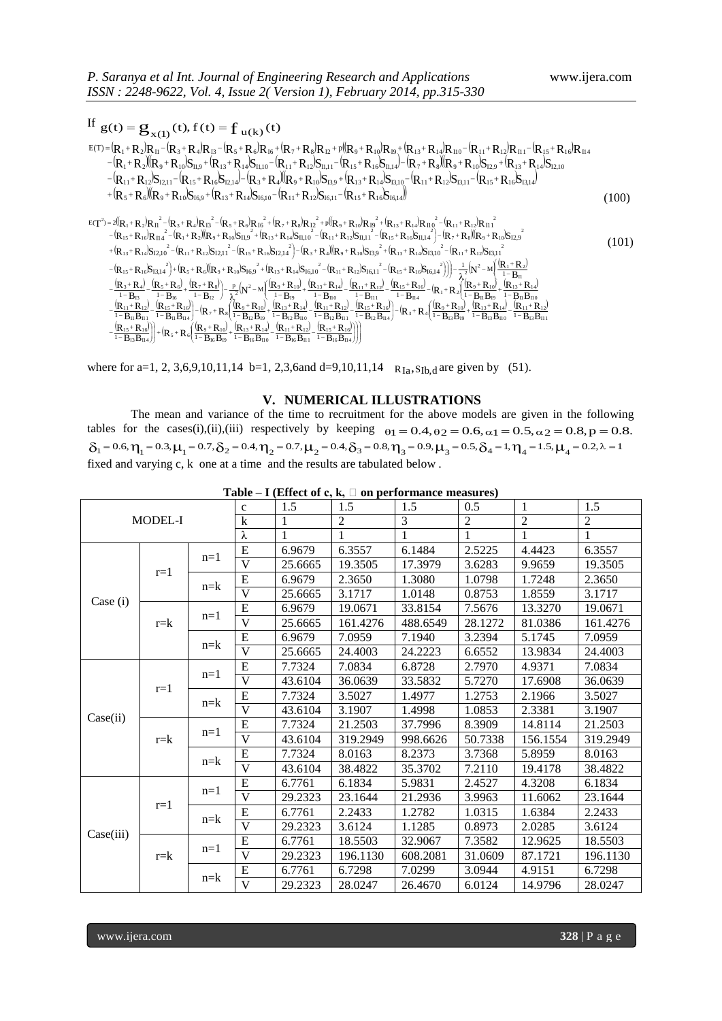If  $g(t) = g_{x(1)}(t), f(t) = f_{u(k)}(t)$  $(R_1 + R_2)R_{11} - (R_3 + R_4)R_{13} - (R_5 + R_6)R_{16} + (R_7 + R_8)R_{12} + p((R_9 + R_{10})R_{19} + (R_{13} + R_{14})R_{110} - (R_{11} + R_{12})R_{111} - (R_{15} + R_{16})R_{11} - (R_{15} + R_{16})R_{11} - (R_{15} + R_{16})R_{11} - (R_{15} + R_{16})R_{11} - (R_{16} + R_{17})R_{12} + (R_{17} + R_{18})R_{13$  $R = (R_1 + R_2)(R_9 + R_{10})S_{11,9} + (R_{13} + R_{14})S_{11,10} - (R_{11} + R_{12})S_{11,11} - (R_{15} + R_{16})S_{11,14}) - (R_7 + R_8)(R_9 + R_{10})S_{12,9} + (R_{13} + R_{14})S_{12,10} - (R_{14} + R_{12})S_{11,10} - (R_{15} + R_{16})S_{11,10} - (R_{16} + R_{16})S_{11,10} - (R_{17} + R_{18})S_{11,10$  $(R_{11}+R_{12})S_{12,11}-(R_{15}+R_{16}S_{12,14})-(R_3+R_4)(R_9+R_{10})S_{13,9}+(R_{13}+R_{14})S_{13,10}-(R_{11}+R_{12})S_{13,11}-(R_{15}+R_{16}S_{13,14})$  $R_1 + (R_5 + R_6)(R_9 + R_{10})S_{16,9} + (R_{13} + R_{14})S_{16,10} - (R_{11} + R_{12})S_{16,11} - (R_{15} + R_{16})S_{16,14})$ <sup>5</sup> <sup>6</sup> 91 0 I6,9 1 3 1 4 I6,1 0 1 1 1 2 I6,1 1 1 5 1 6 I6,1 4 =  $\mathbf{g}_{\mathbf{x}(1)}(t)$ , f (t) =  $\mathbf{f}_{\mathbf{u}(k)}(t)$ <br>
+  $R_2$ ) $R_{\mathbf{u}}$  -  $(R_3 + R_4)R_{\mathbf{B}}$  -  $(R_5 + R_6)R_{\mathbf{b}}$  +  $(R_7 + R_8)R_{\mathbf{12}}$  +  $p(R_9 + R_{10})R_{\mathbf{B}}$  +  $(R_{13} + R_{14})R_{\mathbf{H}0}$  -  $(R_{11} + R_{12})R_{\mathbf{H}1}$  -  $(R_{15} + R_{1$ If  $g(t) = g_{x(1)}(t), f(t) = f_{u(k)}(t)$ <br>  $g(t) = g_{x(1)}(t), f(t) = f_{u(k)}(t)$ <br>  $g(t) = (R_1 + R_2)R_1 - (R_3 + R_4)R_1 - (R_5 + R_6)R_{16} + (R_7 + R_8)R_{12} + p(R_9 + R_{10})R_{19} + (R_{13} + R_{14})R_{110} - (R_{11} + R_{12})R_{111} - (R_{15} + R_{16})R_{114}$ <br>  $g(t) = g_{x(1)}(t), f(t) = f_{u(k)}($  $-|R_{11}+R_{12}|S_{1211}-|R_{15}+R_{16}|S_{1214}| - |R_{2}+R_{4}|$  $=$   $(R_1 + R_2)R_{11} - (R_2 + R_3)R_{12} - (R_5 + R_4)R_{13} + (R_7 + R_2)R_{12} + P_1(R_3 + R_{10})R_{10} + (R_{12} + R_{14})R_{11} - (R_{11} + R_{12})R_{111} - (R_{15} + R_{16})R_{12}$  (100)  $T^2 = 2(R_1 + R_2)R_{11}^{2} - (R_3 + R_4)R_{13}^{2} - (R_5 + R_6)R_{16}^{2} + (R_7 + R_8)R_{12}^{2} + p((R_9 + R_{10})R_{19}^{2} + (R_{13} + R_{14})R_{11}^{2} - (R_{11} + R_{12})R_{11}^{2})$  $-\left(\mathbf{R}_{15}+\mathbf{R}_{16}\right)\mathbf{R}_{11}^2-\left(\mathbf{R}_{1}+\mathbf{R}_{2}\right)\left(\mathbf{R}_{9}+\mathbf{R}_{10}\right)\mathbf{S}_{11,9}^2+\left(\mathbf{R}_{13}+\mathbf{R}_{14}\right)\mathbf{S}_{11,10}^2-\left(\mathbf{R}_{11}+\mathbf{R}_{12}\right)\mathbf{S}_{11,11}^2-\left(\mathbf{R}_{15}+\mathbf{R}_{16}\mathbf{S}_{11,14}^2\right)-\left(\mathbf{R}_{7}+\mathbf{R}_{8}\right)\left(\mathbf{R}_{9}+\$  $+({\bf R}_{13}+{\bf R}_{14}){\bf S}_{12,10}^2-({\bf R}_{11}+{\bf R}_{12}){\bf S}_{12,11}^2-({\bf R}_{15}+{\bf R}_{16}){\bf S}_{12,14}^2]-({\bf R}_{3}+{\bf R}_{4})({\bf R}_{9}+{\bf R}_{10}){\bf S}_{13,9}^2+({\bf R}_{13}+{\bf R}_{14}){\bf S}_{13,10}^2-({\bf R}_{11}+{\bf R}_{12}){\bf S}_{13,11}^2-({\bf R}_{11}+{\bf R}_{12}){\bf S}_{13,11}^2+({\bf R$  $R_{15}+R_{16}S_{1314}^{2}+ (R_{5}+R_{6})(R_{9}+R_{10})S_{160}^{2}+(R_{12}+R_{14})S_{1610}^{2}-(R_{11}+R_{12})S_{1611}^{2}-(R_{15}+R_{16}S_{1614}^{2}))=-\frac{1}{2}(N^{2}-M)(R_{1}+R_{2})$  $\frac{(\mathbf{R}_3+\mathbf{R}_4)}{(\mathbf{R}_5+\mathbf{R}_6)}-\frac{(\mathbf{R}_5+\mathbf{R}_6)}{(\mathbf{R}_2+\mathbf{R}_8)}\bigg\rbrack = \frac{\mathbf{p}}{(\mathbf{N}^2-\mathbf{M})}\left(\frac{(\mathbf{R}_9+\mathbf{R}_{10})}{(\mathbf{R}_9+\mathbf{R}_{10})}+\frac{(\mathbf{R}_{13}+\mathbf{R}_{14})}{(\mathbf{R}_{11}+\mathbf{R}_{12})}-\frac{(\mathbf{R}_{15}+\mathbf{R}_{16})}{(\mathbf{R}_1+\mathbf{R}_8)}-(\mathbf{$  $\frac{[R_{11}+R_{12}]}{[R_{15}+R_{16}]} - [R_{15}+R_{16}]\frac{[R_{9}+R_{10}]}{[R_{17}+R_{10}]} + \frac{[R_{13}+R_{14}]}{[R_{11}+R_{12}]} - \frac{[R_{15}+R_{16}]}{[R_{15}+R_{10}]} - [R_{17}+R_{10}]\frac{[R_{13}+R_{14}]}{[R_{13}+R_{14}]} - \frac{[R_{11}+R_{12}]}{[R_{11}+R_{12}]}$  $\left. \frac{R_{15}+R_{16}}{R_{15}+R_{16}}\right)\right\} + \left. \left(R_{15}+R_{16}\right)\left(\frac{R_{19}+R_{10}}{R_{13}+R_{14}}\right) - \frac{R_{11}+R_{12}}{R_{15}+R_{16}}\right)$ Ι 1. Ϊ  $\frac{R_{11}+R_{12}}{R_{16}R_{11}} - \frac{R_{15}+R_{16}}{R_{16}}$  $\frac{R_{13}+R_{14}}{R_{16}R_{110}} - \frac{R_{11}+R_{12}}{R_{16}}$  $\left(\frac{R_9 + R_{10}}{1 - R_{11} - R_{21}} + \frac{R_{13} + R_{12}}{1 - R_{21}}\right)$ O  $\left| + (R_5 + R_6) \frac{(R_9 + R_9)}{1 - R_9} \right|$ λ -1  $\frac{R_{13}+R_{14}}{R_{12}R_{110}} - \frac{R_{11}+R_{12}}{R_{12}R_{12}}$  $\left(\frac{({\bf R}_9 + {\bf R}_{10})}{1 - {\bf R}_{10} {\bf R}_{10}} + \frac{({\bf R}_{13} + {\bf R}_{11})}{1 - {\bf R}_{10}}\right)$ Ų ſ -1  $-\left(R_3 + R_4\right)\frac{\left(R_9 + R_4\right)}{1 - R_4}$  $\frac{R_{11}+R_{12}}{-B_{12}B_{111}} - \frac{(R_{15}+R_{16})}{1-B_{12}B_{114}}$  $\frac{R_{13}+R_{14}}{-R_{12}R_{110}} - \frac{R_{11}+R_{12}}{1-R_{12}}$  $\left(\frac{R_9 + R_{10}}{1 - R_{12}R_{12}} + \frac{R_{13} + R_{14}}{1 - R_{12}}\right)$ Ų ſ -1  $-\left(\mathbf{R}_{7}+\mathbf{R}_{8}\right)\frac{\left(\mathbf{R}_{9}+\mathbf{R}_{9}\right)}{1-\mathbf{R}_{12}}$  $\frac{R_{11}+R_{12}}{-B_{11}B_{111}} - \frac{(R_{15}+R_{16})}{1-B_{11}B_{114}}$  $-\frac{(R_{11}+)}{2}$  $\left(\frac{({\bf R}_9 + {\bf R}_{10})}{1 - {\bf R}_{11} {\bf R}_{12}} + \frac{({\bf R}_{13} + {\bf R}_{12})}{1 - {\bf R}_{11}}\right)$ L ſ -1  $\frac{15^{+}R_{16}^{-}}{-R_{114}^{-}} - (R_{1} + R_{2}) \frac{(R_{9} + R_{11})^{-}}{1 - R_{114}^{-}}$  $\frac{11^{+}R_{12}^{+}}{R_{11}} - \frac{R_{15}^{+}}{R_{15}}$  $\frac{13^+R_{14}^{-}}{-R_{110}^{-}} - \frac{R_{11}^{}}{1-R_{11}^{-}}$  $\left(\frac{R_9 + R_{10}}{1 - R_{10}} + \frac{R_{13} + R_{14}}{1 - R_{15}}\right)$ V ſ. -1  $-\frac{p}{2}(N^2-M)\frac{(R_9+1)}{1-R}$ J Ι -1  $\frac{1}{2}$  + R<sub>6</sub> + R<sub>7</sub> + I<br>- R<sub>16</sub> +  $\frac{1-R}{1-R}$  $\frac{1}{3}$  + R<sub>4</sub>) –  $\frac{R_5 + R_1}{1 - R_2}$  $\frac{R_3+1}{2}$ ŀ Ţ ſ -1  $\left(-\frac{1}{\lambda^{2}}(N^{2}-M)\right)\frac{R_{1}+1}{1-R}$  $\big)$  $-(R_{15}+R_{16}R_{13,4}^2)+(R_5+R_6)(R_9+R_{10}S_{16,2}^2+(R_{13}+R_{14}S_{16,10}^2-(R_{11}+R_{12}S_{16,11}^2-(R_{15}+R_{16}S_{16,14}^2))$  $\lambda_i^2$  $\lambda_i^2$  $R_{15}$  +  $R_{16}$  $R_{11}$ +  $R_{12}$  $R_{13}$ + $R_{14}$  $R_{15} + R_{16}$  $B_{13}B_{11}$  $R_{11}$  +  $R_{12}$  $B_{13}B_{11}$  $R_{13}$  +  $R_{14}$  $B_{13}B_{19}$  $\left(\frac{15 + R_{16}}{B_{12}B_{114}}\right) - \left(R_3 + R_4\right)\left(\frac{R_9 + R_{10}}{1 - B_{13}B_{15}}\right)$  $R_{15}$  +  $R_{16}$  $B_{12}B_{11}$  $R_{11}$  +  $R_{12}$  $B_{12}B_{11}$  $R_{13}$  +  $R_{14}$  $B_{12}B_{19}$  $\left(\frac{15 + R_{16}}{B_{11}B_{114}}\right) - \left(R_7 + R_8\right)\left(\frac{R_9 + R_{10}}{1 - B_{12}B_{19}}\right)$  $R_{15}$  +  $R_{16}$  $B_{\rm II}B_{\rm II}$  $R_{11}$ +  $R_{12}$  $B_{\rm II}B_{\rm II}$  $R_{13}$  +  $R_{14}$  $B_{11}B_{19}$  $+\frac{R_{16}}{B_{114}} - (R_1 + R_2) \left(\frac{(R_9 + R_{10})}{1 - B_{11}B_{19}}\right)$  $R_{15}$  +  $R_{16}$  $B_{\rm II}$  $R_{11}$ +  $R_{12}$  $B_{\rm II}$  $R_{13}$  +  $R_{14}$  $\left(\frac{+R_8}{B_{12}}\right) - \frac{p}{\lambda^2} \left(N^2 - M\right) \left(\frac{R_9 + R_{10}}{1 - B_{19}}\right)$  $R_7$  +  $R_8$ )  $B_{16}$  $R_5$  +  $R_6$  $B_{13}$  $R_3 + R_4$  $\mathbf{B}_{\rm II}$  $(R_{15}+R_{16}S_{13,14}^2)+R_{5}+R_{6}R_{16}R_{9}+R_{10}S_{16,9}^2+(R_{13}+R_{14}S_{16,10}^2-(R_{11}+R_{12}S_{16,11}^2-(R_{15}+R_{16}S_{16,14}^2)))-\frac{1}{2}(N^2-M)(R_1+R_2)$  $\frac{R_{12}}{R_{2}B_{11}}$ <br>+  $R_{16}$ <br> $\frac{1}{16}B_{114}$  $\frac{1 + R_{12}}{1 + R_{12}}$ <br> $\frac{1 + R_{12}}{15 + R_{16}}$  $\frac{R_{14}}{R_{2}B_{110}}$ <br>+  $R_{12}$ <br><sub>16</sub>  $B_{111}$  $\frac{1}{12} \text{B}_{19} \text{B}_{12} \text{B}_{11} \text{B}_{12} \text{B}_{11} \text{B}_{16} \text{B}_{11} \text{B}_{16} \text{B}_{11}$  $\frac{R_{10}}{12B_{19}}$  +<br>  $+ R_{14}$ <br>  $+ R_{14}$ <br>  $= 16B_{110}$  $\frac{1}{\lambda_{16}} + \frac{1}{1 - B_{12}} - \frac{1}{\lambda_{12}}$ <br>  $\frac{1}{\lambda_{11}} + R_{16}$ <br>  $\frac{1}{\lambda_{11}} + R_{16}$ <br>  $\frac{1}{\lambda_{12}} + R_{17}$ <br>  $\frac{1}{\lambda_{13}} + R_{18}$ <br>  $\frac{1}{\lambda_{13}} + R_{19}$ <br>  $\frac{1}{\lambda_{13}} + R_{19}$ <br>  $\frac{1}{\lambda_{13}} + R_{19}$ <br>  $\frac{1}{\lambda_{13}} + R_{19}$  $\frac{+R_{12}^{2}}{+R_{11}^{2}}$ <br> $+\frac{R_{16}^{2}}{+R_{16}^{2}}$  $\begin{array}{l} -\mathbf{B}_{13} \\ \frac{11}{1} + \mathbf{R}_{12} \\ \hline \mathbf{B}_{11} \mathbf{B}_{111} \\ \frac{15}{1} + \mathbf{R}_{16} \\ \hline \mathbf{B}_{13} \mathbf{B}_{114} \end{array}$  $\frac{I_{14}}{I_{110}}$ <br>+ R<sub>12</sub>)<br>13 B<sub>111</sub> –<br>1 R<sub>14</sub>)<br>1 B<sub>110</sub><br>11 + R<sub>12</sub>)<br>B13 B11  $\frac{R_{10}}{B_{19}} + \frac{I_1}{I_1}$ <br>+ R<sub>14</sub>)<br>13 B<sub>110</sub>  $\begin{array}{c}\n\text{minimize} \\
\text{minimize} \\
1 + R_2 \left( \frac{R_9 + R_{10}}{1 - B_{11}B_{19}} + \frac{1}{1} \right. \\
\text{minimize} \\
\text{minimize} \\
B_{13}B_{19} + \frac{1}{1 - B_{13}B_{10}} \\
\text{minimize} \\
\text{minimize} \\
\text{minimize} \\
\text{minimize} \\
\text{minimize} \\
\text{minimize} \\
\text{minimize} \\
\text{minimize} \\
\text{minimize} \\
\text{minimize} \\
\text{minimize} \\
\text{minimize} \\
\text{minimize} \\
\text{minimize} \\
\text{minimize} \\
\text{minimize$  $\frac{R_{12}}{R_{11}} = \frac{(R_{15} + R_{16})}{1 - B_{114}}$ <br>  $\frac{+R_{16}}{R_{12}} = (R_3 + R_4)$  $\frac{16,11}{16,11}$ <br> $\frac{16,11}{15}$ <br> $\frac{15+R_{16}}{15,16}$  $\frac{R_{14}}{10}$  -  $+$ <br> $\frac{10}{12}$   $\frac{1}{12}$   $\frac{1}{12}$ <br> $\frac{1}{5}$  + R<sub>16</sub>  $\frac{+R_{14}+R_{14}}{+R_{10}}$ <br> $\frac{+R_{14}}{+R_{12}}$  $\frac{R_{10}}{R_{19}}$  +<br>+  $R_{14}$ <br>12  $B_{110}$ <br>1<sup>+</sup>  $R_{12}$  $S_{16,9}$  +  $R_{13}$  +  $R_{14}$   $S_{1}$ <br>  $N^2 - M \left( \frac{R_9 + R_{10}}{1 - B_{19}} \right)$ <br>  $\frac{9 + R_{10}}{B_{12} B_{19}} + \frac{R_{13} + R_{14}}{1 - B_{12} B_{110}}$  $\frac{R_6}{\text{H}_6} + \frac{(R_7 + R_8)}{1 - B_{12}} - \frac{R_1}{\text{H}_6} + \frac{R_1}{\text{H}_6} + \frac{R_1}{\text{H}_6} + \frac{R_1}{\text{H}_6} + \frac{R_1}{\text{H}_6}$ 1 5 1 6  $\frac{R_4}{B_{13}}$ <br>  $+ R_{12}$ <br>  $\frac{R_{11}}{R_{11}}$ <br>  $+ R_{16}$  $\frac{15 + R_{16}l}{11 + R_{12}}$ <br>  $\frac{11 + R_{12}}{11 + R_{12}}$  $\frac{R_{2}}{11}$ <br>
II<br>
II  $B_{110}$ <br>  $R_{11}$  + R  $\begin{aligned} &\text{(S12,11)}-\text{(R}_{15}+\text{R}_{16}\text{S12,14})-\text{(R}_{3}+\text{R}_{4}\text{(R}_{9}+\text{R}_{10}\text{S13,9})^{-}+\text{(R}_{13}+\text{R}_{14}\text{S13,10})-\text{(R}_{11}+\text{R}_{12}\text{S13,11})\\ &\text{(R}_{9}+\text{R}_{10}\text{S16,9}^{2}+\text{(R}_{13}+\text{R}_{14}\text{S16,10}^{2}-\text{(R}_{11}+\text{R}_{12}\text{S16,11}^{2}-\text{(R}_{15$  $R_{16}$ <br> $R_{14}$ <br> $...$  $R_1$ <br>  $R_1$ <br>  $\cdots$ <br>  $+F_1$  $R_1$ <br> $R_1$ <br> $n_0$ <br> $+ F_1$ 7 ' **K** 8 I6 5  $K_6$ I3  $3 \cdot K_4$ I1  $\binom{2}{1}$   $\left(-\frac{1}{2}\left(\mathbf{N}^2-\mathbf{M}\right)\frac{|\mathbf{R}_1+\mathbf{R}_2|}{1-\mathbf{R}}\right)$ +  $R_{16}S_{II}$ <br> $R_{13}$  +  $R_{14}$ <br> $R_{15}$  +  $R_{16}$ 2 +  $R_{12}$  $S_I$ <br> $R_9$  +  $R_{10}$ <br> $(11 + R_{12})$ 2 +  $R_{14}$  $S_1$ <br> $S_{12,14}$  $S_2$ <br> $S_{13}$  +  $R_{14}$ 2 + R<sub>2</sub> $\mathbb{R}_9$  + R<sub>10</sub> $\mathbb{S}$ <br>  $_1$  + R<sub>12</sub> $\mathbb{S}$ I<sub>2,11</sub><sup>2</sup> – (I<br>  $_5$  + R<sub>6</sub> $(\mathbb{R}_9$  + R<sub>10</sub>) 2 15 +  $R_{16}$ <br>
13 +  $R_{14}$ <br>
15 +  $R_{16}$  $R_1 + R_2 R_{11}^2 - (R_3 + R_4)R_{13}^2 - (R_5 + R_6)R_{16}^2 + (R_7 + R_8)R_{12}^2 + p((R_9 + R_{10})R_{19}^2 + (R_{13} + R_{14})R_{110}^2 - (R_{11} + R_{12})R_{15} + R_{16}R_{114}^2 - (R_1 + R_2)(R_9 + R_{10})S_{11,9}^2 + (R_{13} + R_{14}S_{11,10}^2 - (R_{11} + R_{12})S_{11,11}^2 - (R_1 + R_{1$ 2  $(11 + R_{12})R_{II1}^{2}$ <br>  $(7 + R_{8})(R_{9} + R_{10})$ 2  $R_{13} + R_{1}$ <br> $R_{13} + R_{1}$ <br> $R_{15} + R_{16}$ 2  $\sqrt{(R_9 + R_1 + R_1)}$ 2  $+$   $(R_7 +$ <br> $R_{13} + R_{14})$ 2  $+ R_4 R_{13}^2 - (R_5 +$ <br>  $+ R_4 R_{13}^2 - (R_5 +$ <br>  $+ R_2)(R_9 + R_{10})$ 2  $15 + R_6/(R_9 + R_{10})S_{16,9} + (R_{13} + R_{14})S_{16,10} - (R_{11} + R_{12})S_{16,11} - (R_{15} + R_{16})S_{16,14})$ <br>  $15 + R_{12}R_{11}^2 - (R_3 + R_4)R_{13}^2 - (R_5 + R_6)R_{16}^2 + (R_7 + R_8)R_{12}^2 + p((R_9 + R_{10})R_{19}^2 + (R_{13} + R_{14})R_{110}^2 - (R_{11} + R_{12})R_{111}^2)$ <br>  $11 + R_{12}$ <br>  $- + R_{2}$  (1) 2  $\begin{pmatrix} 6,14 \\ 13 + R_{14} \\ + R_{12} \end{pmatrix}$ 2  $-({\bf R}_{15})$ <br>  $(8.10)$ <br>  $-8.10$ <br>  $-8.15$ <sup>2</sup>) = 2(( $R_1 + R_2$ ) $R_{11}^2 - (R_3 + R_4)R_{13}^2 - (R_5 + R_6)R_{16}^2 + (R_7 + R_8)R_{12}^2$  $1 - R_{11}R_{11}$   $1 - R_{11}R_{114}$   $\mathbf{W}$ <sup>7</sup>  $\mathbf{W}$ <sup>3</sup>  $1 - R_{12}R_{10}$   $1 - R_{13}R_{110}$   $1 - R_{12}R_{111}$   $1 - R_{12}R_{114}$   $\mathbf{W}$ <sup>3</sup>  $\mathbf{W}$ <sup>4</sup>  $\mathbf{W}$ <sup>4</sup>  $\mathbf{W}$ <sub>4</sub>  $1 - R_{12}R_{10}$   $1 - R_{13}R_{110}$   $1 - R_{14}R_{111}$  $\frac{R_3+R_4}{1-P_{12}} - \frac{[R_5+R_6]}{1-P_{16}} + \frac{[R_7+R_8]}{1-P_{12}} - \frac{p}{2}(N^2-M_1\frac{|R_9+R_{10}|}{1-P_{10}} + \frac{[R_{13}+R_{14}]}{1-P_{10}} - \frac{[R_{11}+R_{12}]}{1-P_{111}} - \frac{[R_{13}+R_{16}]}{1-P_{114}} - [R_1+R_2]\frac{[R_9+R_{10}]}{1-P_{111}P_{12}} + \frac{[R_{12}+R_{12}]}{P_{$  $\frac{1}{\sqrt{2}}$ **(N**<sup>2</sup> – M)  $\frac{R_1}{1}$  $\frac{1}{2}$  If  $\frac{1}{2}$  If  $\frac{1}{2}$  If  $\frac{1}{2}$  If  $\frac{1}{2}$  If  $\frac{1}{2}$  If  $\frac{1}{2}$  If  $\frac{1}{2}$  If  $\frac{1}{2}$  If  $\frac{1}{2}$  If  $\frac{1}{2}$  If  $\frac{1}{2}$  If  $\frac{1}{2}$  If  $\frac{1}{2}$  If  $\frac{1}{2}$  If  $\frac{1}{2}$  If  $\frac{1}{2}$  If  $\begin{array}{l} \n\frac{n^2 - (R_3 + R_4)R_{13}^2 - (R_5 + R_6)R_{16}^2 + (R_7 + R_8)R_{12}^2 + p((R_9 + R_{10})R_{19}^2 + (R_{13} + R_{14})R_{110}^2 - (R_{11} + R_{12})R_{111}^2) \n\end{array}$  $\begin{aligned} &\mathbf{S}_{13,9} + (\mathbf{R}_{13} + \mathbf{R}_{14} \mathbf{S}_{13,10} - (\mathbf{R}_{11} + \mathbf{R}_{12} \mathbf{S}_{13,11} - (\mathbf{R}_{15} + \mathbf{R}_{16} \mathbf{S}_{16,14}))\ &\mathbf{S}_{16,11} - (\mathbf{R}_{15} + \mathbf{R}_{16} \mathbf{S}_{16,14}))\ &\mathbf{S}_{16,1} + \mathbf{R}_{12} \mathbf{S}_{111} - (\mathbf{R}_{13} + \mathbf{R}_{14} \mathbf{R}_{11$  $E(T^2) = 2(|R_1 + R_2|R_{11}|^2 - (R_3 + R_4)R_{13}|^2 - (R_5 + R_6)R_{16}|^2 + (R_7 + R_8)R_{12}|^2$ (101)

 $\overline{\phantom{a}}$ J  $\overline{\phantom{a}}$ J, I Ι, -1 Ų -1 у I  $-\frac{({\bf R}_{15} + {\bf R}_{16})}{1 - {\bf B}_{13} {\bf B}_{114}}$  $B_{16}B_{11}$  $B_{16}B_{11}$  $B_{16}B_{110}$  $B_{16}B_{19}$  $\left(\frac{15 + R_{16}}{B_{13}B_{114}}\right) + \left(R_5 + R_6\right)\left(\frac{R_9 + R_{10}}{1 - B_{16}B_{19}}\right)$  $1 - R_{12} R_{114}$  |  $1 - R_{16} R_{10}$   $1 - R_{16} R_{10}$   $1 - R_{16} R_{110}$   $1 - R_{16} R_{111}$   $1 - R_{17} R_{111}$ 

where for a=1, 2, 3,6,9,10,11,14 b=1, 2,3,6and d=9,10,11,14  $R_{Ia}$ , S<sub>Ib,d</sub> are given by (51).

#### **V. NUMERICAL ILLUSTRATIONS**

The mean and variance of the time to recruitment for the above models are given in the following tables for the cases(i),(ii),(iii) respectively by keeping  $\theta_1 = 0.4, \theta_2 = 0.6, \alpha_1 = 0.5, \alpha_2 = 0.8, p = 0.8$ .  $\delta_1 = 0.6, \eta_1 = 0.3, \mu_1 = 0.7, \delta_2 = 0.4, \eta_2 = 0.7, \mu_2 = 0.4, \delta_3 = 0.8, \eta_3 = 0.9, \mu_3 = 0.5, \delta_4 = 1, \eta_4 = 1.5, \mu_4 = 0.2, \lambda = 1.5, \lambda = 1.5, \lambda = 1.5, \lambda = 1.5, \lambda = 1.5, \lambda = 1.5, \lambda = 1.5, \lambda = 1.5, \lambda = 1.5, \lambda = 1.5, \lambda = 1.5, \lambda = 1.5, \lambda = 1.$ fixed and varying c, k one at a time and the results are tabulated below .

|           |         |         | $\mathbf{c}$            | 1.5     | 1.5            | 1.5      | 0.5     | $\mathbf{1}$   | 1.5            |
|-----------|---------|---------|-------------------------|---------|----------------|----------|---------|----------------|----------------|
| MODEL-I   |         |         | $\mathbf k$             | 1       | $\overline{2}$ | 3        | 2       | $\overline{2}$ | $\overline{2}$ |
|           |         |         |                         |         |                |          |         |                |                |
|           |         |         | λ                       | 1       | $\mathbf{1}$   | 1        | 1       | $\mathbf{1}$   | $\mathbf{1}$   |
|           | $r=1$   | $n=1$   | ${\bf E}$               | 6.9679  | 6.3557         | 6.1484   | 2.5225  | 4.4423         | 6.3557         |
|           |         |         | $\mathbf{V}$            | 25.6665 | 19.3505        | 17.3979  | 3.6283  | 9.9659         | 19.3505        |
|           |         | $n = k$ | E                       | 6.9679  | 2.3650         | 1.3080   | 1.0798  | 1.7248         | 2.3650         |
|           |         |         | $\mathbf{V}$            | 25.6665 | 3.1717         | 1.0148   | 0.8753  | 1.8559         | 3.1717         |
| Case (i)  |         |         | ${\bf E}$               | 6.9679  | 19.0671        | 33.8154  | 7.5676  | 13.3270        | 19.0671        |
|           | $r = k$ | $n=1$   | V                       | 25.6665 | 161.4276       | 488.6549 | 28.1272 | 81.0386        | 161.4276       |
|           |         |         | E                       | 6.9679  | 7.0959         | 7.1940   | 3.2394  | 5.1745         | 7.0959         |
|           |         | $n = k$ | $\mathbf{V}$            | 25.6665 | 24.4003        | 24.2223  | 6.6552  | 13.9834        | 24.4003        |
|           | $r=1$   | $n=1$   | E                       | 7.7324  | 7.0834         | 6.8728   | 2.7970  | 4.9371         | 7.0834         |
|           |         |         | $\overline{\mathbf{V}}$ | 43.6104 | 36.0639        | 33.5832  | 5.7270  | 17.6908        | 36.0639        |
|           |         | $n = k$ | E                       | 7.7324  | 3.5027         | 1.4977   | 1.2753  | 2.1966         | 3.5027         |
| Case(ii)  |         |         | V                       | 43.6104 | 3.1907         | 1.4998   | 1.0853  | 2.3381         | 3.1907         |
|           | $r = k$ | $n=1$   | ${\bf E}$               | 7.7324  | 21.2503        | 37.7996  | 8.3909  | 14.8114        | 21.2503        |
|           |         |         | $\overline{\mathbf{V}}$ | 43.6104 | 319.2949       | 998.6626 | 50.7338 | 156.1554       | 319.2949       |
|           |         | $n = k$ | E                       | 7.7324  | 8.0163         | 8.2373   | 3.7368  | 5.8959         | 8.0163         |
|           |         |         | V                       | 43.6104 | 38.4822        | 35.3702  | 7.2110  | 19.4178        | 38.4822        |
|           | $r=1$   | $n=1$   | E                       | 6.7761  | 6.1834         | 5.9831   | 2.4527  | 4.3208         | 6.1834         |
| Case(iii) |         |         | V                       | 29.2323 | 23.1644        | 21.2936  | 3.9963  | 11.6062        | 23.1644        |
|           |         | $n = k$ | ${\bf E}$               | 6.7761  | 2.2433         | 1.2782   | 1.0315  | 1.6384         | 2.2433         |
|           |         |         | V                       | 29.2323 | 3.6124         | 1.1285   | 0.8973  | 2.0285         | 3.6124         |
|           | $r = k$ | $n=1$   | ${\bf E}$               | 6.7761  | 18.5503        | 32.9067  | 7.3582  | 12.9625        | 18.5503        |
|           |         |         | $\mathbf{V}$            | 29.2323 | 196.1130       | 608.2081 | 31.0609 | 87.1721        | 196.1130       |
|           |         | $n = k$ | ${\bf E}$               | 6.7761  | 6.7298         | 7.0299   | 3.0944  | 4.9151         | 6.7298         |
|           |         |         | $\mathbf{V}$            | 29.2323 | 28.0247        | 26.4670  | 6.0124  | 14.9796        | 28.0247        |

**Table – I** (Effect of c, k,  $\Box$  on performance measures)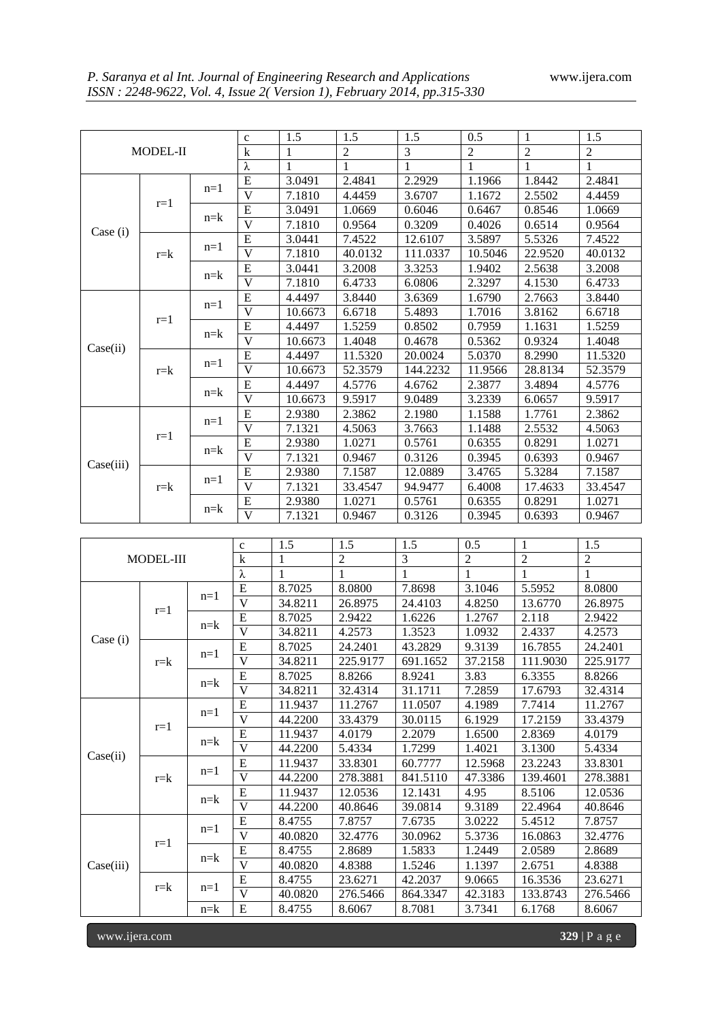|           |           |                  | $\mathbf c$                  | 1.5     | 1.5            | 1.5          | 0.5                 | 1              | 1.5            |
|-----------|-----------|------------------|------------------------------|---------|----------------|--------------|---------------------|----------------|----------------|
| MODEL-II  |           |                  | $\mathbf k$                  | 1       | $\mathfrak{2}$ | 3            | $\overline{2}$      | $\overline{2}$ | $\mathfrak{2}$ |
|           |           |                  | λ                            | 1       | 1              | $\mathbf{1}$ | $\mathbf{1}$        | 1              | $\mathbf{1}$   |
|           |           |                  |                              |         |                |              |                     |                |                |
|           | $r=1$     | $n=1$            | E<br>$\overline{\mathsf{V}}$ | 3.0491  | 2.4841         | 2.2929       | $\overline{1.1966}$ | 1.8442         | 2.4841         |
|           |           |                  |                              | 7.1810  | 4.4459         | 3.6707       | 1.1672              | 2.5502         | 4.4459         |
|           |           | $n = k$          | ${\bf E}$                    | 3.0491  | 1.0669         | 0.6046       | 0.6467              | 0.8546         | 1.0669         |
| Case (i)  |           |                  | $\overline{\mathsf{V}}$      | 7.1810  | 0.9564         | 0.3209       | 0.4026              | 0.6514         | 0.9564         |
|           |           | $n=1$            | ${\bf E}$                    | 3.0441  | 7.4522         | 12.6107      | 3.5897              | 5.5326         | 7.4522         |
|           | $r = k$   |                  | $\overline{\mathsf{V}}$      | 7.1810  | 40.0132        | 111.0337     | 10.5046             | 22.9520        | 40.0132        |
|           |           | $n = k$          | ${\bf E}$                    | 3.0441  | 3.2008         | 3.3253       | 1.9402              | 2.5638         | 3.2008         |
|           |           |                  | $\overline{\mathsf{V}}$      | 7.1810  | 6.4733         | 6.0806       | 2.3297              | 4.1530         | 6.4733         |
|           |           | $n=1$            | ${\bf E}$                    | 4.4497  | 3.8440         | 3.6369       | 1.6790              | 2.7663         | 3.8440         |
|           | $r=1$     |                  | $\overline{\mathsf{V}}$      | 10.6673 | 6.6718         | 5.4893       | 1.7016              | 3.8162         | 6.6718         |
|           |           |                  | ${\bf E}$                    | 4.4497  | 1.5259         | 0.8502       | 0.7959              | 1.1631         | 1.5259         |
|           |           | $n = k$          | $\overline{\mathsf{V}}$      | 10.6673 | 1.4048         | 0.4678       | 0.5362              | 0.9324         | 1.4048         |
| Case(ii)  |           |                  | ${\bf E}$                    | 4.4497  | 11.5320        | 20.0024      | 5.0370              | 8.2990         | 11.5320        |
|           | $r = k$   | $n=1$            | $\overline{\mathsf{V}}$      | 10.6673 | 52.3579        | 144.2232     | 11.9566             | 28.8134        | 52.3579        |
|           |           |                  | ${\bf E}$                    | 4.4497  | 4.5776         | 4.6762       | 2.3877              | 3.4894         | 4.5776         |
|           |           | $n = k$          | $\overline{V}$               | 10.6673 | 9.5917         | 9.0489       | 3.2339              | 6.0657         | 9.5917         |
|           |           |                  | ${\bf E}$                    | 2.9380  | 2.3862         | 2.1980       | 1.1588              | 1.7761         | 2.3862         |
|           |           | $n=1$            | $\overline{V}$               | 7.1321  | 4.5063         | 3.7663       | 1.1488              | 2.5532         | 4.5063         |
|           | $r=1$     |                  | E                            | 2.9380  | 1.0271         | 0.5761       | 0.6355              | 0.8291         | 1.0271         |
|           |           | $n = k$          | $\overline{V}$               | 7.1321  | 0.9467         | 0.3126       | 0.3945              | 0.6393         | 0.9467         |
| Case(iii) |           |                  | E                            |         |                |              |                     |                |                |
|           |           | $n=1$<br>$n = k$ | $\overline{V}$               | 2.9380  | 7.1587         | 12.0889      | 3.4765              | 5.3284         | 7.1587         |
|           | $r = k$   |                  |                              | 7.1321  | 33.4547        | 94.9477      | 6.4008              | 17.4633        | 33.4547        |
|           |           |                  | Ε                            | 2.9380  | 1.0271         | 0.5761       | 0.6355              | 0.8291         | 1.0271         |
|           |           |                  | V                            | 7.1321  | 0.9467         | 0.3126       | 0.3945              | 0.6393         | 0.9467         |
|           |           |                  |                              |         |                |              |                     |                |                |
|           |           |                  | $\mathbf c$                  | 1.5     | 1.5            | 1.5          | 0.5                 | 1              | 1.5            |
|           | MODEL-III |                  | $\mathbf k$                  | 1       | $\overline{2}$ | 3            | $\overline{2}$      | $\overline{2}$ | $\overline{2}$ |
|           |           |                  | λ                            | 1       | 1              | 1            | $\mathbf{1}$        | 1              | 1              |
|           |           | $n=1$            | E                            | 8.7025  | 8.0800         | 7.8698       | 3.1046              | 5.5952         | 8.0800         |
| Case (i)  | $r=1$     |                  | $\overline{\mathbf{V}}$      | 34.8211 | 26.8975        | 24.4103      | 4.8250              | 13.6770        | 26.8975        |
|           |           | $n = k$          | E                            | 8.7025  | 2.9422         | 1.6226       | 1.2767              | 2.118          | 2.9422         |
|           |           |                  | $\overline{\mathbf{V}}$      | 34.8211 | 4.2573         | 1.3523       | 1.0932              | 2.4337         | 4.2573         |
|           |           | $n=1$            | E                            | 8.7025  | 24.2401        | 43.2829      | 9.3139              | 16.7855        | 24.2401        |
|           | $r = k$   |                  | $\overline{V}$               | 34.8211 | 225.9177       | 691.1652     | 37.2158             | 111.9030       | 225.9177       |
|           |           |                  | E                            | 8.7025  | 8.8266         | 8.9241       | 3.83                | 6.3355         | 8.8266         |
|           |           | $n = k$          | $\overline{\mathbf{V}}$      | 34.8211 | 32.4314        | 31.1711      | 7.2859              | 17.6793        | 32.4314        |
| Case(ii)  | $r=1$     | $n=1$            | E                            | 11.9437 | 11.2767        | 11.0507      | 4.1989              | 7.7414         | 11.2767        |
|           |           |                  | V                            | 44.2200 | 33.4379        | 30.0115      | 6.1929              | 17.2159        | 33.4379        |
|           |           | $n = k$          | E                            | 11.9437 | 4.0179         | 2.2079       | 1.6500              | 2.8369         | 4.0179         |
|           |           |                  | $\overline{V}$               | 44.2200 | 5.4334         | 1.7299       | 1.4021              | 3.1300         | 5.4334         |
|           |           |                  |                              |         |                |              |                     |                |                |
|           |           | $n=1$            | E<br>V                       | 11.9437 | 33.8301        | 60.7777      | 12.5968             | 23.2243        | 33.8301        |
|           | $r = k$   |                  |                              | 44.2200 | 278.3881       | 841.5110     | 47.3386             | 139.4601       | 278.3881       |
|           |           | $n = k$          | E                            | 11.9437 | 12.0536        | 12.1431      | 4.95                | 8.5106         | 12.0536        |
|           |           |                  | $\overline{V}$               | 44.2200 | 40.8646        | 39.0814      | 9.3189              | 22.4964        | 40.8646        |
|           |           | $n=1$            | E                            | 8.4755  | 7.8757         | 7.6735       | 3.0222              | 5.4512         | 7.8757         |
|           | $r=1$     |                  | V                            | 40.0820 | 32.4776        | 30.0962      | 5.3736              | 16.0863        | 32.4776        |
|           |           |                  | Е                            | 8.4755  | 2.8689         | 1.5833       | 1.2449              | 2.0589         | 2.8689         |
| Case(iii) |           | $n = k$          | $\overline{\mathsf{V}}$      | 40.0820 | 4.8388         | 1.5246       | 1.1397              | 2.6751         | 4.8388         |

r=k n=1 E 8.4755 23.6271 42.2037 9.0665 16.3536 23.6271<br>r=k n=1  $\frac{10000}{N}$  10.0920 276.5466 964.2247 42.2192 122.9742 276.546

n=k | E | 8.4755 | 8.6067 | 8.7081 | 3.7341 | 6.1768 | 8.6067

V 40.0820 276.5466 864.3347 42.3183 133.8743 276.5466

www.ijera.com **329** | P a g e